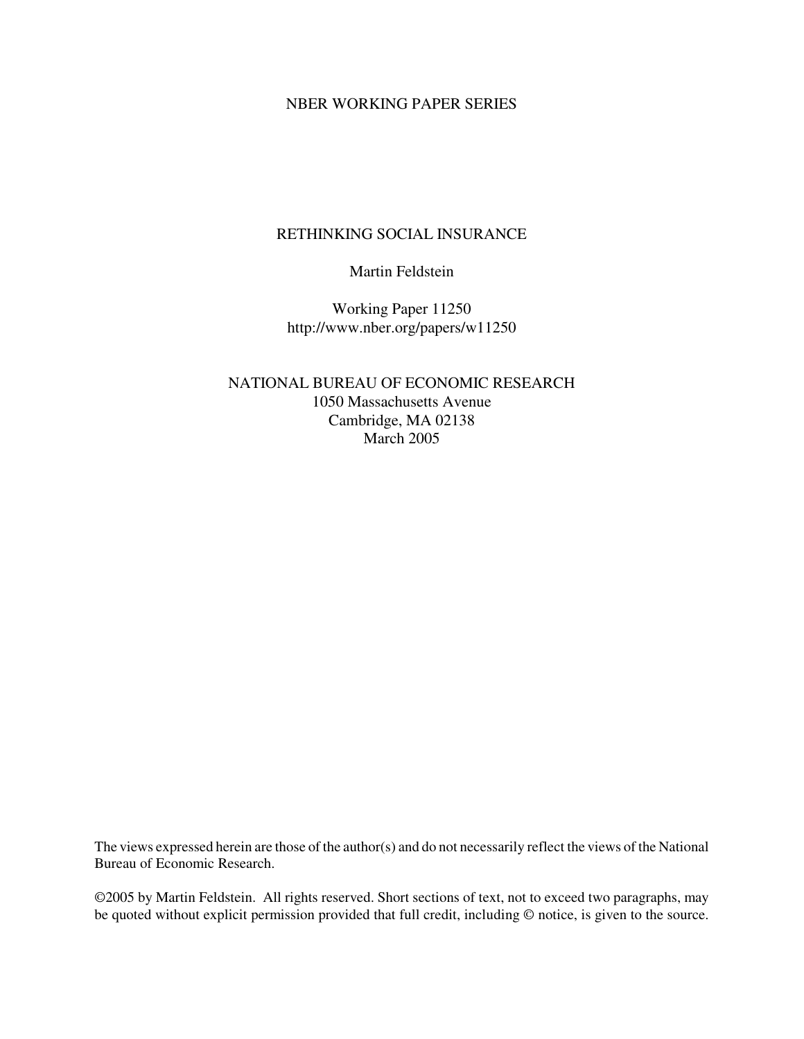## NBER WORKING PAPER SERIES

# RETHINKING SOCIAL INSURANCE

# Martin Feldstein

Working Paper 11250 http://www.nber.org/papers/w11250

NATIONAL BUREAU OF ECONOMIC RESEARCH 1050 Massachusetts Avenue Cambridge, MA 02138 March 2005

The views expressed herein are those of the author(s) and do not necessarily reflect the views of the National Bureau of Economic Research.

©2005 by Martin Feldstein. All rights reserved. Short sections of text, not to exceed two paragraphs, may be quoted without explicit permission provided that full credit, including © notice, is given to the source.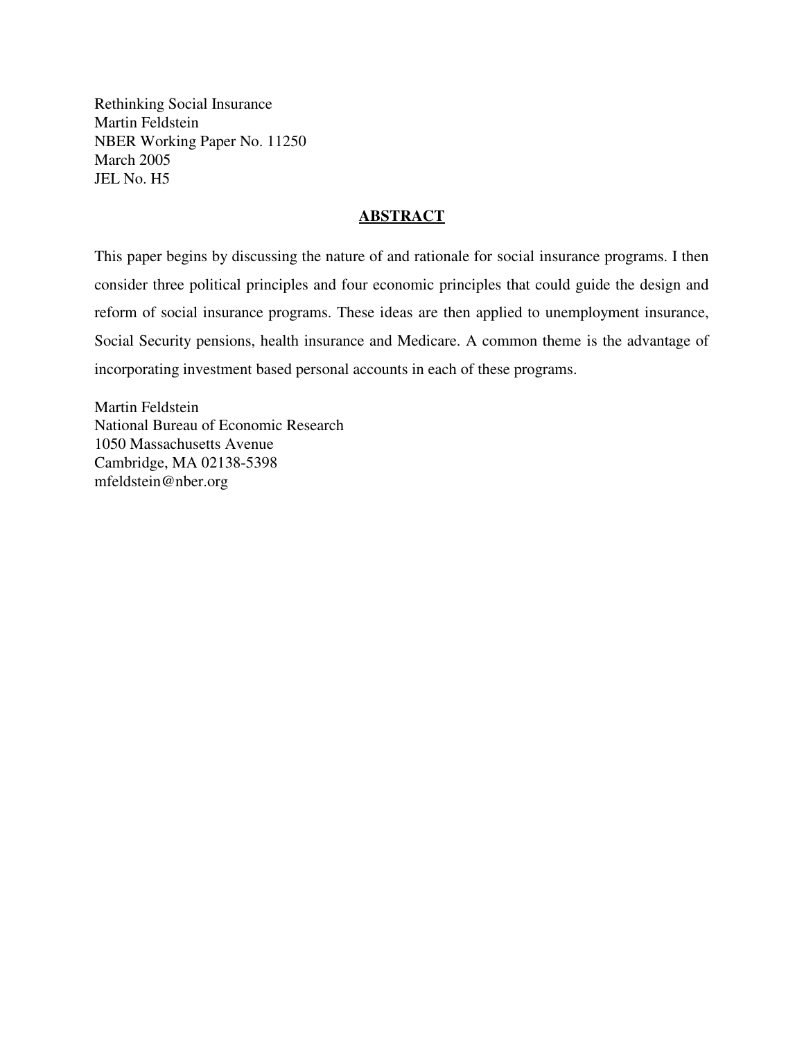Rethinking Social Insurance Martin Feldstein NBER Working Paper No. 11250 March 2005 JEL No. H5

# **ABSTRACT**

This paper begins by discussing the nature of and rationale for social insurance programs. I then consider three political principles and four economic principles that could guide the design and reform of social insurance programs. These ideas are then applied to unemployment insurance, Social Security pensions, health insurance and Medicare. A common theme is the advantage of incorporating investment based personal accounts in each of these programs.

Martin Feldstein National Bureau of Economic Research 1050 Massachusetts Avenue Cambridge, MA 02138-5398 mfeldstein@nber.org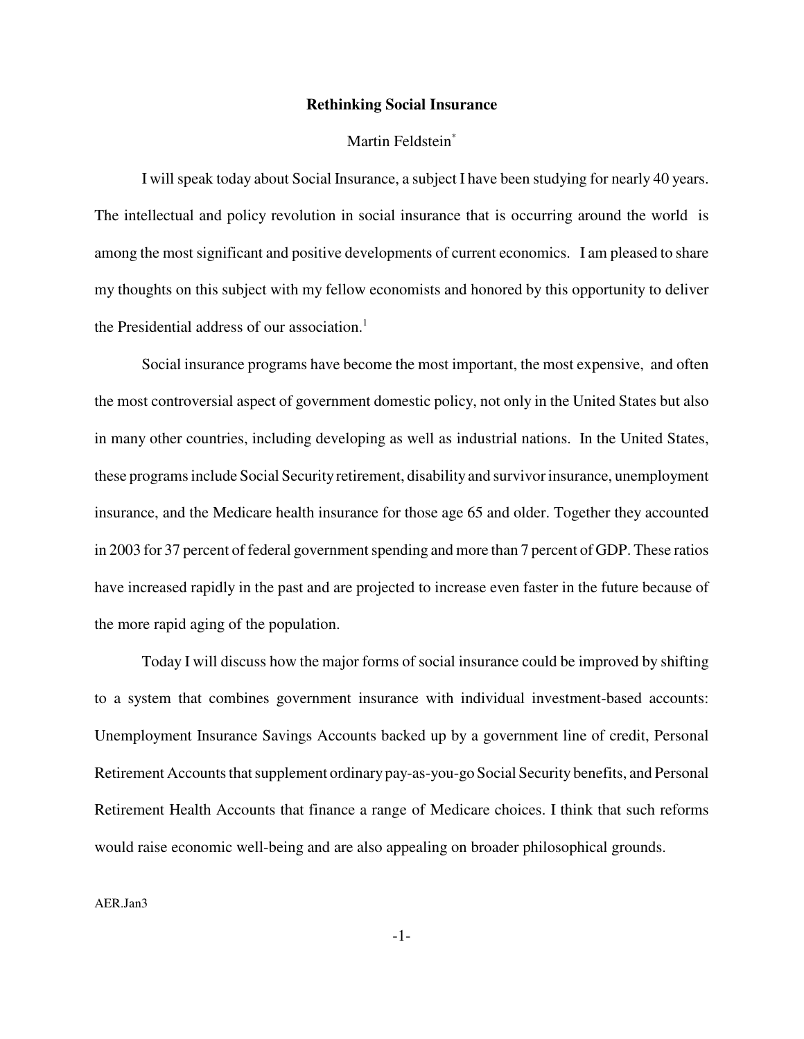#### **Rethinking Social Insurance**

# Martin Feldstein<sup>\*</sup>

I will speak today about Social Insurance, a subject I have been studying for nearly 40 years. The intellectual and policy revolution in social insurance that is occurring around the world is among the most significant and positive developments of current economics. I am pleased to share my thoughts on this subject with my fellow economists and honored by this opportunity to deliver the Presidential address of our association. 1

Social insurance programs have become the most important, the most expensive, and often the most controversial aspect of government domestic policy, not only in the United States but also in many other countries, including developing as well as industrial nations. In the United States, these programs include Social Security retirement, disability and survivor insurance, unemployment insurance, and the Medicare health insurance for those age 65 and older. Together they accounted in 2003 for 37 percent of federal government spending and more than 7 percent of GDP. These ratios have increased rapidly in the past and are projected to increase even faster in the future because of the more rapid aging of the population.

Today I will discuss how the major forms of social insurance could be improved by shifting to a system that combines government insurance with individual investment-based accounts: Unemployment Insurance Savings Accounts backed up by a government line of credit, Personal Retirement Accounts that supplement ordinary pay-as-you-go Social Security benefits, and Personal Retirement Health Accounts that finance a range of Medicare choices. I think that such reforms would raise economic well-being and are also appealing on broader philosophical grounds.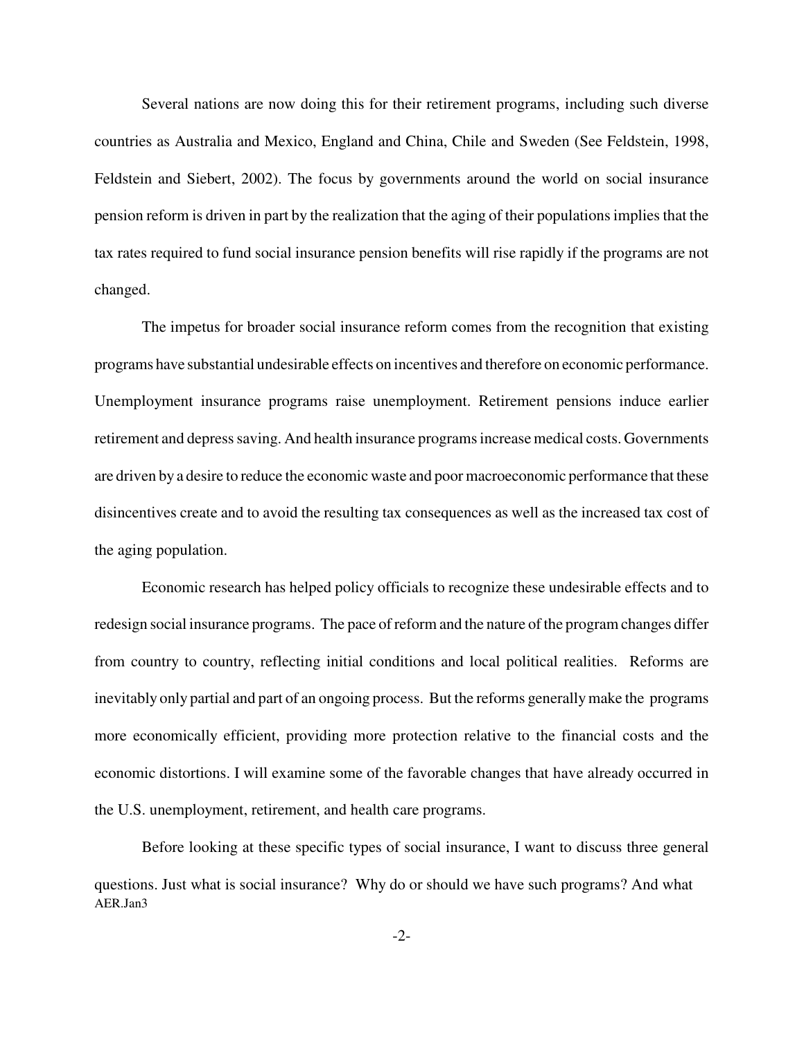Several nations are now doing this for their retirement programs, including such diverse countries as Australia and Mexico, England and China, Chile and Sweden (See Feldstein, 1998, Feldstein and Siebert, 2002). The focus by governments around the world on social insurance pension reform is driven in part by the realization that the aging of their populationsimpliesthat the tax rates required to fund social insurance pension benefits will rise rapidly if the programs are not changed.

The impetus for broader social insurance reform comes from the recognition that existing programs have substantial undesirable effects on incentives and therefore on economic performance. Unemployment insurance programs raise unemployment. Retirement pensions induce earlier retirement and depress saving. And health insurance programs increase medical costs. Governments are driven by a desire to reduce the economic waste and poor macroeconomic performance that these disincentives create and to avoid the resulting tax consequences as well as the increased tax cost of the aging population.

Economic research has helped policy officials to recognize these undesirable effects and to redesign social insurance programs. The pace of reform and the nature of the program changes differ from country to country, reflecting initial conditions and local political realities. Reforms are inevitably only partial and part of an ongoing process. But the reforms generallymake the programs more economically efficient, providing more protection relative to the financial costs and the economic distortions. I will examine some of the favorable changes that have already occurred in the U.S. unemployment, retirement, and health care programs.

AER.Jan3 Before looking at these specific types of social insurance, I want to discuss three general questions. Just what is social insurance? Why do or should we have such programs? And what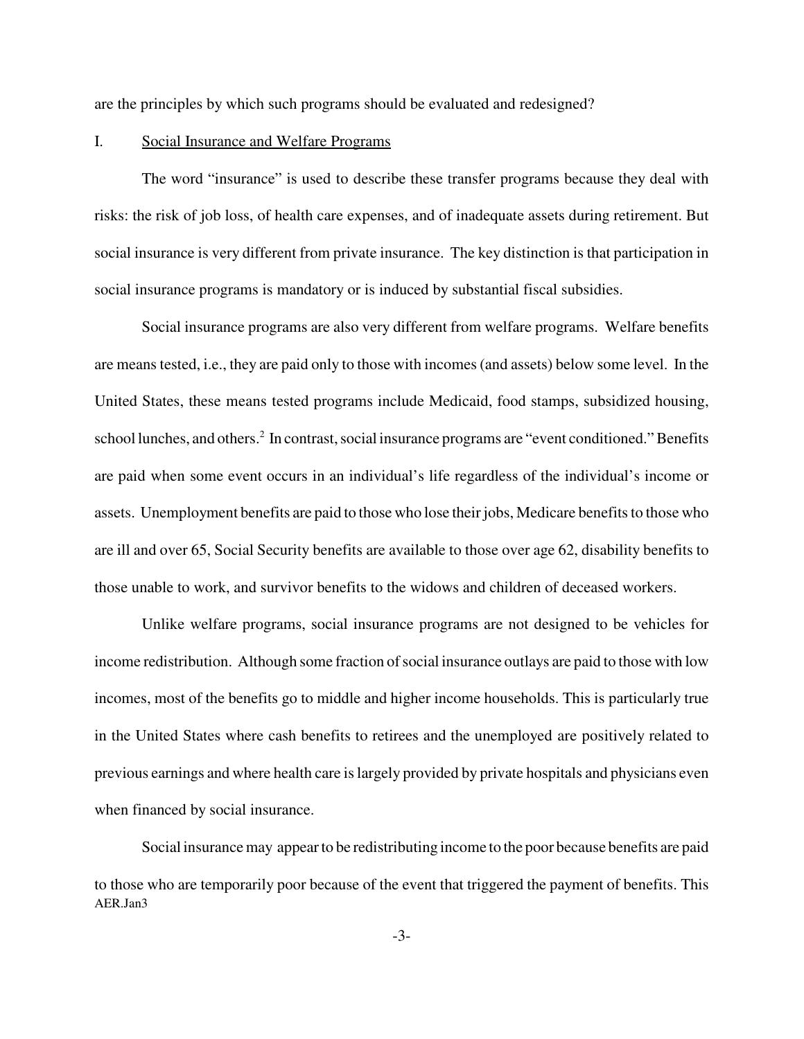are the principles by which such programs should be evaluated and redesigned?

#### I. Social Insurance and Welfare Programs

The word "insurance" is used to describe these transfer programs because they deal with risks: the risk of job loss, of health care expenses, and of inadequate assets during retirement. But social insurance is very different from private insurance. The key distinction is that participation in social insurance programs is mandatory or is induced by substantial fiscal subsidies.

Social insurance programs are also very different from welfare programs. Welfare benefits are meanstested, i.e., they are paid only to those with incomes(and assets) below some level. In the United States, these means tested programs include Medicaid, food stamps, subsidized housing, school lunches, and others.<sup>2</sup> In contrast, social insurance programs are "event conditioned." Benefits are paid when some event occurs in an individual's life regardless of the individual's income or assets. Unemployment benefits are paid to those who lose their jobs, Medicare benefits to those who are ill and over 65, Social Security benefits are available to those over age 62, disability benefits to those unable to work, and survivor benefits to the widows and children of deceased workers.

Unlike welfare programs, social insurance programs are not designed to be vehicles for income redistribution. Although some fraction of social insurance outlays are paid to those with low incomes, most of the benefits go to middle and higher income households. This is particularly true in the United States where cash benefits to retirees and the unemployed are positively related to previous earnings and where health care islargely provided by private hospitals and physicians even when financed by social insurance.

AER.Jan3 Social insurance may appear to be redistributing income to the poor because benefits are paid to those who are temporarily poor because of the event that triggered the payment of benefits. This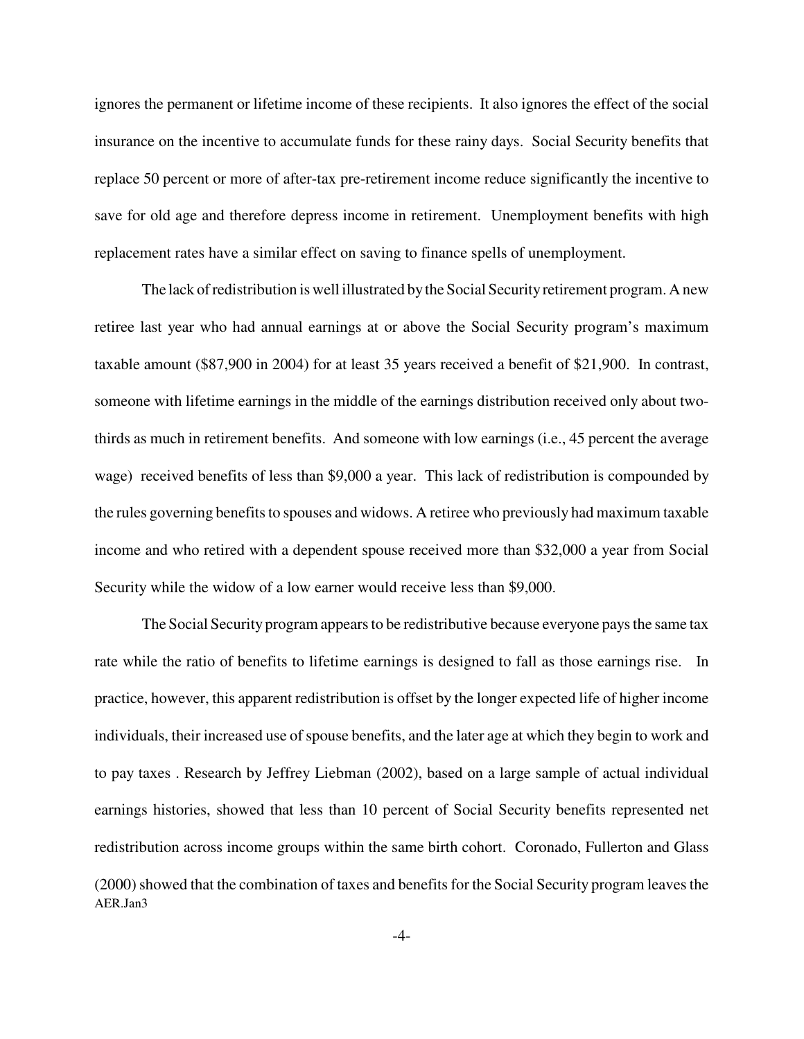ignores the permanent or lifetime income of these recipients. It also ignores the effect of the social insurance on the incentive to accumulate funds for these rainy days. Social Security benefits that replace 50 percent or more of after-tax pre-retirement income reduce significantly the incentive to save for old age and therefore depress income in retirement. Unemployment benefits with high replacement rates have a similar effect on saving to finance spells of unemployment.

The lack of redistribution is well illustrated by the Social Security retirement program. A new retiree last year who had annual earnings at or above the Social Security program's maximum taxable amount (\$87,900 in 2004) for at least 35 years received a benefit of \$21,900. In contrast, someone with lifetime earnings in the middle of the earnings distribution received only about twothirds as much in retirement benefits. And someone with low earnings (i.e., 45 percent the average wage) received benefits of less than \$9,000 a year. This lack of redistribution is compounded by the rules governing benefits to spouses and widows. A retiree who previously had maximum taxable income and who retired with a dependent spouse received more than \$32,000 a year from Social Security while the widow of a low earner would receive less than \$9,000.

AER.Jan3 The Social Security program appears to be redistributive because everyone pays the same tax rate while the ratio of benefits to lifetime earnings is designed to fall as those earnings rise. In practice, however, this apparent redistribution is offset by the longer expected life of higher income individuals, their increased use of spouse benefits, and the later age at which they begin to work and to pay taxes . Research by Jeffrey Liebman (2002), based on a large sample of actual individual earnings histories, showed that less than 10 percent of Social Security benefits represented net redistribution across income groups within the same birth cohort. Coronado, Fullerton and Glass (2000) showed that the combination of taxes and benefits for the Social Security program leaves the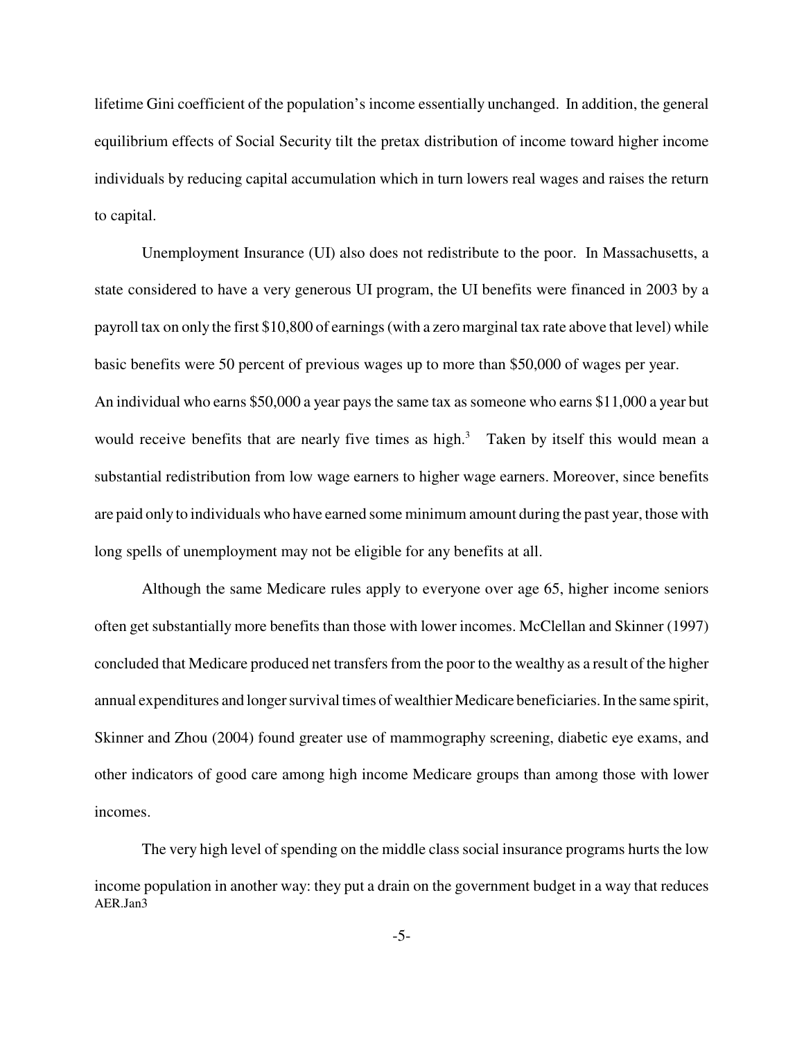lifetime Gini coefficient of the population's income essentially unchanged. In addition, the general equilibrium effects of Social Security tilt the pretax distribution of income toward higher income individuals by reducing capital accumulation which in turn lowers real wages and raises the return to capital.

Unemployment Insurance (UI) also does not redistribute to the poor. In Massachusetts, a state considered to have a very generous UI program, the UI benefits were financed in 2003 by a payroll tax on only the first \$10,800 of earnings(with a zero marginal tax rate above that level) while basic benefits were 50 percent of previous wages up to more than \$50,000 of wages per year. An individual who earns \$50,000 a year pays the same tax as someone who earns \$11,000 a year but would receive benefits that are nearly five times as high. $3$  Taken by itself this would mean a substantial redistribution from low wage earners to higher wage earners. Moreover, since benefits are paid only to individuals who have earned some minimum amount during the past year, those with long spells of unemployment may not be eligible for any benefits at all.

Although the same Medicare rules apply to everyone over age 65, higher income seniors often get substantially more benefits than those with lower incomes. McClellan and Skinner (1997) concluded that Medicare produced net transfers from the poor to the wealthy as a result of the higher annual expenditures and longer survival times of wealthier Medicare beneficiaries. In the same spirit, Skinner and Zhou (2004) found greater use of mammography screening, diabetic eye exams, and other indicators of good care among high income Medicare groups than among those with lower incomes.

AER.Jan3 The very high level of spending on the middle class social insurance programs hurts the low income population in another way: they put a drain on the government budget in a way that reduces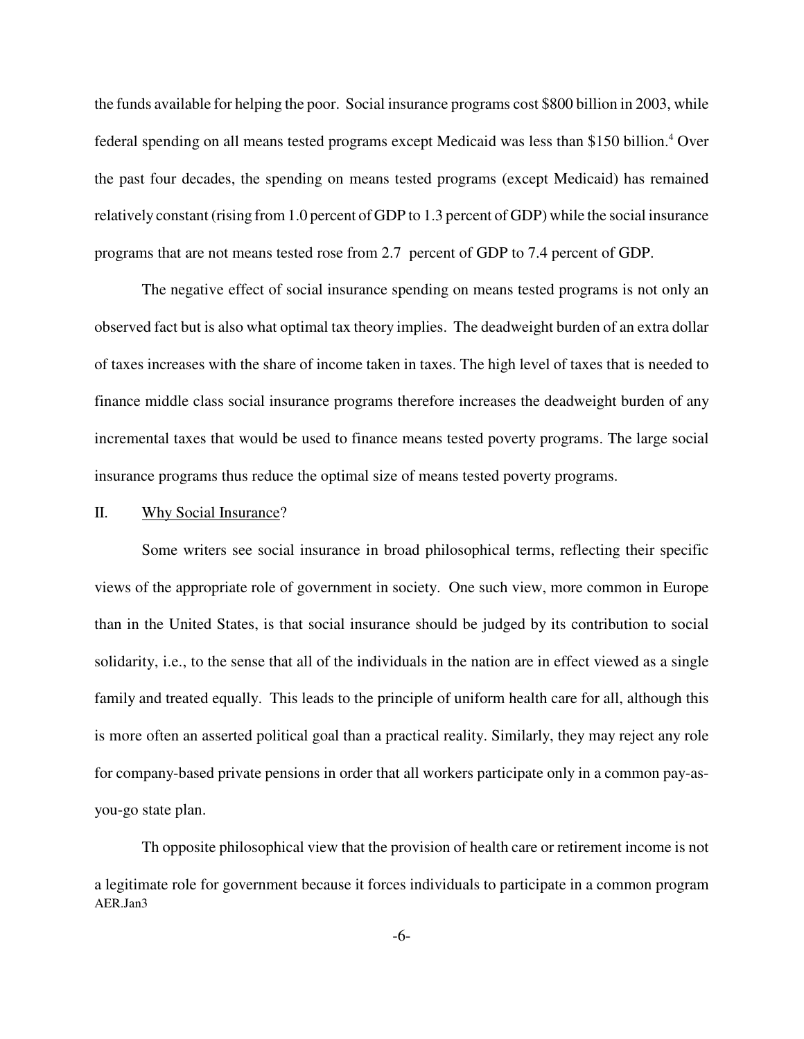the funds available for helping the poor. Social insurance programs cost \$800 billion in 2003, while federal spending on all means tested programs except Medicaid was less than \$150 billion. <sup>4</sup> Over the past four decades, the spending on means tested programs (except Medicaid) has remained relatively constant (rising from 1.0 percent of GDP to 1.3 percent of GDP) while the social insurance programs that are not means tested rose from 2.7 percent of GDP to 7.4 percent of GDP.

The negative effect of social insurance spending on means tested programs is not only an observed fact but is also what optimal tax theory implies. The deadweight burden of an extra dollar of taxes increases with the share of income taken in taxes. The high level of taxes that is needed to finance middle class social insurance programs therefore increases the deadweight burden of any incremental taxes that would be used to finance means tested poverty programs. The large social insurance programs thus reduce the optimal size of means tested poverty programs.

#### II. Why Social Insurance?

Some writers see social insurance in broad philosophical terms, reflecting their specific views of the appropriate role of government in society. One such view, more common in Europe than in the United States, is that social insurance should be judged by its contribution to social solidarity, i.e., to the sense that all of the individuals in the nation are in effect viewed as a single family and treated equally. This leads to the principle of uniform health care for all, although this is more often an asserted political goal than a practical reality. Similarly, they may reject any role for company-based private pensions in order that all workers participate only in a common pay-asyou-go state plan.

AER.Jan3 Th opposite philosophical view that the provision of health care or retirement income is not a legitimate role for government because it forces individuals to participate in a common program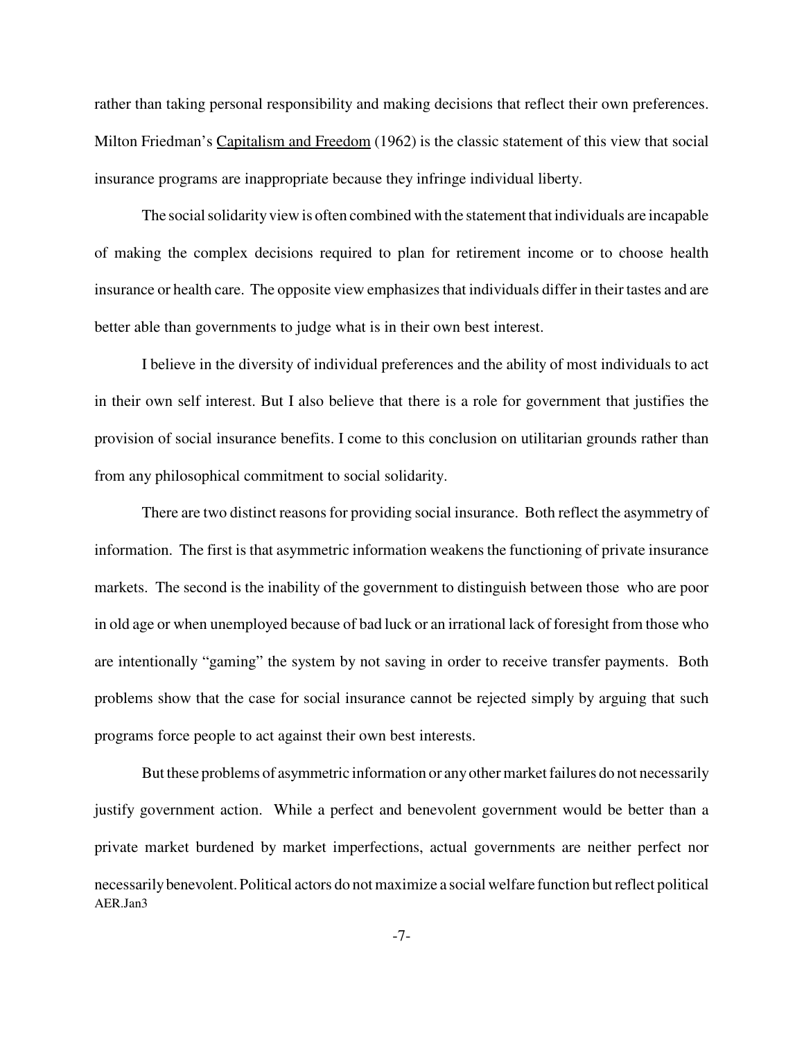rather than taking personal responsibility and making decisions that reflect their own preferences. Milton Friedman's Capitalism and Freedom (1962) is the classic statement of this view that social insurance programs are inappropriate because they infringe individual liberty.

The social solidarity view is often combined with the statement that individuals are incapable of making the complex decisions required to plan for retirement income or to choose health insurance or health care. The opposite view emphasizesthat individuals differ in their tastes and are better able than governments to judge what is in their own best interest.

I believe in the diversity of individual preferences and the ability of most individuals to act in their own self interest. But I also believe that there is a role for government that justifies the provision of social insurance benefits. I come to this conclusion on utilitarian grounds rather than from any philosophical commitment to social solidarity.

There are two distinct reasons for providing social insurance. Both reflect the asymmetry of information. The first is that asymmetric information weakens the functioning of private insurance markets. The second is the inability of the government to distinguish between those who are poor in old age or when unemployed because of bad luck or an irrational lack of foresight from those who are intentionally "gaming" the system by not saving in order to receive transfer payments. Both problems show that the case for social insurance cannot be rejected simply by arguing that such programs force people to act against their own best interests.

AER.Jan3 But these problems of asymmetric information or any other market failures do not necessarily justify government action. While a perfect and benevolent government would be better than a private market burdened by market imperfections, actual governments are neither perfect nor necessarily benevolent. Political actors do not maximize a social welfare function but reflect political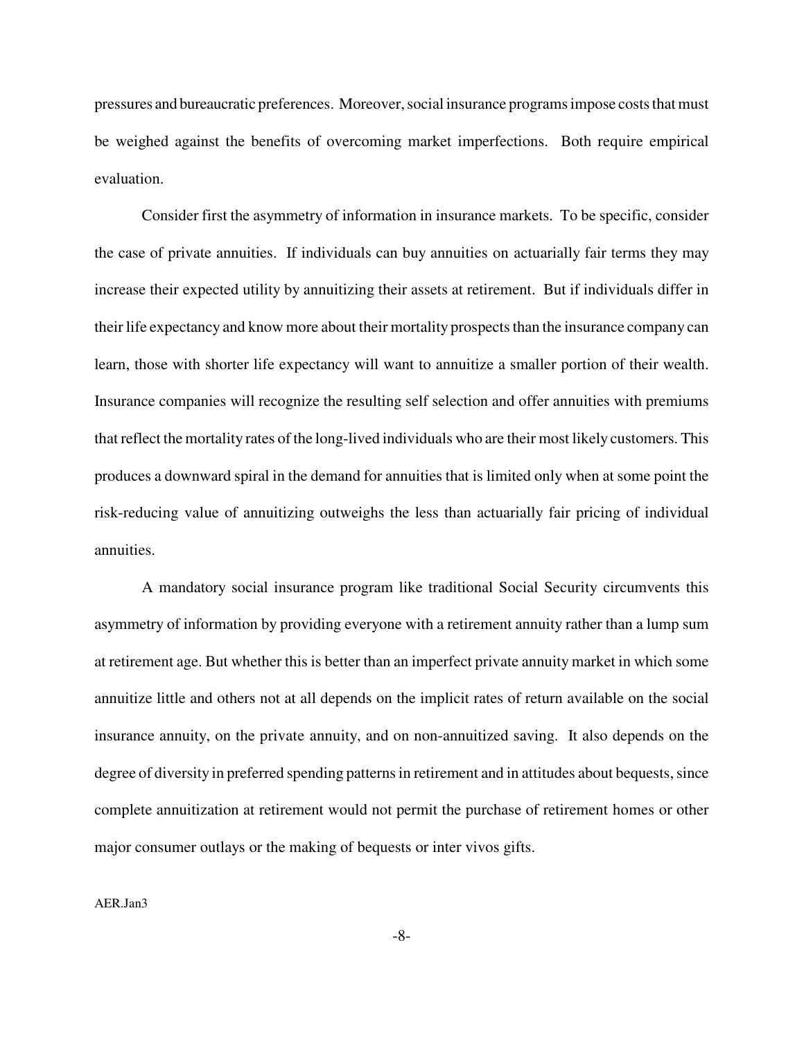pressures and bureaucratic preferences. Moreover,social insurance programsimpose coststhatmust be weighed against the benefits of overcoming market imperfections. Both require empirical evaluation.

Consider first the asymmetry of information in insurance markets. To be specific, consider the case of private annuities. If individuals can buy annuities on actuarially fair terms they may increase their expected utility by annuitizing their assets at retirement. But if individuals differ in their life expectancy and know more about their mortality prospects than the insurance company can learn, those with shorter life expectancy will want to annuitize a smaller portion of their wealth. Insurance companies will recognize the resulting self selection and offer annuities with premiums that reflect the mortality rates of the long-lived individuals who are their most likely customers. This produces a downward spiral in the demand for annuities that is limited only when at some point the risk-reducing value of annuitizing outweighs the less than actuarially fair pricing of individual annuities.

A mandatory social insurance program like traditional Social Security circumvents this asymmetry of information by providing everyone with a retirement annuity rather than a lump sum at retirement age. But whether this is better than an imperfect private annuity market in which some annuitize little and others not at all depends on the implicit rates of return available on the social insurance annuity, on the private annuity, and on non-annuitized saving. It also depends on the degree of diversity in preferred spending patterns in retirement and in attitudes about bequests, since complete annuitization at retirement would not permit the purchase of retirement homes or other major consumer outlays or the making of bequests or inter vivos gifts.

AER.Jan3

-8-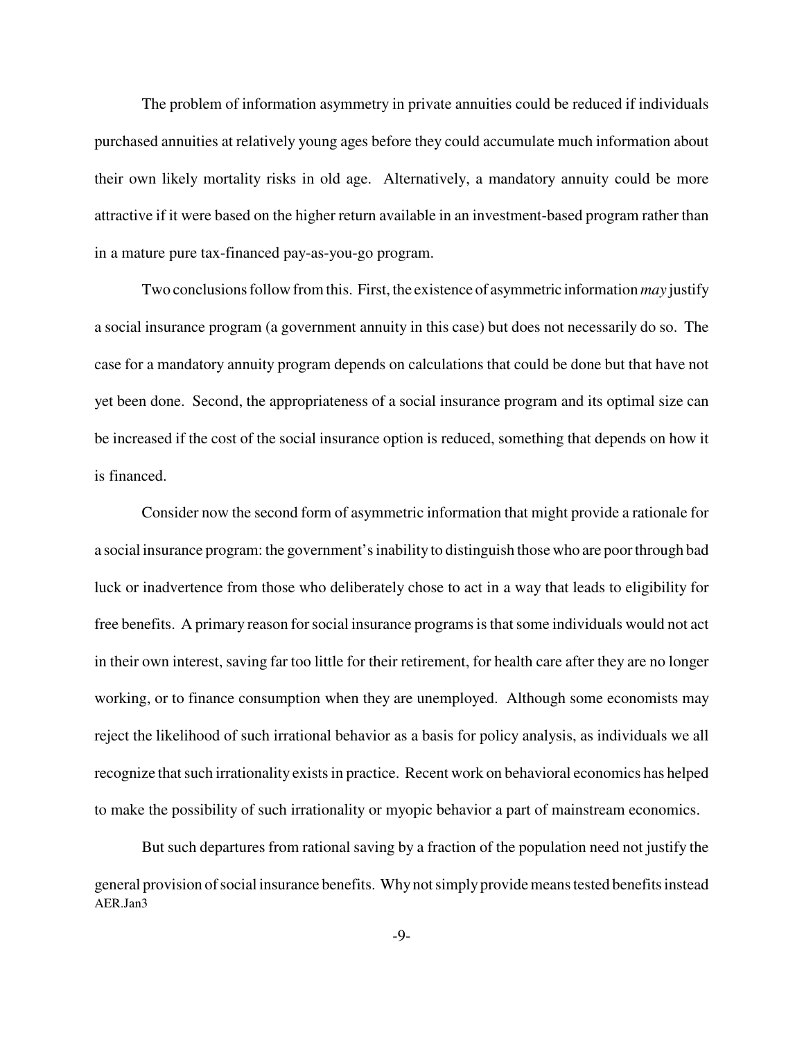The problem of information asymmetry in private annuities could be reduced if individuals purchased annuities at relatively young ages before they could accumulate much information about their own likely mortality risks in old age. Alternatively, a mandatory annuity could be more attractive if it were based on the higher return available in an investment-based program rather than in a mature pure tax-financed pay-as-you-go program.

Two conclusionsfollow fromthis. First, the existence of asymmetric information *may* justify a social insurance program (a government annuity in this case) but does not necessarily do so. The case for a mandatory annuity program depends on calculations that could be done but that have not yet been done. Second, the appropriateness of a social insurance program and its optimal size can be increased if the cost of the social insurance option is reduced, something that depends on how it is financed.

Consider now the second form of asymmetric information that might provide a rationale for a social insurance program: the government'sinability to distinguish those who are poorthrough bad luck or inadvertence from those who deliberately chose to act in a way that leads to eligibility for free benefits. A primary reason for social insurance programs is that some individuals would not act in their own interest, saving far too little for their retirement, for health care after they are no longer working, or to finance consumption when they are unemployed. Although some economists may reject the likelihood of such irrational behavior as a basis for policy analysis, as individuals we all recognize that such irrationality exists in practice. Recent work on behavioral economics has helped to make the possibility of such irrationality or myopic behavior a part of mainstream economics.

AER.Jan3 But such departures from rational saving by a fraction of the population need not justify the general provision of social insurance benefits. Why not simply provide means tested benefits instead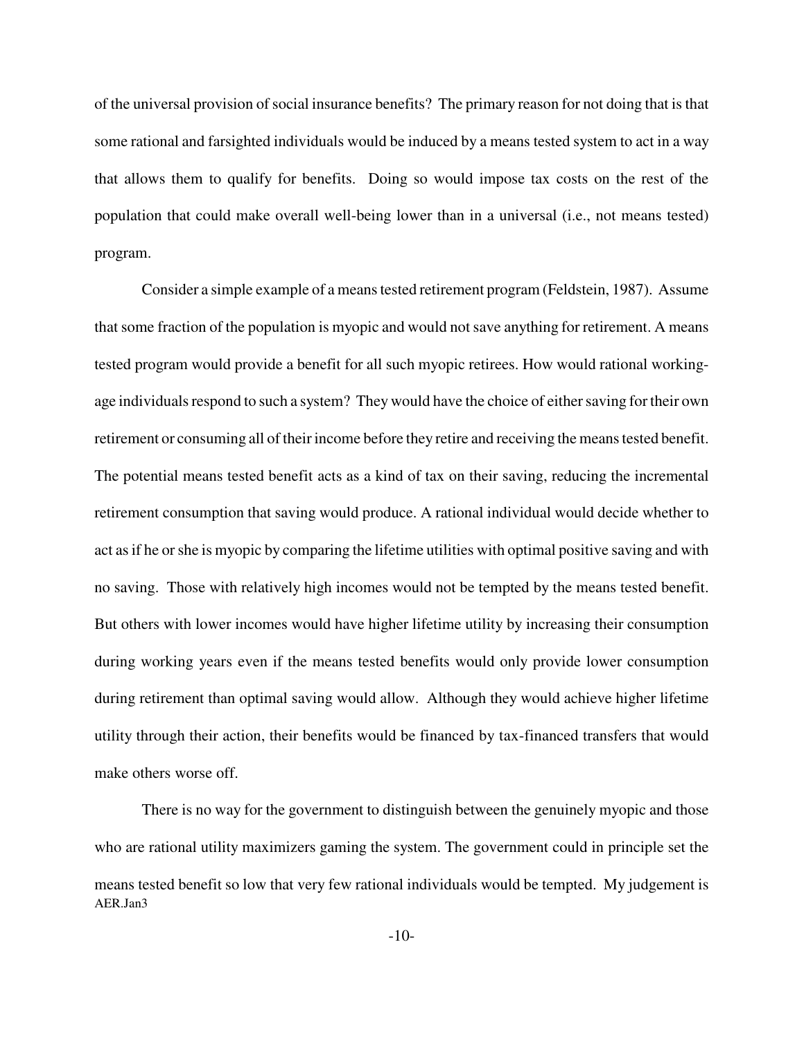of the universal provision of social insurance benefits? The primary reason for not doing that is that some rational and farsighted individuals would be induced by a means tested system to act in a way that allows them to qualify for benefits. Doing so would impose tax costs on the rest of the population that could make overall well-being lower than in a universal (i.e., not means tested) program.

Consider a simple example of a meanstested retirement program (Feldstein, 1987). Assume that some fraction of the population is myopic and would not save anything for retirement. A means tested program would provide a benefit for all such myopic retirees. How would rational workingage individuals respond to such a system? They would have the choice of either saving for their own retirement or consuming all of their income before they retire and receiving the meanstested benefit. The potential means tested benefit acts as a kind of tax on their saving, reducing the incremental retirement consumption that saving would produce. A rational individual would decide whether to act as if he or she is myopic by comparing the lifetime utilities with optimal positive saving and with no saving. Those with relatively high incomes would not be tempted by the means tested benefit. But others with lower incomes would have higher lifetime utility by increasing their consumption during working years even if the means tested benefits would only provide lower consumption during retirement than optimal saving would allow. Although they would achieve higher lifetime utility through their action, their benefits would be financed by tax-financed transfers that would make others worse off.

AER.Jan3 There is no way for the government to distinguish between the genuinely myopic and those who are rational utility maximizers gaming the system. The government could in principle set the means tested benefit so low that very few rational individuals would be tempted. My judgement is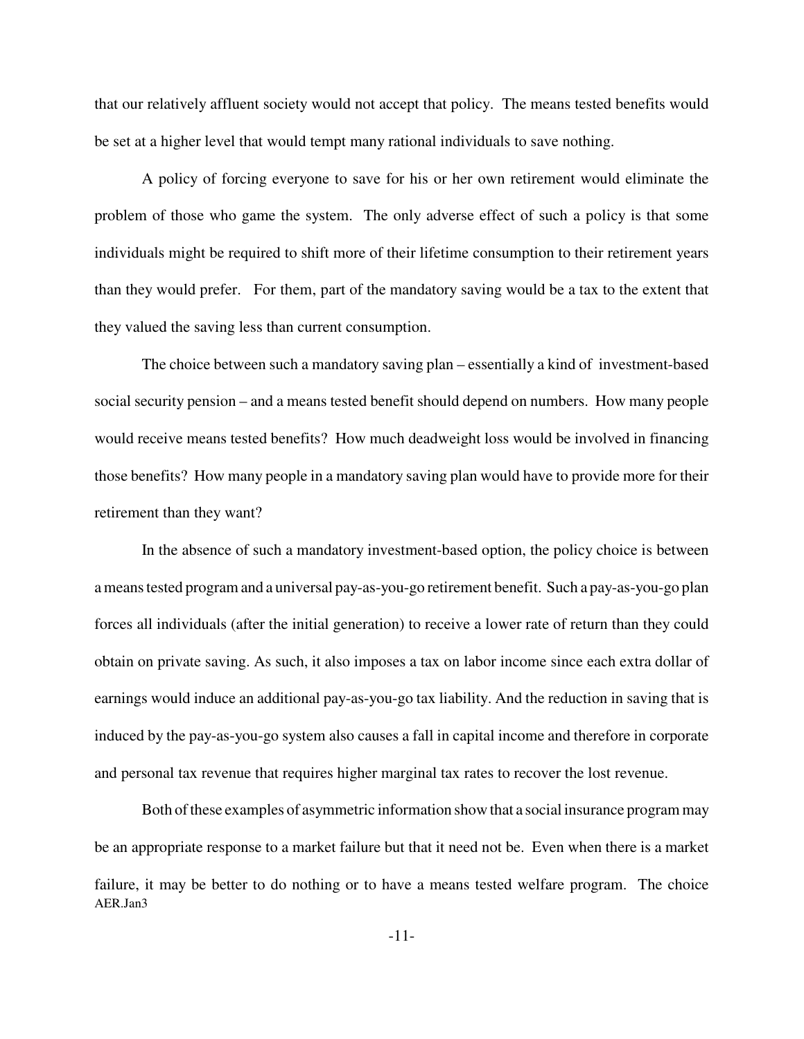that our relatively affluent society would not accept that policy. The means tested benefits would be set at a higher level that would tempt many rational individuals to save nothing.

A policy of forcing everyone to save for his or her own retirement would eliminate the problem of those who game the system. The only adverse effect of such a policy is that some individuals might be required to shift more of their lifetime consumption to their retirement years than they would prefer. For them, part of the mandatory saving would be a tax to the extent that they valued the saving less than current consumption.

The choice between such a mandatory saving plan – essentially a kind of investment-based social security pension – and a means tested benefit should depend on numbers. How many people would receive means tested benefits? How much deadweight loss would be involved in financing those benefits? How many people in a mandatory saving plan would have to provide more for their retirement than they want?

In the absence of such a mandatory investment-based option, the policy choice is between ameanstested programand a universal pay-as-you-go retirement benefit. Such a pay-as-you-go plan forces all individuals (after the initial generation) to receive a lower rate of return than they could obtain on private saving. As such, it also imposes a tax on labor income since each extra dollar of earnings would induce an additional pay-as-you-go tax liability. And the reduction in saving that is induced by the pay-as-you-go system also causes a fall in capital income and therefore in corporate and personal tax revenue that requires higher marginal tax rates to recover the lost revenue.

AER.Jan3 Both of these examples of asymmetric information show that a social insurance programmay be an appropriate response to a market failure but that it need not be. Even when there is a market failure, it may be better to do nothing or to have a means tested welfare program. The choice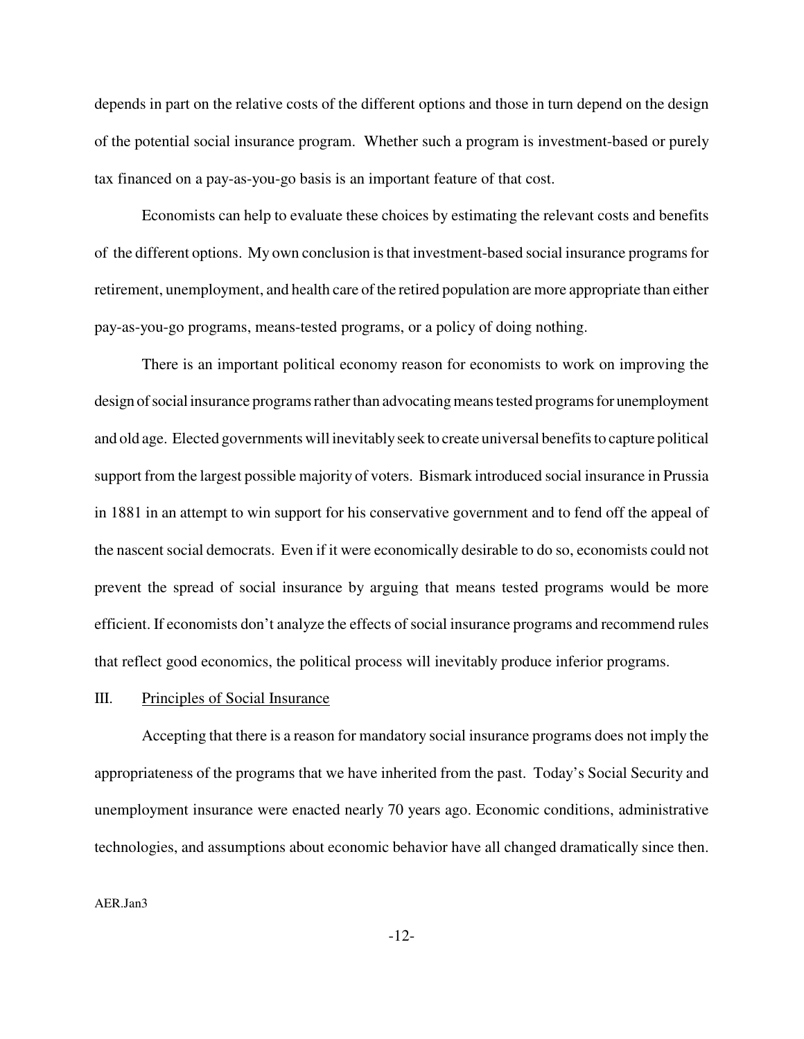depends in part on the relative costs of the different options and those in turn depend on the design of the potential social insurance program. Whether such a program is investment-based or purely tax financed on a pay-as-you-go basis is an important feature of that cost.

Economists can help to evaluate these choices by estimating the relevant costs and benefits of the different options. My own conclusion isthat investment-based social insurance programsfor retirement, unemployment, and health care of the retired population are more appropriate than either pay-as-you-go programs, means-tested programs, or a policy of doing nothing.

There is an important political economy reason for economists to work on improving the design of social insurance programs rather than advocating means tested programs for unemployment and old age. Elected governments will inevitably seek to create universal benefits to capture political support from the largest possible majority of voters. Bismark introduced social insurance in Prussia in 1881 in an attempt to win support for his conservative government and to fend off the appeal of the nascent social democrats. Even if it were economically desirable to do so, economists could not prevent the spread of social insurance by arguing that means tested programs would be more efficient. If economists don't analyze the effects of social insurance programs and recommend rules that reflect good economics, the political process will inevitably produce inferior programs.

## III. Principles of Social Insurance

Accepting that there is a reason for mandatory social insurance programs does not imply the appropriateness of the programs that we have inherited from the past. Today's Social Security and unemployment insurance were enacted nearly 70 years ago. Economic conditions, administrative technologies, and assumptions about economic behavior have all changed dramatically since then.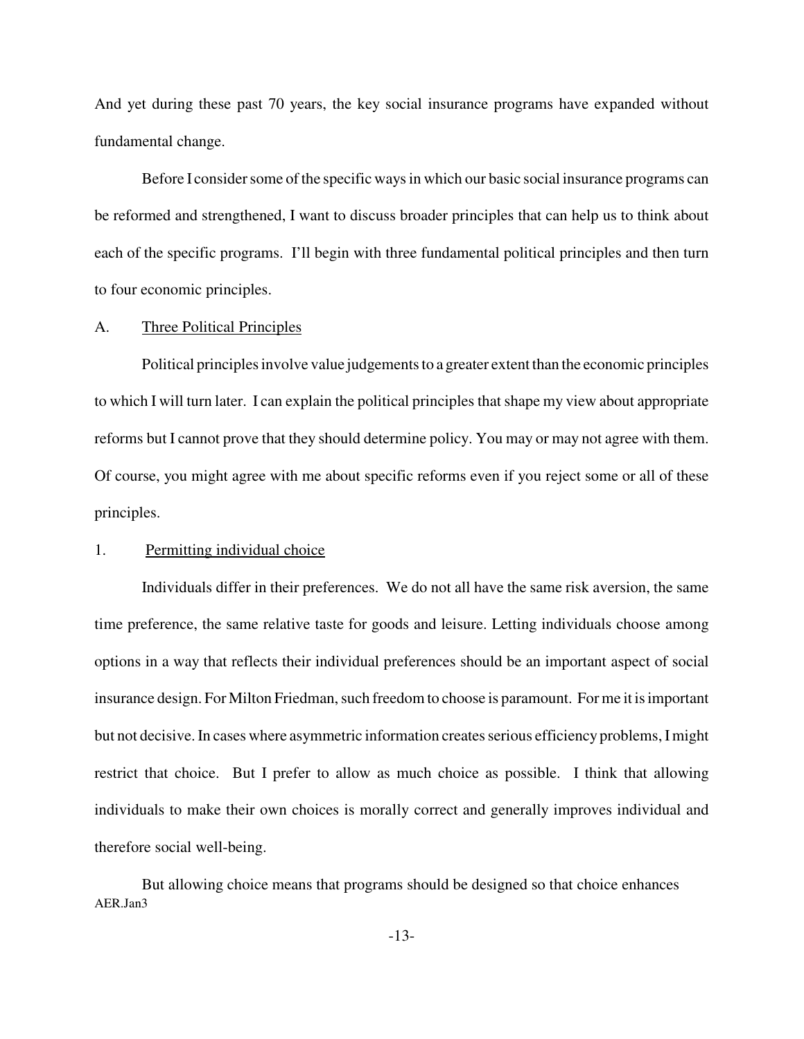And yet during these past 70 years, the key social insurance programs have expanded without fundamental change.

Before I consider some of the specific ways in which our basic social insurance programs can be reformed and strengthened, I want to discuss broader principles that can help us to think about each of the specific programs. I'll begin with three fundamental political principles and then turn to four economic principles.

#### A. Three Political Principles

Political principles involve value judgements to a greater extent than the economic principles to which I will turn later. I can explain the political principles that shape my view about appropriate reforms but I cannot prove that they should determine policy. You may or may not agree with them. Of course, you might agree with me about specific reforms even if you reject some or all of these principles.

#### 1. Permitting individual choice

Individuals differ in their preferences. We do not all have the same risk aversion, the same time preference, the same relative taste for goods and leisure. Letting individuals choose among options in a way that reflects their individual preferences should be an important aspect of social insurance design. For Milton Friedman, such freedom to choose is paramount. For me it is important but not decisive. In cases where asymmetric information creates serious efficiency problems, I might restrict that choice. But I prefer to allow as much choice as possible. I think that allowing individuals to make their own choices is morally correct and generally improves individual and therefore social well-being.

AER.Jan3 But allowing choice means that programs should be designed so that choice enhances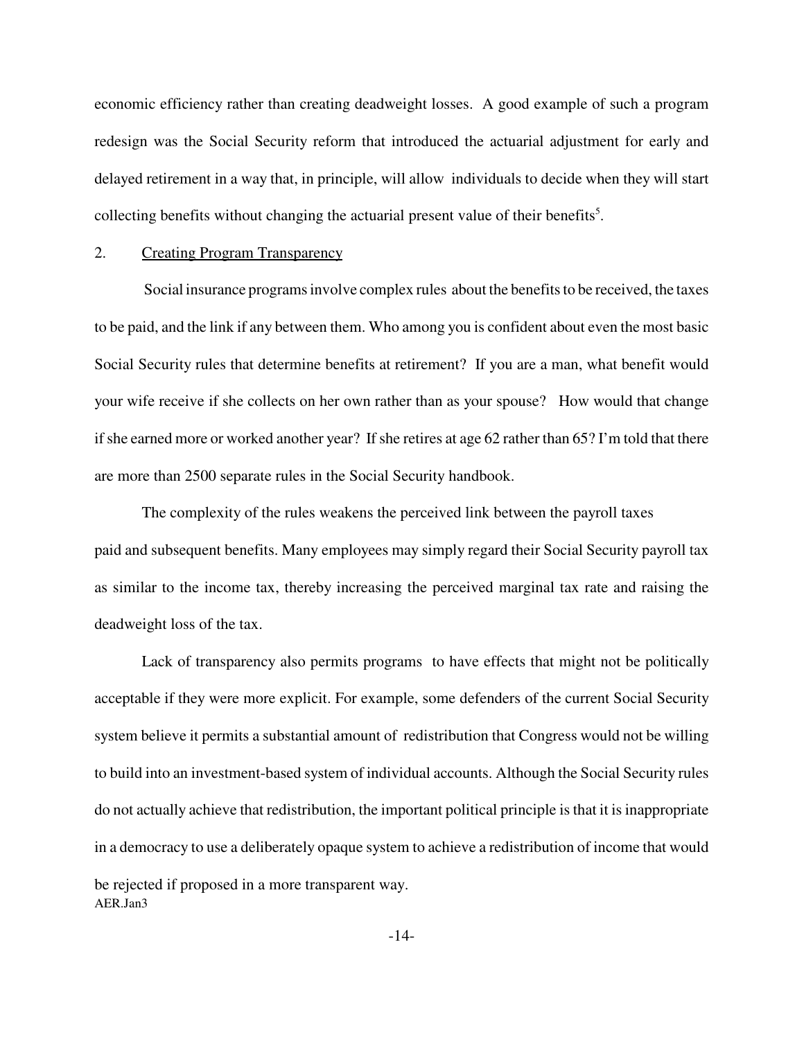economic efficiency rather than creating deadweight losses. A good example of such a program redesign was the Social Security reform that introduced the actuarial adjustment for early and delayed retirement in a way that, in principle, will allow individuals to decide when they will start collecting benefits without changing the actuarial present value of their benefits<sup>5</sup>.

#### 2. Creating Program Transparency

Social insurance programs involve complex rules about the benefits to be received, the taxes to be paid, and the link if any between them. Who among you is confident about even the most basic Social Security rules that determine benefits at retirement? If you are a man, what benefit would your wife receive if she collects on her own rather than as your spouse? How would that change if she earned more or worked another year? If she retires at age 62 rather than 65? I'm told that there are more than 2500 separate rules in the Social Security handbook.

The complexity of the rules weakens the perceived link between the payroll taxes paid and subsequent benefits. Many employees may simply regard their Social Security payroll tax as similar to the income tax, thereby increasing the perceived marginal tax rate and raising the deadweight loss of the tax.

AER.Jan3 Lack of transparency also permits programs to have effects that might not be politically acceptable if they were more explicit. For example, some defenders of the current Social Security system believe it permits a substantial amount of redistribution that Congress would not be willing to build into an investment-based system of individual accounts. Although the Social Security rules do not actually achieve that redistribution, the important political principle isthat it isinappropriate in a democracy to use a deliberately opaque system to achieve a redistribution of income that would be rejected if proposed in a more transparent way.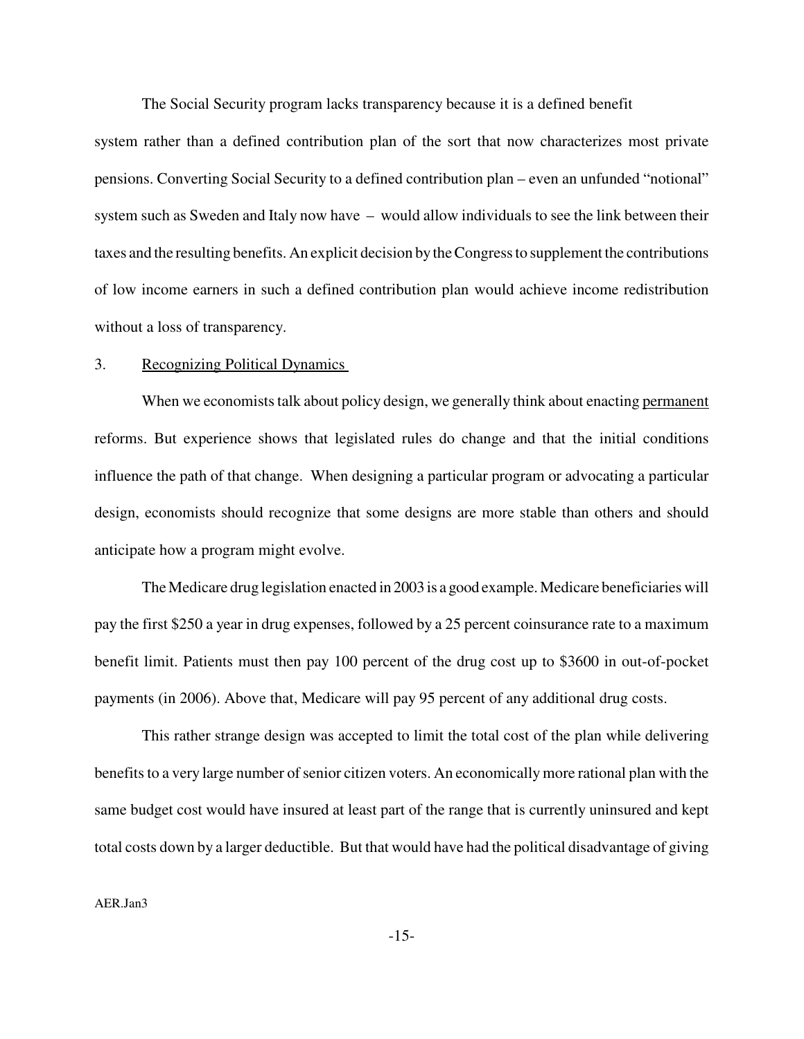The Social Security program lacks transparency because it is a defined benefit

system rather than a defined contribution plan of the sort that now characterizes most private pensions. Converting Social Security to a defined contribution plan – even an unfunded "notional" system such as Sweden and Italy now have – would allow individuals to see the link between their taxes and the resulting benefits. An explicit decision bytheCongressto supplement the contributions of low income earners in such a defined contribution plan would achieve income redistribution without a loss of transparency.

#### 3. Recognizing Political Dynamics

When we economists talk about policy design, we generally think about enacting permanent reforms. But experience shows that legislated rules do change and that the initial conditions influence the path of that change. When designing a particular program or advocating a particular design, economists should recognize that some designs are more stable than others and should anticipate how a program might evolve.

The Medicare drug legislation enacted in 2003 is a good example. Medicare beneficiaries will pay the first \$250 a year in drug expenses, followed by a 25 percent coinsurance rate to a maximum benefit limit. Patients must then pay 100 percent of the drug cost up to \$3600 in out-of-pocket payments (in 2006). Above that, Medicare will pay 95 percent of any additional drug costs.

This rather strange design was accepted to limit the total cost of the plan while delivering benefits to a very large number of senior citizen voters. An economically more rational plan with the same budget cost would have insured at least part of the range that is currently uninsured and kept total costs down by a larger deductible. But that would have had the political disadvantage of giving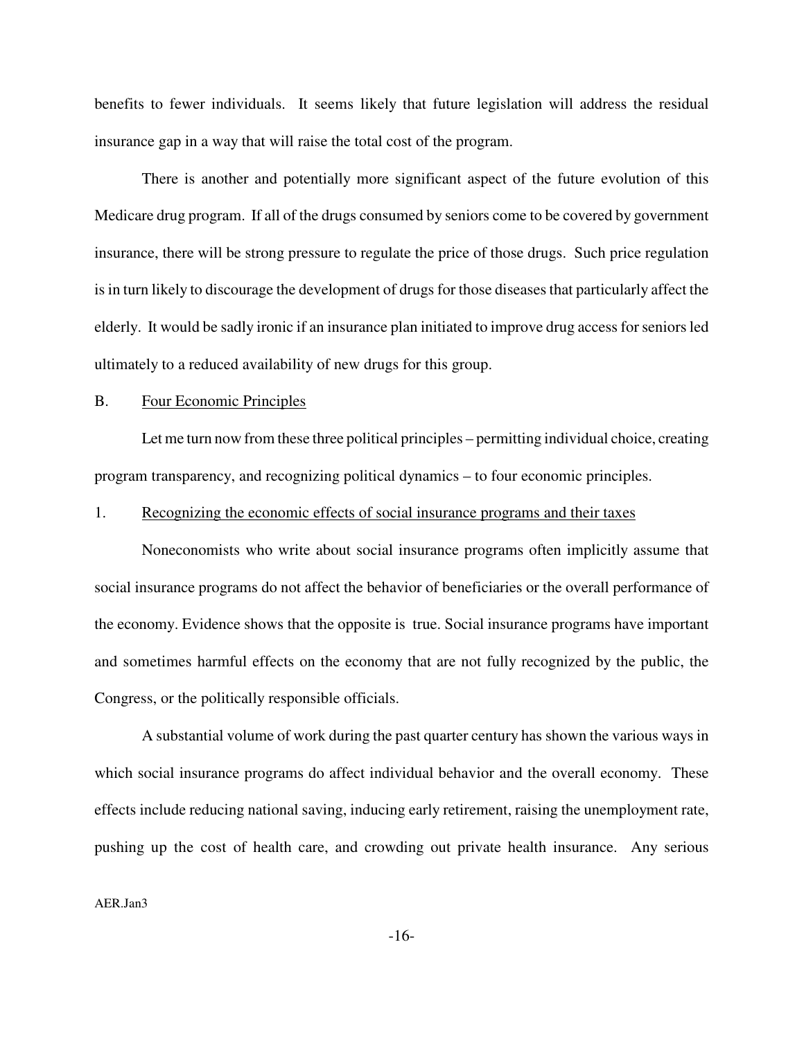benefits to fewer individuals. It seems likely that future legislation will address the residual insurance gap in a way that will raise the total cost of the program.

There is another and potentially more significant aspect of the future evolution of this Medicare drug program. If all of the drugs consumed by seniors come to be covered by government insurance, there will be strong pressure to regulate the price of those drugs. Such price regulation isin turn likely to discourage the development of drugs for those diseasesthat particularly affect the elderly. It would be sadly ironic if an insurance plan initiated to improve drug access for seniors led ultimately to a reduced availability of new drugs for this group.

#### B. Four Economic Principles

Let me turn now from these three political principles – permitting individual choice, creating program transparency, and recognizing political dynamics – to four economic principles.

## 1. Recognizing the economic effects of social insurance programs and their taxes

Noneconomists who write about social insurance programs often implicitly assume that social insurance programs do not affect the behavior of beneficiaries or the overall performance of the economy. Evidence shows that the opposite is true. Social insurance programs have important and sometimes harmful effects on the economy that are not fully recognized by the public, the Congress, or the politically responsible officials.

A substantial volume of work during the past quarter century has shown the various ways in which social insurance programs do affect individual behavior and the overall economy. These effects include reducing national saving, inducing early retirement, raising the unemployment rate, pushing up the cost of health care, and crowding out private health insurance. Any serious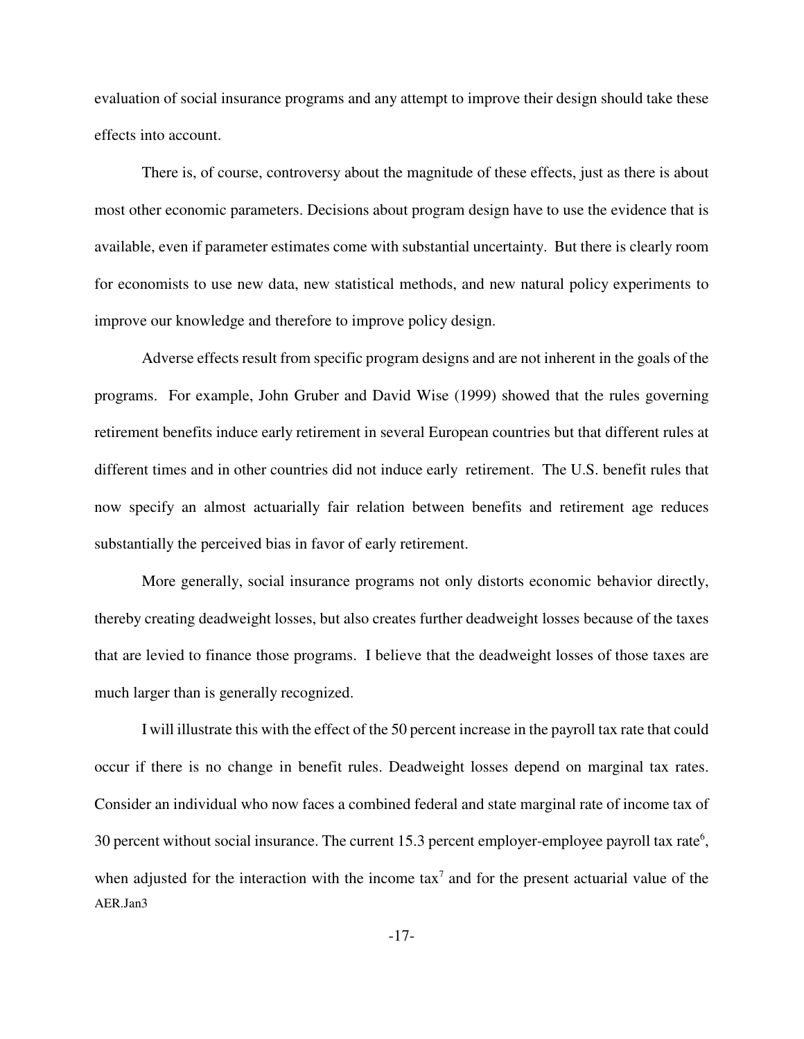evaluation of social insurance programs and any attempt to improve their design should take these effects into account.

There is, of course, controversy about the magnitude of these effects, just as there is about most other economic parameters. Decisions about program design have to use the evidence that is available, even if parameter estimates come with substantial uncertainty. But there is clearly room for economists to use new data, new statistical methods, and new natural policy experiments to improve our knowledge and therefore to improve policy design.

Adverse effects result from specific program designs and are not inherent in the goals of the programs. For example, John Gruber and David Wise (1999) showed that the rules governing retirement benefits induce early retirement in several European countries but that different rules at different times and in other countries did not induce early retirement. The U.S. benefit rules that now specify an almost actuarially fair relation between benefits and retirement age reduces substantially the perceived bias in favor of early retirement.

More generally, social insurance programs not only distorts economic behavior directly, thereby creating deadweight losses, but also creates further deadweight losses because of the taxes that are levied to finance those programs. I believe that the deadweight losses of those taxes are much larger than is generally recognized.

AER.Jan3 I will illustrate this with the effect of the 50 percent increase in the payroll tax rate that could occur if there is no change in benefit rules. Deadweight losses depend on marginal tax rates. Consider an individual who now faces a combined federal and state marginal rate of income tax of 30 percent without social insurance. The current 15.3 percent employer-employee payroll tax rate<sup>6</sup>, when adjusted for the interaction with the income tax<sup>7</sup> and for the present actuarial value of the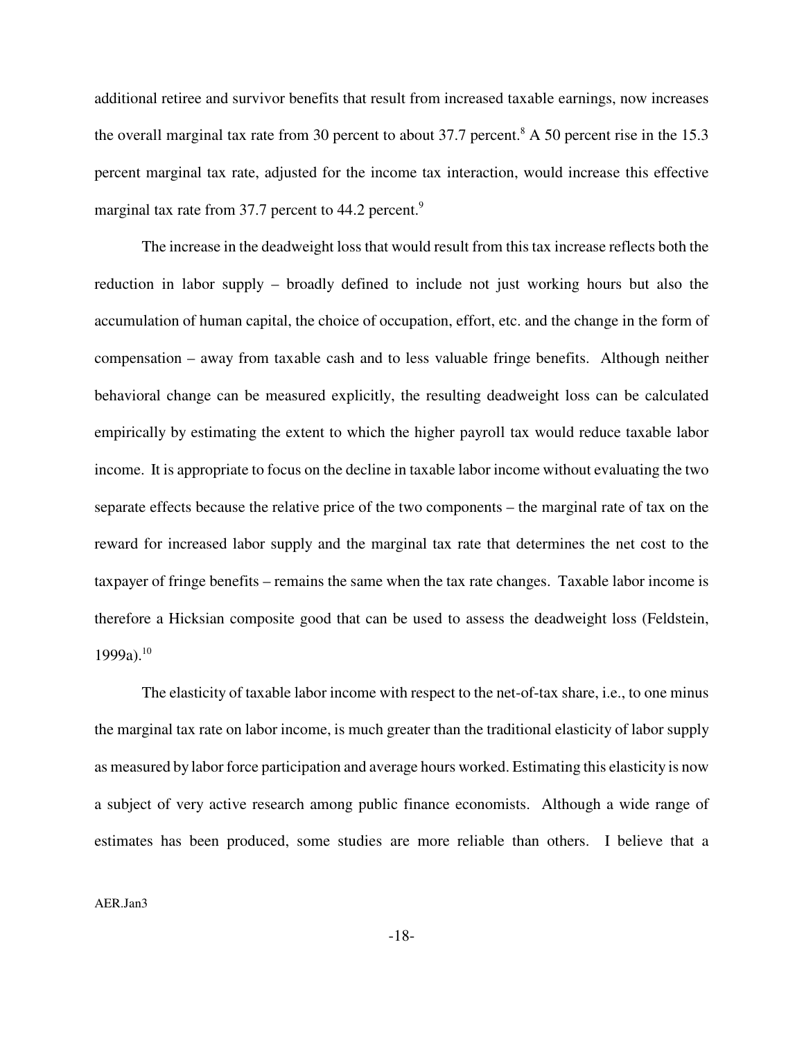additional retiree and survivor benefits that result from increased taxable earnings, now increases the overall marginal tax rate from 30 percent to about 37.7 percent.<sup>8</sup> A 50 percent rise in the 15.3 percent marginal tax rate, adjusted for the income tax interaction, would increase this effective marginal tax rate from 37.7 percent to 44.2 percent.<sup>9</sup>

The increase in the deadweight loss that would result from this tax increase reflects both the reduction in labor supply – broadly defined to include not just working hours but also the accumulation of human capital, the choice of occupation, effort, etc. and the change in the form of compensation – away from taxable cash and to less valuable fringe benefits. Although neither behavioral change can be measured explicitly, the resulting deadweight loss can be calculated empirically by estimating the extent to which the higher payroll tax would reduce taxable labor income. It is appropriate to focus on the decline in taxable labor income without evaluating the two separate effects because the relative price of the two components – the marginal rate of tax on the reward for increased labor supply and the marginal tax rate that determines the net cost to the taxpayer of fringe benefits – remains the same when the tax rate changes. Taxable labor income is therefore a Hicksian composite good that can be used to assess the deadweight loss (Feldstein, 1999a). 10

The elasticity of taxable labor income with respect to the net-of-tax share, i.e., to one minus the marginal tax rate on labor income, is much greater than the traditional elasticity of labor supply as measured by labor force participation and average hours worked. Estimating this elasticity is now a subject of very active research among public finance economists. Although a wide range of estimates has been produced, some studies are more reliable than others. I believe that a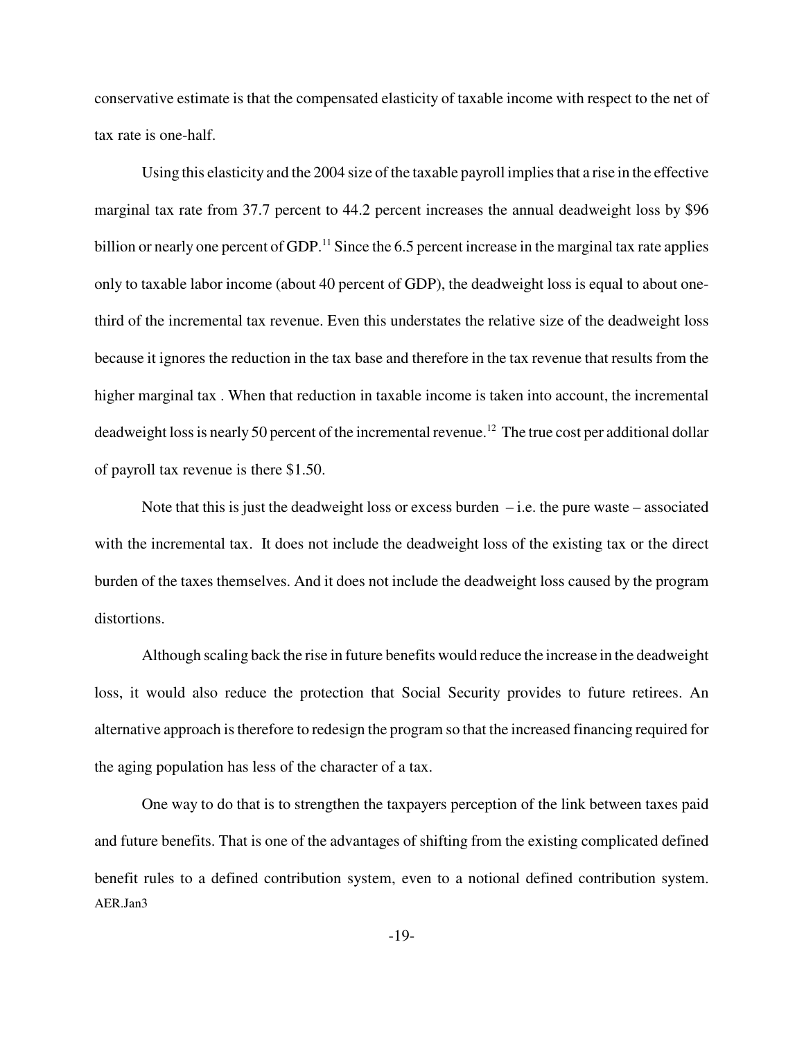conservative estimate is that the compensated elasticity of taxable income with respect to the net of tax rate is one-half.

Using this elasticity and the 2004 size of the taxable payroll impliesthat a rise in the effective marginal tax rate from 37.7 percent to 44.2 percent increases the annual deadweight loss by \$96 billion or nearly one percent of GDP.<sup>11</sup> Since the 6.5 percent increase in the marginal tax rate applies only to taxable labor income (about 40 percent of GDP), the deadweight loss is equal to about onethird of the incremental tax revenue. Even this understates the relative size of the deadweight loss because it ignores the reduction in the tax base and therefore in the tax revenue that results from the higher marginal tax . When that reduction in taxable income is taken into account, the incremental deadweight loss is nearly 50 percent of the incremental revenue.<sup>12</sup> The true cost per additional dollar of payroll tax revenue is there \$1.50.

Note that this is just the deadweight loss or excess burden  $-$  i.e. the pure waste – associated with the incremental tax. It does not include the deadweight loss of the existing tax or the direct burden of the taxes themselves. And it does not include the deadweight loss caused by the program distortions.

Although scaling back the rise in future benefits would reduce the increase in the deadweight loss, it would also reduce the protection that Social Security provides to future retirees. An alternative approach istherefore to redesign the program so that the increased financing required for the aging population has less of the character of a tax.

AER.Jan3 One way to do that is to strengthen the taxpayers perception of the link between taxes paid and future benefits. That is one of the advantages of shifting from the existing complicated defined benefit rules to a defined contribution system, even to a notional defined contribution system.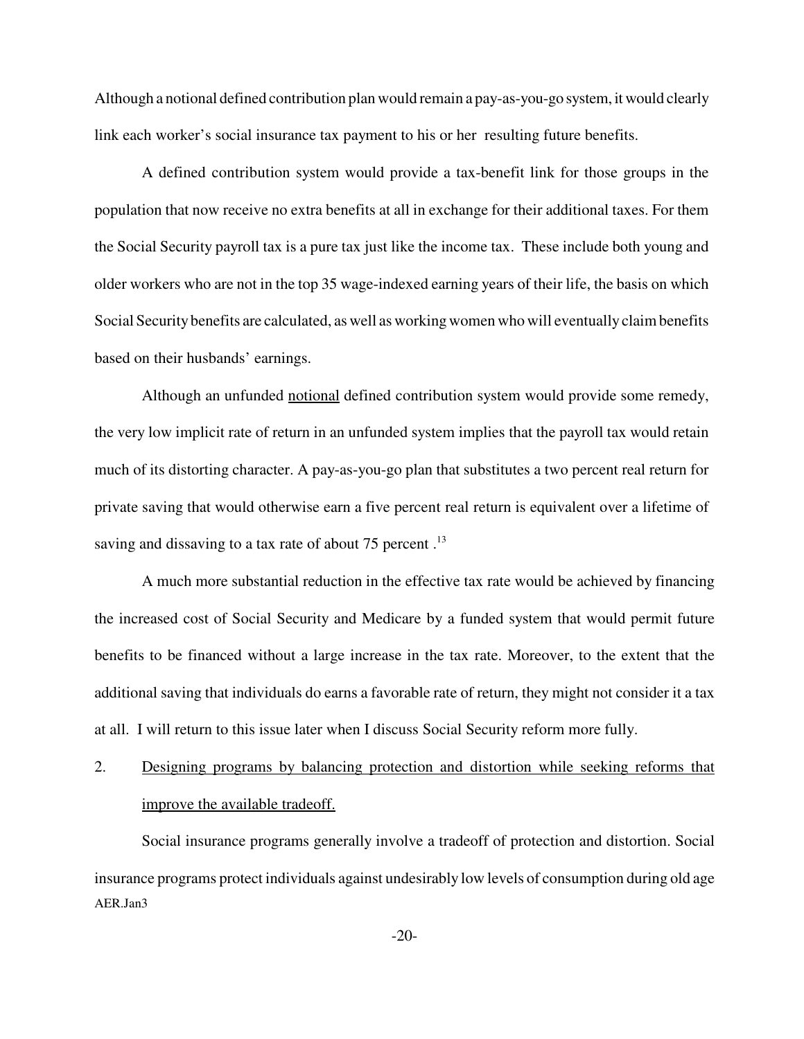Although a notional defined contribution plan would remain a pay-as-you-go system, itwould clearly link each worker's social insurance tax payment to his or her resulting future benefits.

A defined contribution system would provide a tax-benefit link for those groups in the population that now receive no extra benefits at all in exchange for their additional taxes. For them the Social Security payroll tax is a pure tax just like the income tax. These include both young and older workers who are not in the top 35 wage-indexed earning years of their life, the basis on which Social Securitybenefits are calculated, as well as workingwomen who will eventuallyclaimbenefits based on their husbands' earnings.

Although an unfunded notional defined contribution system would provide some remedy, the very low implicit rate of return in an unfunded system implies that the payroll tax would retain much of its distorting character. A pay-as-you-go plan that substitutes a two percent real return for private saving that would otherwise earn a five percent real return is equivalent over a lifetime of saving and dissaving to a tax rate of about 75 percent.<sup>13</sup>

A much more substantial reduction in the effective tax rate would be achieved by financing the increased cost of Social Security and Medicare by a funded system that would permit future benefits to be financed without a large increase in the tax rate. Moreover, to the extent that the additional saving that individuals do earns a favorable rate of return, they might not consider it a tax at all. I will return to this issue later when I discuss Social Security reform more fully.

# 2. Designing programs by balancing protection and distortion while seeking reforms that improve the available tradeoff.

AER.Jan3 Social insurance programs generally involve a tradeoff of protection and distortion. Social insurance programs protect individuals against undesirably low levels of consumption during old age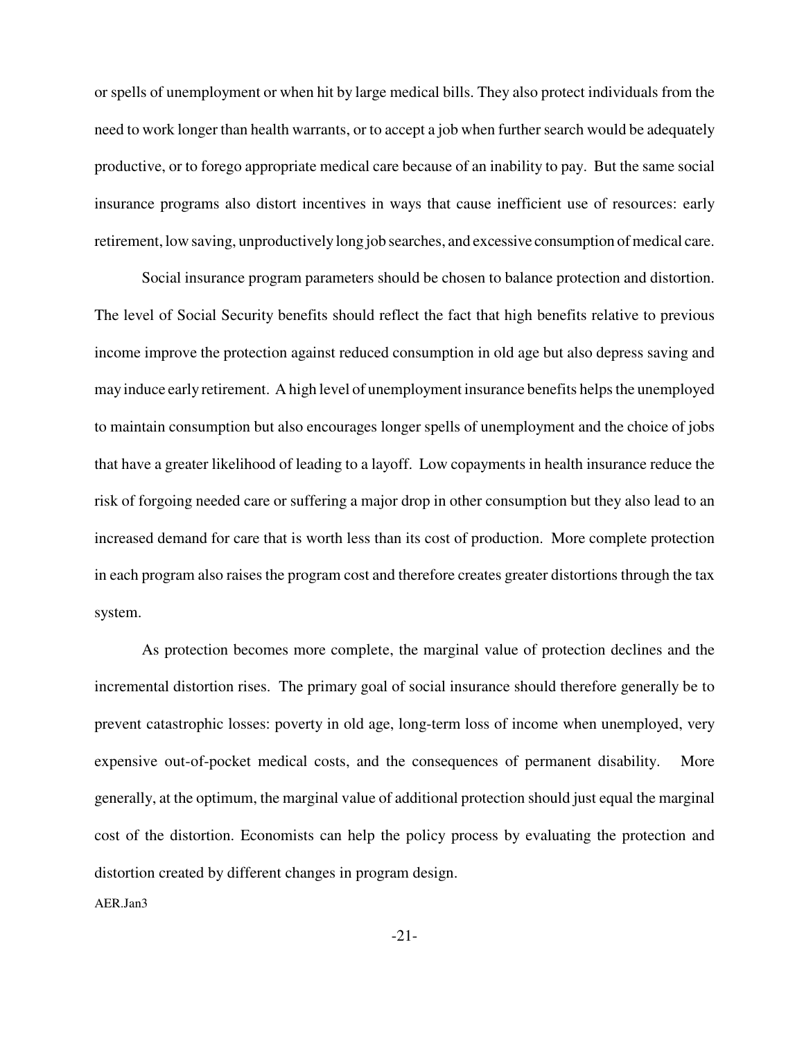or spells of unemployment or when hit by large medical bills. They also protect individuals from the need to work longer than health warrants, or to accept a job when further search would be adequately productive, or to forego appropriate medical care because of an inability to pay. But the same social insurance programs also distort incentives in ways that cause inefficient use of resources: early retirement, low saving, unproductively long job searches, and excessive consumption of medical care.

Social insurance program parameters should be chosen to balance protection and distortion. The level of Social Security benefits should reflect the fact that high benefits relative to previous income improve the protection against reduced consumption in old age but also depress saving and may induce early retirement. A high level of unemployment insurance benefits helps the unemployed to maintain consumption but also encourages longer spells of unemployment and the choice of jobs that have a greater likelihood of leading to a layoff. Low copayments in health insurance reduce the risk of forgoing needed care or suffering a major drop in other consumption but they also lead to an increased demand for care that is worth less than its cost of production. More complete protection in each program also raises the program cost and therefore creates greater distortions through the tax system.

As protection becomes more complete, the marginal value of protection declines and the incremental distortion rises. The primary goal of social insurance should therefore generally be to prevent catastrophic losses: poverty in old age, long-term loss of income when unemployed, very expensive out-of-pocket medical costs, and the consequences of permanent disability. More generally, at the optimum, the marginal value of additional protection should just equal the marginal cost of the distortion. Economists can help the policy process by evaluating the protection and distortion created by different changes in program design.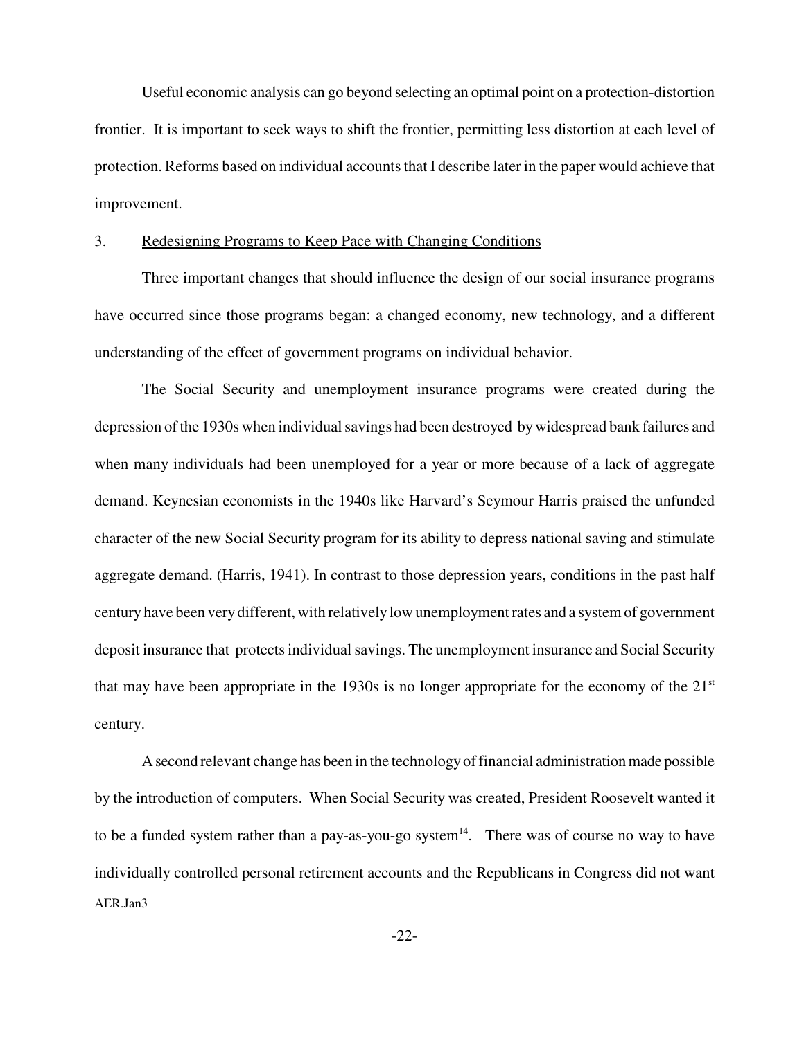Useful economic analysis can go beyond selecting an optimal point on a protection-distortion frontier. It is important to seek ways to shift the frontier, permitting less distortion at each level of protection. Reforms based on individual accounts that I describe later in the paper would achieve that improvement.

## 3. Redesigning Programs to Keep Pace with Changing Conditions

Three important changes that should influence the design of our social insurance programs have occurred since those programs began: a changed economy, new technology, and a different understanding of the effect of government programs on individual behavior.

The Social Security and unemployment insurance programs were created during the depression of the 1930s when individual savings had been destroyed by widespread bank failures and when many individuals had been unemployed for a year or more because of a lack of aggregate demand. Keynesian economists in the 1940s like Harvard's Seymour Harris praised the unfunded character of the new Social Security program for its ability to depress national saving and stimulate aggregate demand. (Harris, 1941). In contrast to those depression years, conditions in the past half century have been verydifferent, with relativelylow unemploymentrates and a system of government deposit insurance that protects individual savings. The unemployment insurance and Social Security that may have been appropriate in the 1930s is no longer appropriate for the economy of the 21<sup>st</sup> century.

AER.Jan3 Asecond relevant change has been in the technologyoffinancial administrationmade possible by the introduction of computers. When Social Security was created, President Roosevelt wanted it to be a funded system rather than a pay-as-you-go system<sup>14</sup>. There was of course no way to have individually controlled personal retirement accounts and the Republicans in Congress did not want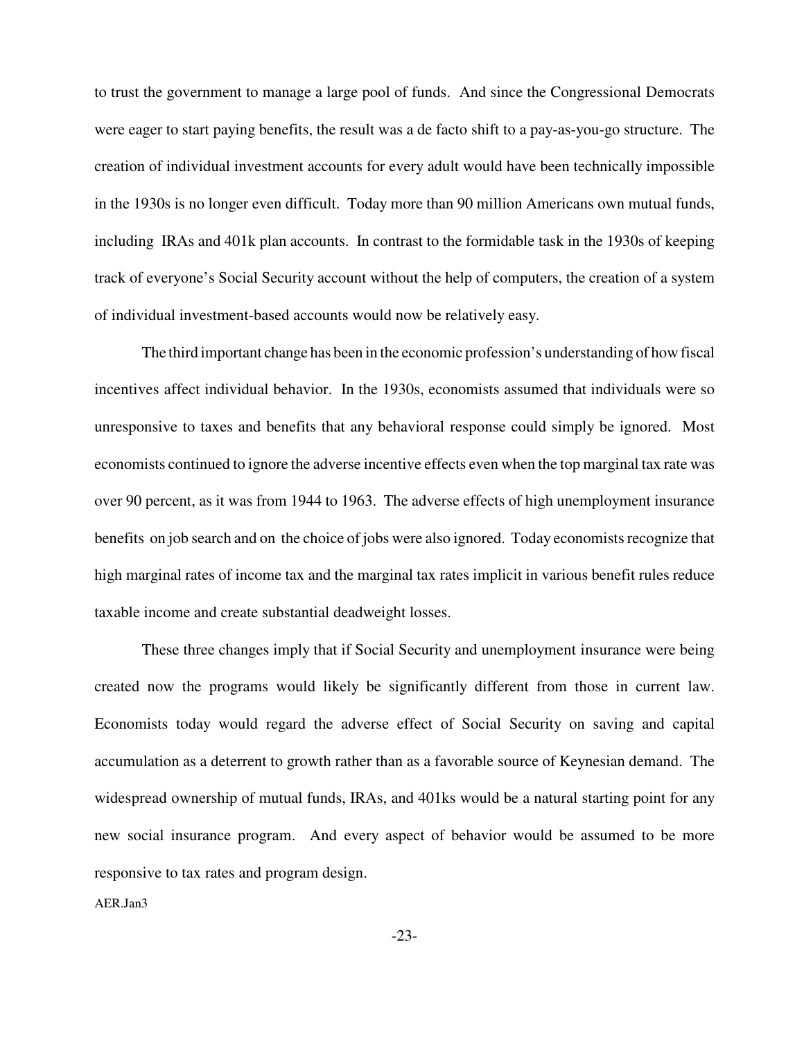to trust the government to manage a large pool of funds. And since the Congressional Democrats were eager to start paying benefits, the result was a de facto shift to a pay-as-you-go structure. The creation of individual investment accounts for every adult would have been technically impossible in the 1930s is no longer even difficult. Today more than 90 million Americans own mutual funds, including IRAs and 401k plan accounts. In contrast to the formidable task in the 1930s of keeping track of everyone's Social Security account without the help of computers, the creation of a system of individual investment-based accounts would now be relatively easy.

The third important change has been in the economic profession's understanding of how fiscal incentives affect individual behavior. In the 1930s, economists assumed that individuals were so unresponsive to taxes and benefits that any behavioral response could simply be ignored. Most economists continued to ignore the adverse incentive effects even when the top marginal tax rate was over 90 percent, as it was from 1944 to 1963. The adverse effects of high unemployment insurance benefits on job search and on the choice of jobs were also ignored. Today economists recognize that high marginal rates of income tax and the marginal tax rates implicit in various benefit rules reduce taxable income and create substantial deadweight losses.

These three changes imply that if Social Security and unemployment insurance were being created now the programs would likely be significantly different from those in current law. Economists today would regard the adverse effect of Social Security on saving and capital accumulation as a deterrent to growth rather than as a favorable source of Keynesian demand. The widespread ownership of mutual funds, IRAs, and 401ks would be a natural starting point for any new social insurance program. And every aspect of behavior would be assumed to be more responsive to tax rates and program design.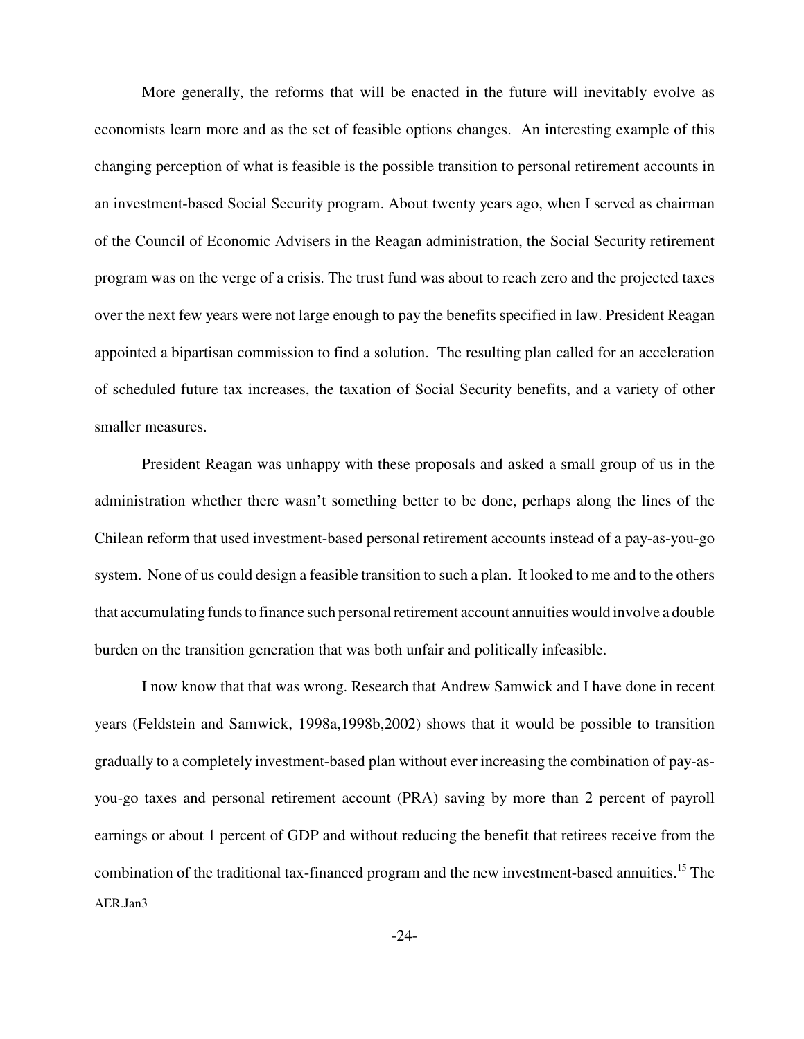More generally, the reforms that will be enacted in the future will inevitably evolve as economists learn more and as the set of feasible options changes. An interesting example of this changing perception of what is feasible is the possible transition to personal retirement accounts in an investment-based Social Security program. About twenty years ago, when I served as chairman of the Council of Economic Advisers in the Reagan administration, the Social Security retirement program was on the verge of a crisis. The trust fund was about to reach zero and the projected taxes over the next few years were not large enough to pay the benefits specified in law. President Reagan appointed a bipartisan commission to find a solution. The resulting plan called for an acceleration of scheduled future tax increases, the taxation of Social Security benefits, and a variety of other smaller measures.

President Reagan was unhappy with these proposals and asked a small group of us in the administration whether there wasn't something better to be done, perhaps along the lines of the Chilean reform that used investment-based personal retirement accounts instead of a pay-as-you-go system. None of us could design a feasible transition to such a plan. It looked to me and to the others that accumulating funds to finance such personal retirement account annuities would involve a double burden on the transition generation that was both unfair and politically infeasible.

AER.Jan3 I now know that that was wrong. Research that Andrew Samwick and I have done in recent years (Feldstein and Samwick, 1998a,1998b,2002) shows that it would be possible to transition gradually to a completely investment-based plan without ever increasing the combination of pay-asyou-go taxes and personal retirement account (PRA) saving by more than 2 percent of payroll earnings or about 1 percent of GDP and without reducing the benefit that retirees receive from the combination of the traditional tax-financed program and the new investment-based annuities. <sup>15</sup> The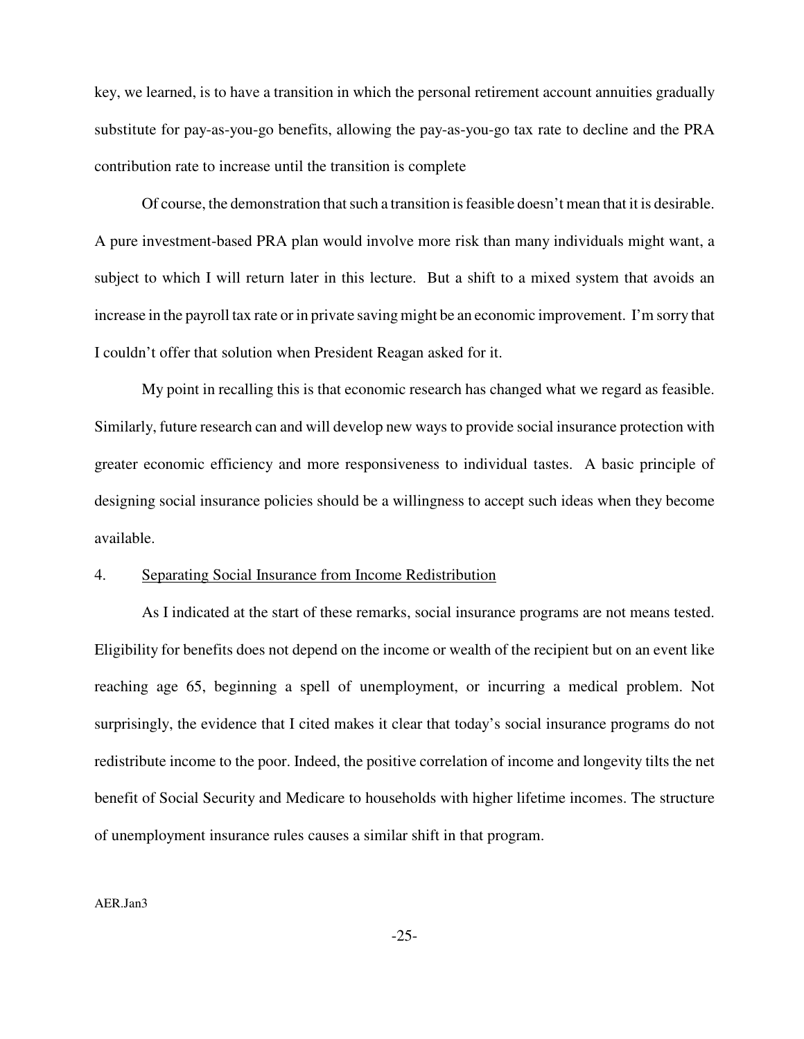key, we learned, is to have a transition in which the personal retirement account annuities gradually substitute for pay-as-you-go benefits, allowing the pay-as-you-go tax rate to decline and the PRA contribution rate to increase until the transition is complete

Of course, the demonstration that such a transition is feasible doesn't mean that it is desirable. A pure investment-based PRA plan would involve more risk than many individuals might want, a subject to which I will return later in this lecture. But a shift to a mixed system that avoids an increase in the payroll tax rate or in private saving might be an economic improvement. I'm sorry that I couldn't offer that solution when President Reagan asked for it.

My point in recalling this is that economic research has changed what we regard as feasible. Similarly, future research can and will develop new ways to provide social insurance protection with greater economic efficiency and more responsiveness to individual tastes. A basic principle of designing social insurance policies should be a willingness to accept such ideas when they become available.

#### 4. Separating Social Insurance from Income Redistribution

As I indicated at the start of these remarks, social insurance programs are not means tested. Eligibility for benefits does not depend on the income or wealth of the recipient but on an event like reaching age 65, beginning a spell of unemployment, or incurring a medical problem. Not surprisingly, the evidence that I cited makes it clear that today's social insurance programs do not redistribute income to the poor. Indeed, the positive correlation of income and longevity tilts the net benefit of Social Security and Medicare to households with higher lifetime incomes. The structure of unemployment insurance rules causes a similar shift in that program.

-25-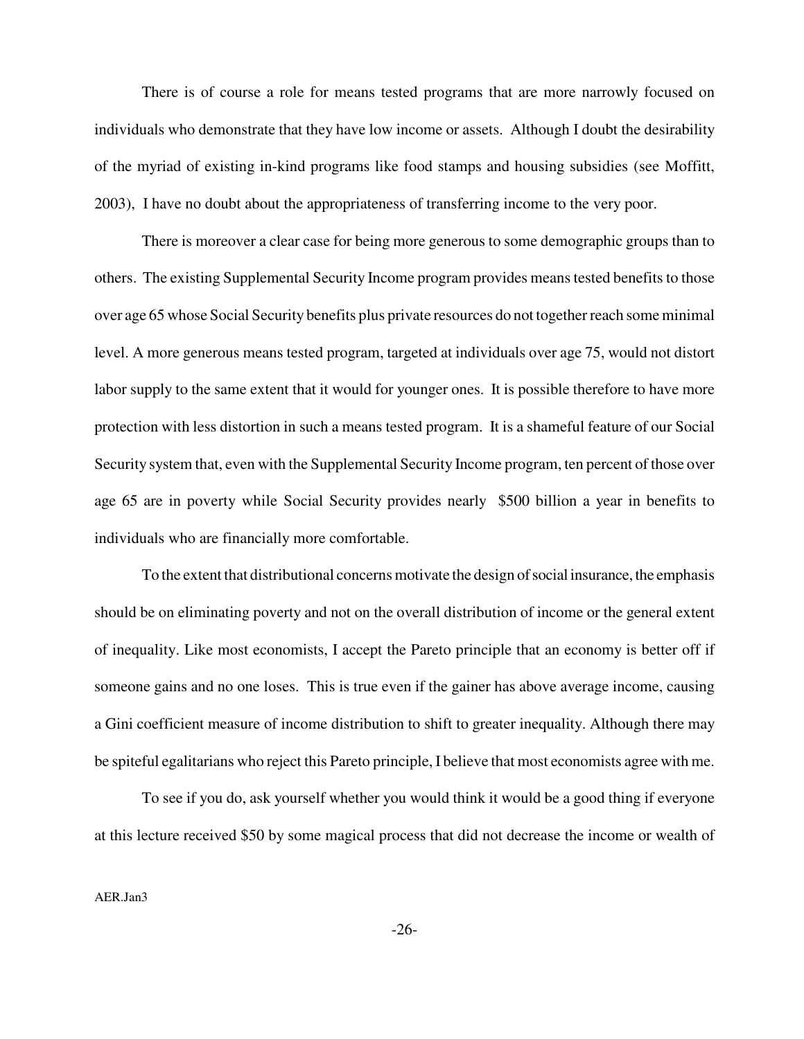There is of course a role for means tested programs that are more narrowly focused on individuals who demonstrate that they have low income or assets. Although I doubt the desirability of the myriad of existing in-kind programs like food stamps and housing subsidies (see Moffitt, 2003), I have no doubt about the appropriateness of transferring income to the very poor.

There is moreover a clear case for being more generous to some demographic groups than to others. The existing Supplemental Security Income program provides means tested benefits to those over age 65 whose Social Security benefits plus private resources do not togetherreach some minimal level. A more generous means tested program, targeted at individuals over age 75, would not distort labor supply to the same extent that it would for younger ones. It is possible therefore to have more protection with less distortion in such a means tested program. It is a shameful feature of our Social Security system that, even with the Supplemental Security Income program, ten percent of those over age 65 are in poverty while Social Security provides nearly \$500 billion a year in benefits to individuals who are financially more comfortable.

To the extent that distributional concerns motivate the design of social insurance, the emphasis should be on eliminating poverty and not on the overall distribution of income or the general extent of inequality. Like most economists, I accept the Pareto principle that an economy is better off if someone gains and no one loses. This is true even if the gainer has above average income, causing a Gini coefficient measure of income distribution to shift to greater inequality. Although there may be spiteful egalitarians who reject this Pareto principle, I believe that most economists agree with me.

To see if you do, ask yourself whether you would think it would be a good thing if everyone at this lecture received \$50 by some magical process that did not decrease the income or wealth of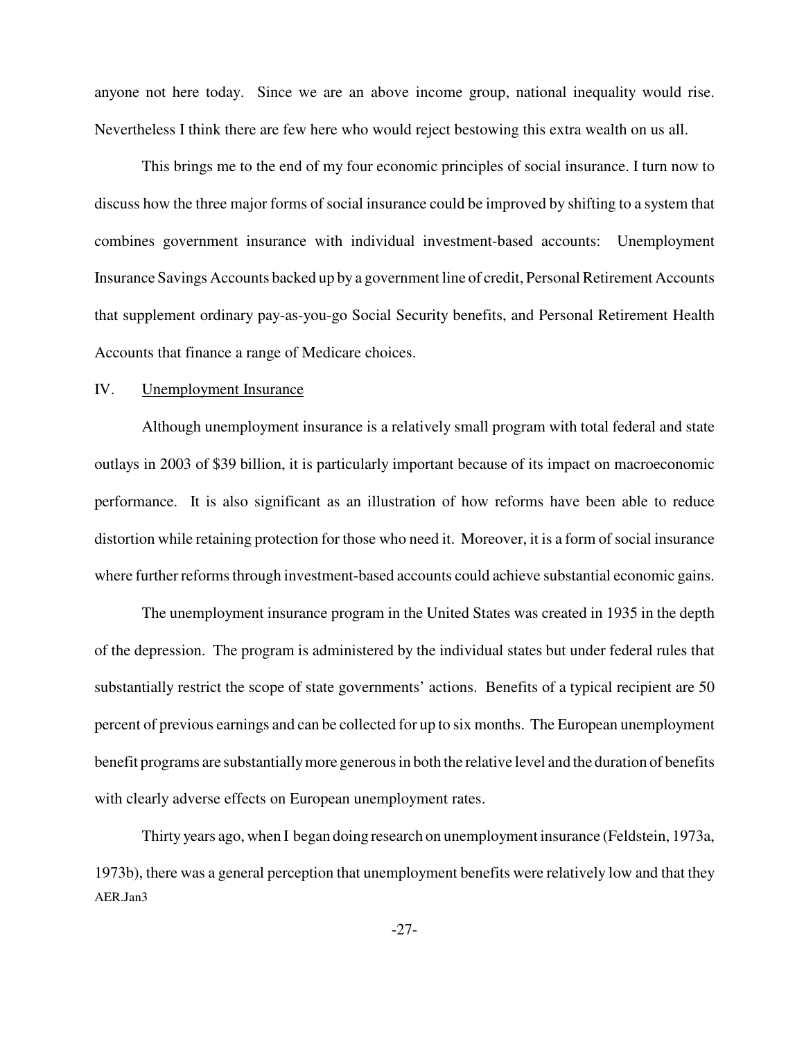anyone not here today. Since we are an above income group, national inequality would rise. Nevertheless I think there are few here who would reject bestowing this extra wealth on us all.

This brings me to the end of my four economic principles of social insurance. I turn now to discuss how the three major forms of social insurance could be improved by shifting to a system that combines government insurance with individual investment-based accounts: Unemployment Insurance Savings Accounts backed up by a government line of credit, PersonalRetirement Accounts that supplement ordinary pay-as-you-go Social Security benefits, and Personal Retirement Health Accounts that finance a range of Medicare choices.

# IV. Unemployment Insurance

Although unemployment insurance is a relatively small program with total federal and state outlays in 2003 of \$39 billion, it is particularly important because of its impact on macroeconomic performance. It is also significant as an illustration of how reforms have been able to reduce distortion while retaining protection for those who need it. Moreover, it is a form of social insurance where further reforms through investment-based accounts could achieve substantial economic gains.

The unemployment insurance program in the United States was created in 1935 in the depth of the depression. The program is administered by the individual states but under federal rules that substantially restrict the scope of state governments' actions. Benefits of a typical recipient are 50 percent of previous earnings and can be collected for up to six months. The European unemployment benefit programs are substantiallymore generousin both the relative level and the duration of benefits with clearly adverse effects on European unemployment rates.

AER.Jan3 Thirty years ago, when I began doing research on unemployment insurance (Feldstein, 1973a, 1973b), there was a general perception that unemployment benefits were relatively low and that they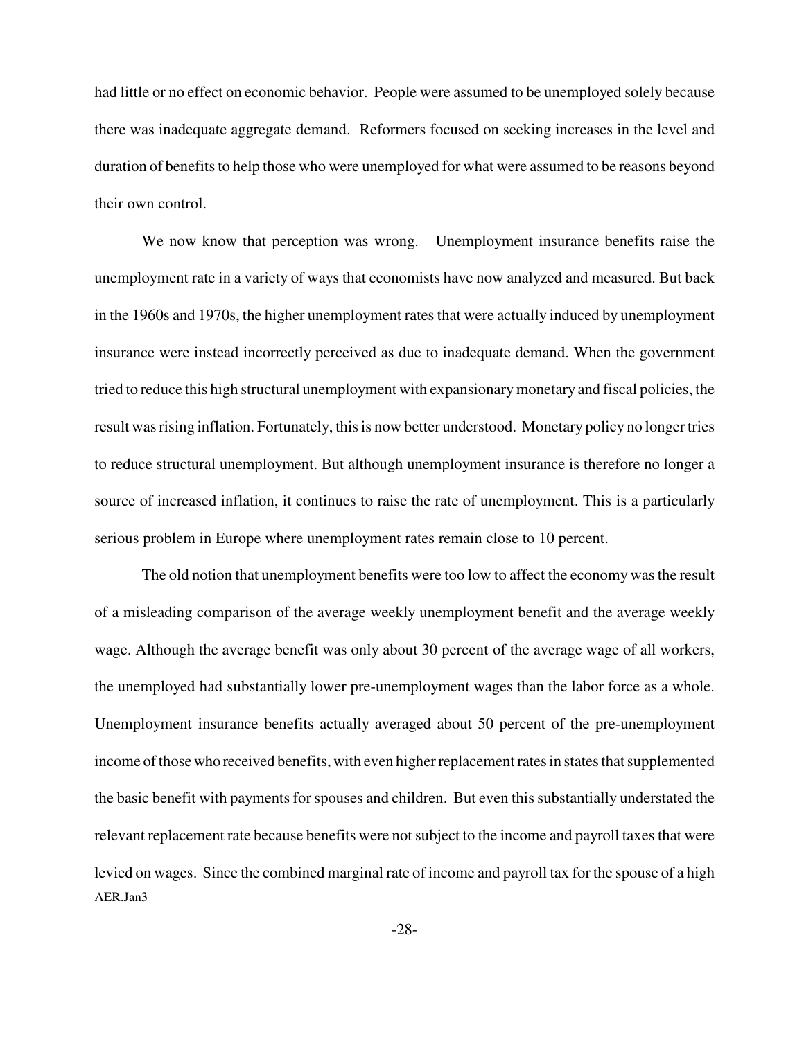had little or no effect on economic behavior. People were assumed to be unemployed solely because there was inadequate aggregate demand. Reformers focused on seeking increases in the level and duration of benefits to help those who were unemployed for what were assumed to be reasons beyond their own control.

We now know that perception was wrong. Unemployment insurance benefits raise the unemployment rate in a variety of ways that economists have now analyzed and measured. But back in the 1960s and 1970s, the higher unemployment rates that were actually induced by unemployment insurance were instead incorrectly perceived as due to inadequate demand. When the government tried to reduce this high structural unemployment with expansionarymonetary and fiscal policies, the result was rising inflation. Fortunately, this is now better understood. Monetary policy no longer tries to reduce structural unemployment. But although unemployment insurance is therefore no longer a source of increased inflation, it continues to raise the rate of unemployment. This is a particularly serious problem in Europe where unemployment rates remain close to 10 percent.

AER.Jan3 The old notion that unemployment benefits were too low to affect the economy wasthe result of a misleading comparison of the average weekly unemployment benefit and the average weekly wage. Although the average benefit was only about 30 percent of the average wage of all workers, the unemployed had substantially lower pre-unemployment wages than the labor force as a whole. Unemployment insurance benefits actually averaged about 50 percent of the pre-unemployment income of those who received benefits, with even higher replacement rates in states that supplemented the basic benefit with payments for spouses and children. But even this substantially understated the relevant replacement rate because benefits were notsubject to the income and payroll taxesthat were levied on wages. Since the combined marginal rate of income and payroll tax for the spouse of a high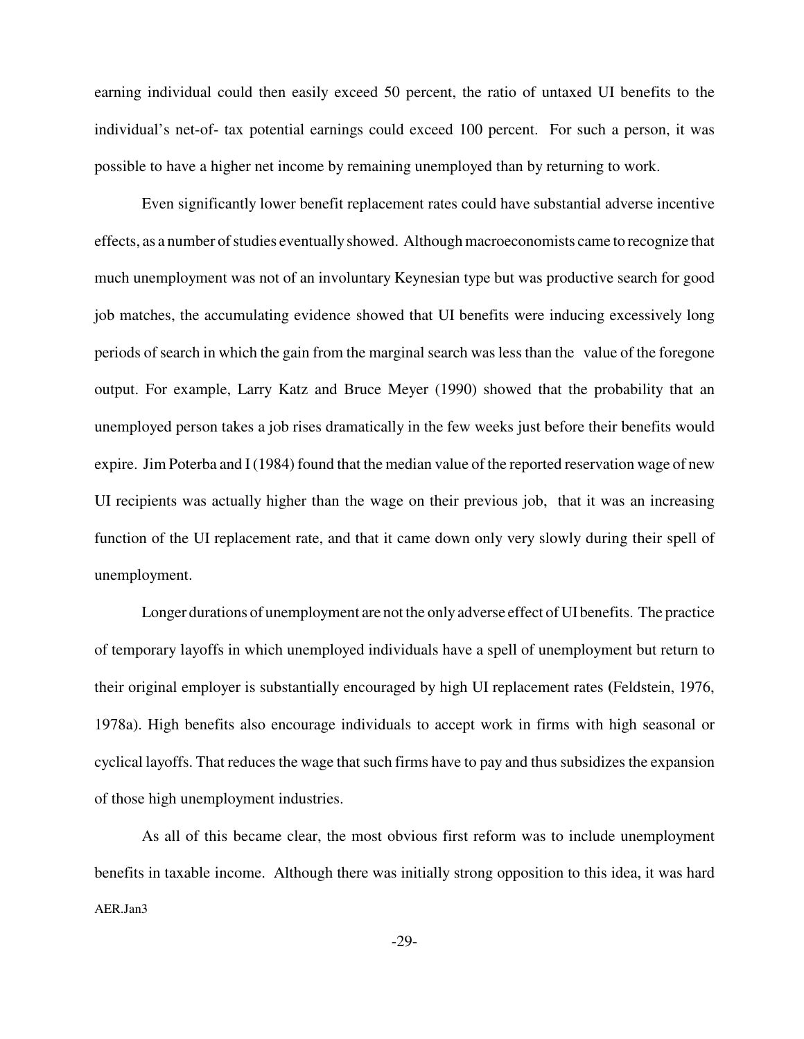earning individual could then easily exceed 50 percent, the ratio of untaxed UI benefits to the individual's net-of- tax potential earnings could exceed 100 percent. For such a person, it was possible to have a higher net income by remaining unemployed than by returning to work.

Even significantly lower benefit replacement rates could have substantial adverse incentive effects, as a number of studies eventually showed. Although macroeconomists came to recognize that much unemployment was not of an involuntary Keynesian type but was productive search for good job matches, the accumulating evidence showed that UI benefits were inducing excessively long periods of search in which the gain from the marginal search waslessthan the value of the foregone output. For example, Larry Katz and Bruce Meyer (1990) showed that the probability that an unemployed person takes a job rises dramatically in the few weeks just before their benefits would expire. Jim Poterba and I(1984) found that the median value of the reported reservation wage of new UI recipients was actually higher than the wage on their previous job, that it was an increasing function of the UI replacement rate, and that it came down only very slowly during their spell of unemployment.

Longer durations of unemployment are not the only adverse effect of UI benefits. The practice of temporary layoffs in which unemployed individuals have a spell of unemployment but return to their original employer is substantially encouraged by high UI replacement rates **(**Feldstein, 1976, 1978a). High benefits also encourage individuals to accept work in firms with high seasonal or cyclical layoffs. That reduces the wage that such firms have to pay and thus subsidizes the expansion of those high unemployment industries.

AER.Jan3 As all of this became clear, the most obvious first reform was to include unemployment benefits in taxable income. Although there was initially strong opposition to this idea, it was hard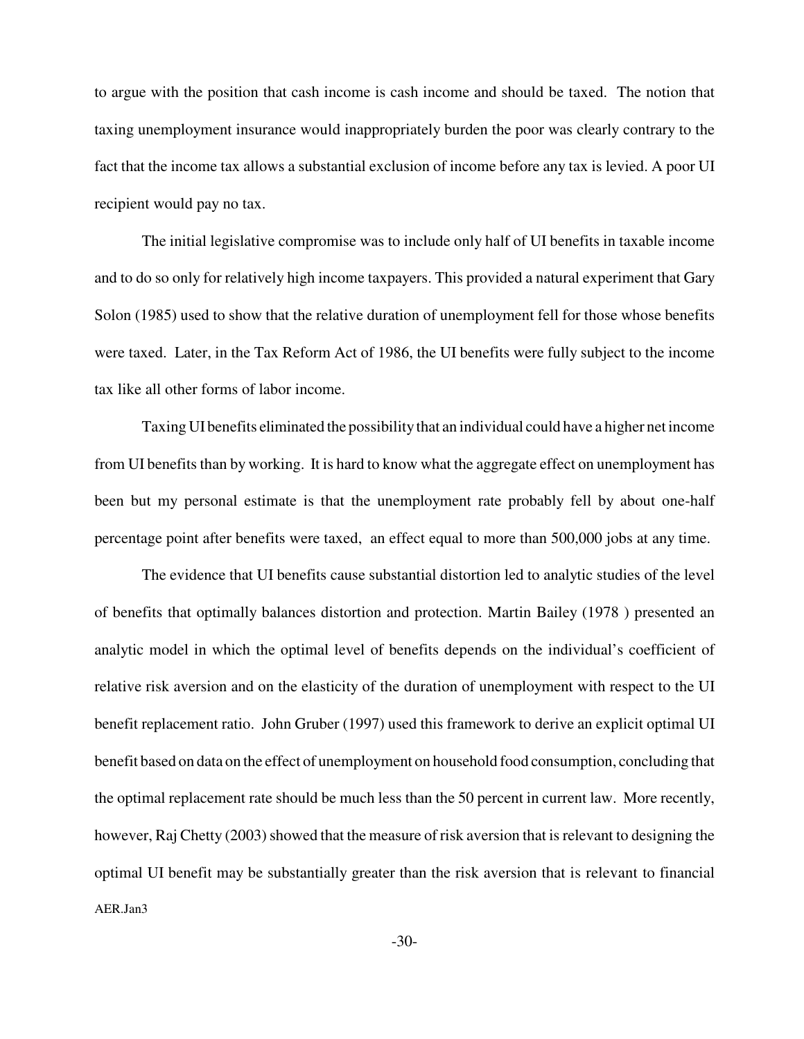to argue with the position that cash income is cash income and should be taxed. The notion that taxing unemployment insurance would inappropriately burden the poor was clearly contrary to the fact that the income tax allows a substantial exclusion of income before any tax is levied. A poor UI recipient would pay no tax.

The initial legislative compromise was to include only half of UI benefits in taxable income and to do so only for relatively high income taxpayers. This provided a natural experiment that Gary Solon (1985) used to show that the relative duration of unemployment fell for those whose benefits were taxed. Later, in the Tax Reform Act of 1986, the UI benefits were fully subject to the income tax like all other forms of labor income.

Taxing UI benefits eliminated the possibility that an individual could have a higher net income from UI benefits than by working. It is hard to know what the aggregate effect on unemployment has been but my personal estimate is that the unemployment rate probably fell by about one-half percentage point after benefits were taxed, an effect equal to more than 500,000 jobs at any time.

AER.Jan3 The evidence that UI benefits cause substantial distortion led to analytic studies of the level of benefits that optimally balances distortion and protection. Martin Bailey (1978 ) presented an analytic model in which the optimal level of benefits depends on the individual's coefficient of relative risk aversion and on the elasticity of the duration of unemployment with respect to the UI benefit replacement ratio. John Gruber (1997) used this framework to derive an explicit optimal UI benefit based on data on the effect of unemployment on household food consumption, concluding that the optimal replacement rate should be much less than the 50 percent in current law. More recently, however, Raj Chetty (2003) showed that the measure of risk aversion that is relevant to designing the optimal UI benefit may be substantially greater than the risk aversion that is relevant to financial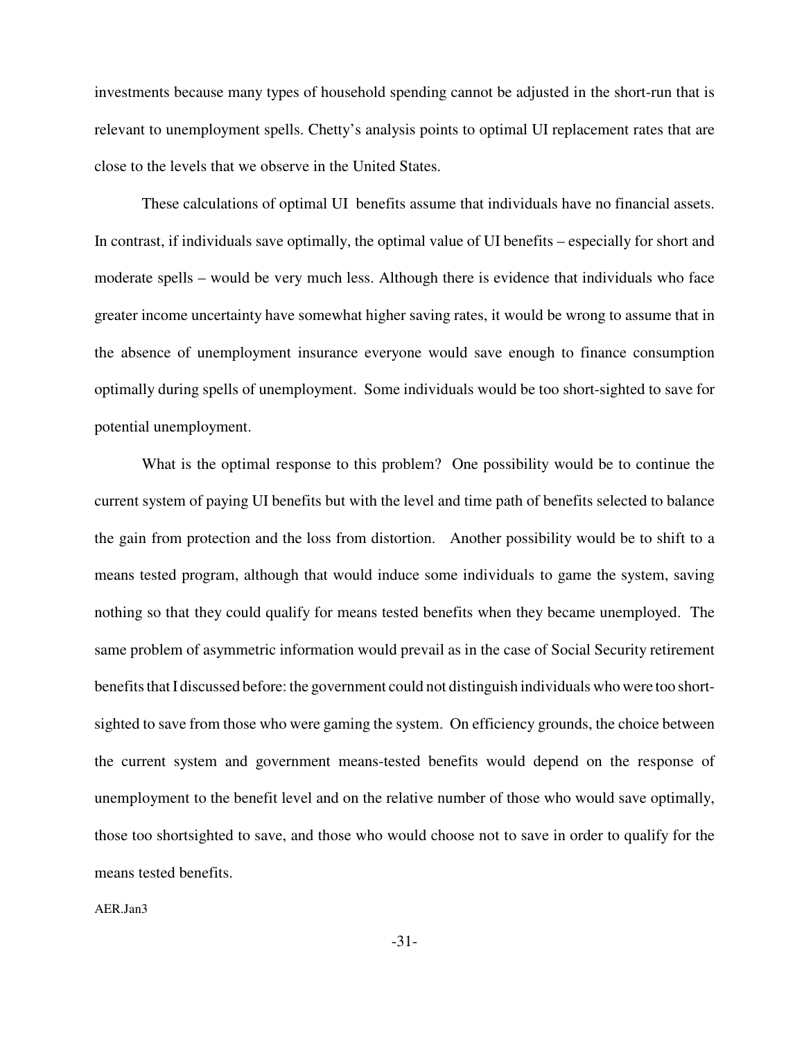investments because many types of household spending cannot be adjusted in the short-run that is relevant to unemployment spells. Chetty's analysis points to optimal UI replacement rates that are close to the levels that we observe in the United States.

These calculations of optimal UI benefits assume that individuals have no financial assets. In contrast, if individuals save optimally, the optimal value of UI benefits – especially for short and moderate spells – would be very much less. Although there is evidence that individuals who face greater income uncertainty have somewhat higher saving rates, it would be wrong to assume that in the absence of unemployment insurance everyone would save enough to finance consumption optimally during spells of unemployment. Some individuals would be too short-sighted to save for potential unemployment.

What is the optimal response to this problem? One possibility would be to continue the current system of paying UI benefits but with the level and time path of benefits selected to balance the gain from protection and the loss from distortion. Another possibility would be to shift to a means tested program, although that would induce some individuals to game the system, saving nothing so that they could qualify for means tested benefits when they became unemployed. The same problem of asymmetric information would prevail as in the case of Social Security retirement benefits that I discussed before: the government could not distinguish individuals who were too shortsighted to save from those who were gaming the system. On efficiency grounds, the choice between the current system and government means-tested benefits would depend on the response of unemployment to the benefit level and on the relative number of those who would save optimally, those too shortsighted to save, and those who would choose not to save in order to qualify for the means tested benefits.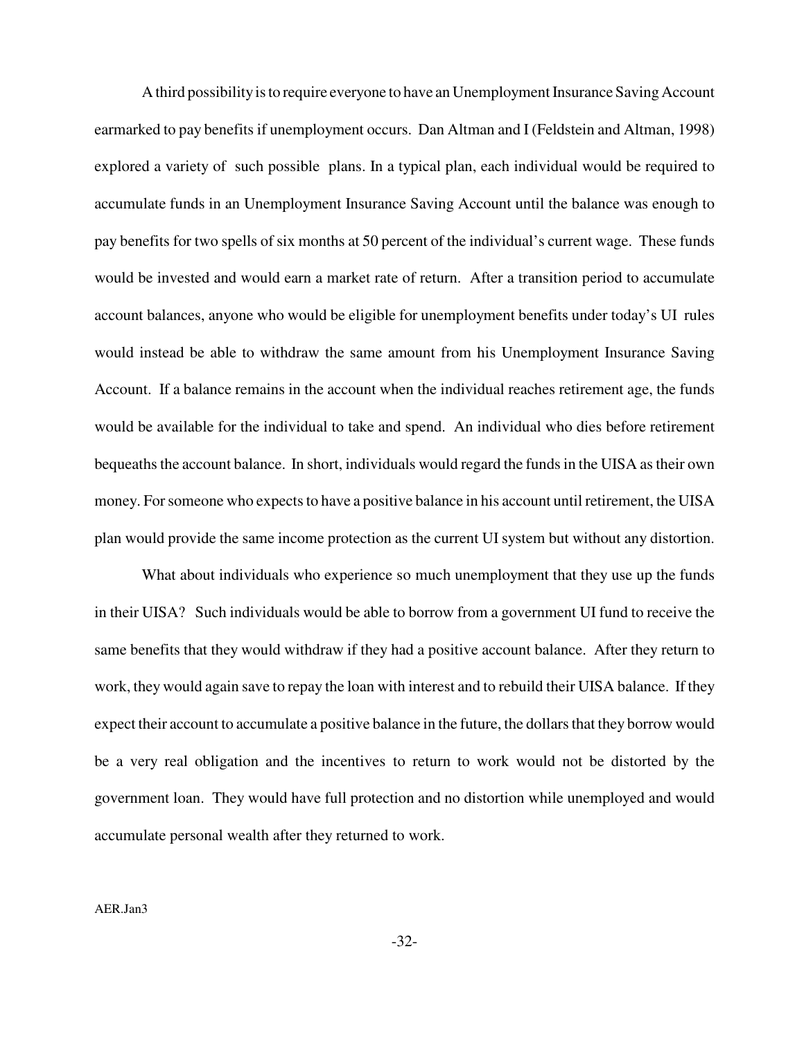A third possibility is to require everyone to have an Unemployment Insurance Saving Account earmarked to pay benefits if unemployment occurs. Dan Altman and I (Feldstein and Altman, 1998) explored a variety of such possible plans. In a typical plan, each individual would be required to accumulate funds in an Unemployment Insurance Saving Account until the balance was enough to pay benefits for two spells of six months at 50 percent of the individual's current wage. These funds would be invested and would earn a market rate of return. After a transition period to accumulate account balances, anyone who would be eligible for unemployment benefits under today's UI rules would instead be able to withdraw the same amount from his Unemployment Insurance Saving Account. If a balance remains in the account when the individual reaches retirement age, the funds would be available for the individual to take and spend. An individual who dies before retirement bequeaths the account balance. In short, individuals would regard the funds in the UISA as their own money. For someone who expects to have a positive balance in his account until retirement, the UISA plan would provide the same income protection as the current UI system but without any distortion.

What about individuals who experience so much unemployment that they use up the funds in their UISA? Such individuals would be able to borrow from a government UI fund to receive the same benefits that they would withdraw if they had a positive account balance. After they return to work, they would again save to repay the loan with interest and to rebuild their UISA balance. If they expect their account to accumulate a positive balance in the future, the dollars that they borrow would be a very real obligation and the incentives to return to work would not be distorted by the government loan. They would have full protection and no distortion while unemployed and would accumulate personal wealth after they returned to work.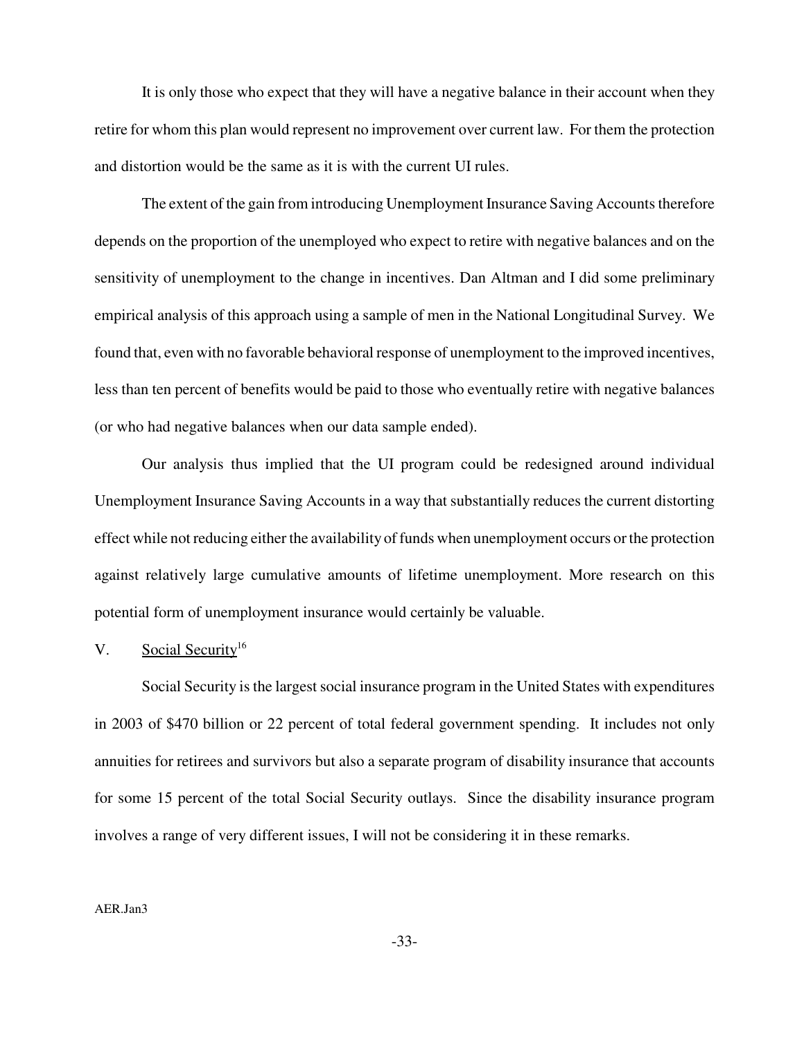It is only those who expect that they will have a negative balance in their account when they retire for whom this plan would represent no improvement over current law. For them the protection and distortion would be the same as it is with the current UI rules.

The extent of the gain from introducing Unemployment Insurance Saving Accountstherefore depends on the proportion of the unemployed who expect to retire with negative balances and on the sensitivity of unemployment to the change in incentives. Dan Altman and I did some preliminary empirical analysis of this approach using a sample of men in the National Longitudinal Survey. We found that, even with no favorable behavioral response of unemployment to the improved incentives, less than ten percent of benefits would be paid to those who eventually retire with negative balances (or who had negative balances when our data sample ended).

Our analysis thus implied that the UI program could be redesigned around individual Unemployment Insurance Saving Accounts in a way that substantially reduces the current distorting effect while not reducing either the availability of funds when unemployment occurs or the protection against relatively large cumulative amounts of lifetime unemployment. More research on this potential form of unemployment insurance would certainly be valuable.

# V. Social Security<sup>16</sup>

Social Security is the largest social insurance program in the United States with expenditures in 2003 of \$470 billion or 22 percent of total federal government spending. It includes not only annuities for retirees and survivors but also a separate program of disability insurance that accounts for some 15 percent of the total Social Security outlays. Since the disability insurance program involves a range of very different issues, I will not be considering it in these remarks.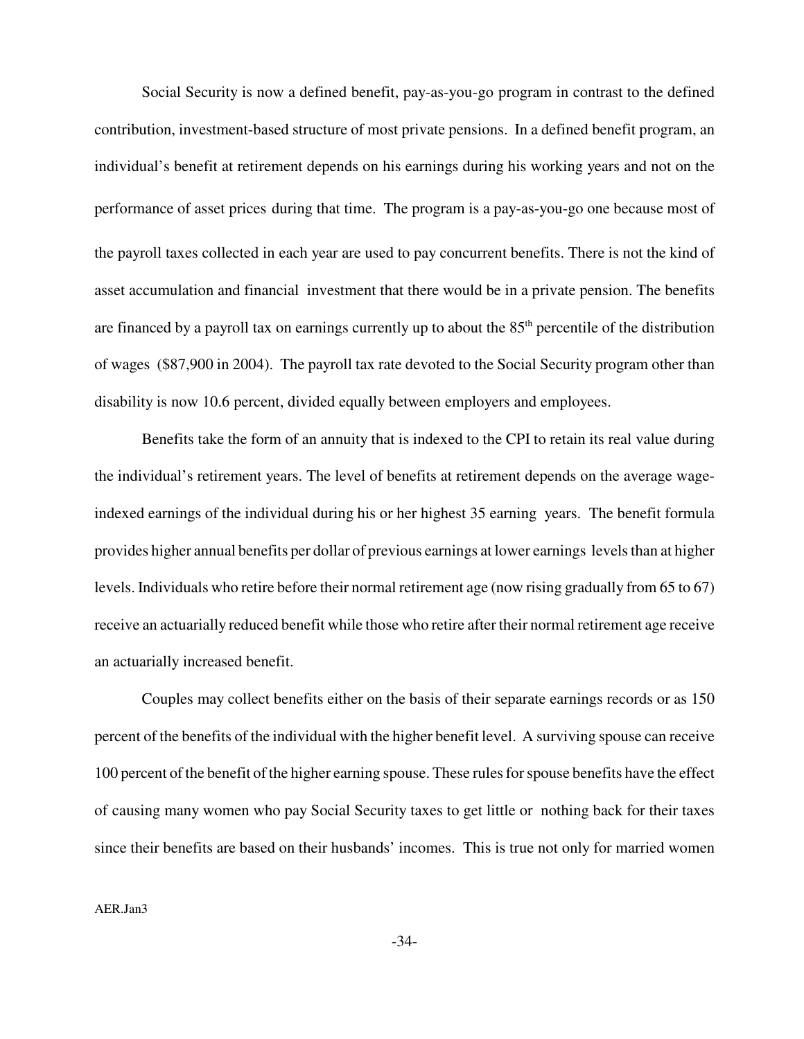Social Security is now a defined benefit, pay-as-you-go program in contrast to the defined contribution, investment-based structure of most private pensions. In a defined benefit program, an individual's benefit at retirement depends on his earnings during his working years and not on the performance of asset prices during that time. The program is a pay-as-you-go one because most of the payroll taxes collected in each year are used to pay concurrent benefits. There is not the kind of asset accumulation and financial investment that there would be in a private pension. The benefits are financed by a payroll tax on earnings currently up to about the  $85<sup>th</sup>$  percentile of the distribution of wages (\$87,900 in 2004). The payroll tax rate devoted to the Social Security program other than disability is now 10.6 percent, divided equally between employers and employees.

Benefits take the form of an annuity that is indexed to the CPI to retain its real value during the individual's retirement years. The level of benefits at retirement depends on the average wageindexed earnings of the individual during his or her highest 35 earning years. The benefit formula provides higher annual benefits per dollar of previous earnings at lower earnings levelsthan at higher levels. Individuals who retire before their normal retirement age (now rising gradually from 65 to 67) receive an actuarially reduced benefit while those who retire after their normal retirement age receive an actuarially increased benefit.

Couples may collect benefits either on the basis of their separate earnings records or as 150 percent of the benefits of the individual with the higher benefit level. A surviving spouse can receive 100 percent of the benefit of the higher earning spouse. These rules for spouse benefits have the effect of causing many women who pay Social Security taxes to get little or nothing back for their taxes since their benefits are based on their husbands' incomes. This is true not only for married women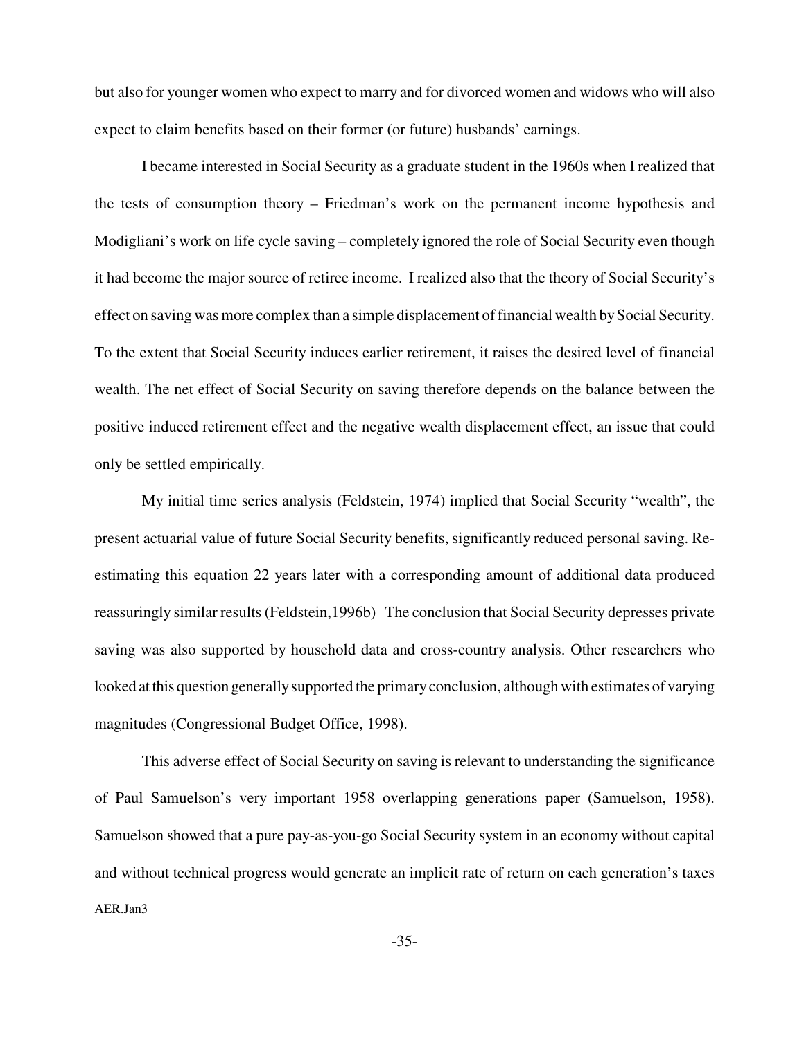but also for younger women who expect to marry and for divorced women and widows who will also expect to claim benefits based on their former (or future) husbands' earnings.

I became interested in Social Security as a graduate student in the 1960s when I realized that the tests of consumption theory – Friedman's work on the permanent income hypothesis and Modigliani's work on life cycle saving – completely ignored the role of Social Security even though it had become the major source of retiree income. I realized also that the theory of Social Security's effect on saving was more complex than a simple displacement of financial wealth by Social Security. To the extent that Social Security induces earlier retirement, it raises the desired level of financial wealth. The net effect of Social Security on saving therefore depends on the balance between the positive induced retirement effect and the negative wealth displacement effect, an issue that could only be settled empirically.

My initial time series analysis (Feldstein, 1974) implied that Social Security "wealth", the present actuarial value of future Social Security benefits, significantly reduced personal saving. Reestimating this equation 22 years later with a corresponding amount of additional data produced reassuringly similar results(Feldstein,1996b) The conclusion that Social Security depresses private saving was also supported by household data and cross-country analysis. Other researchers who looked at this question generallysupported the primaryconclusion, although with estimates of varying magnitudes (Congressional Budget Office, 1998).

AER.Jan3 This adverse effect of Social Security on saving is relevant to understanding the significance of Paul Samuelson's very important 1958 overlapping generations paper (Samuelson, 1958). Samuelson showed that a pure pay-as-you-go Social Security system in an economy without capital and without technical progress would generate an implicit rate of return on each generation's taxes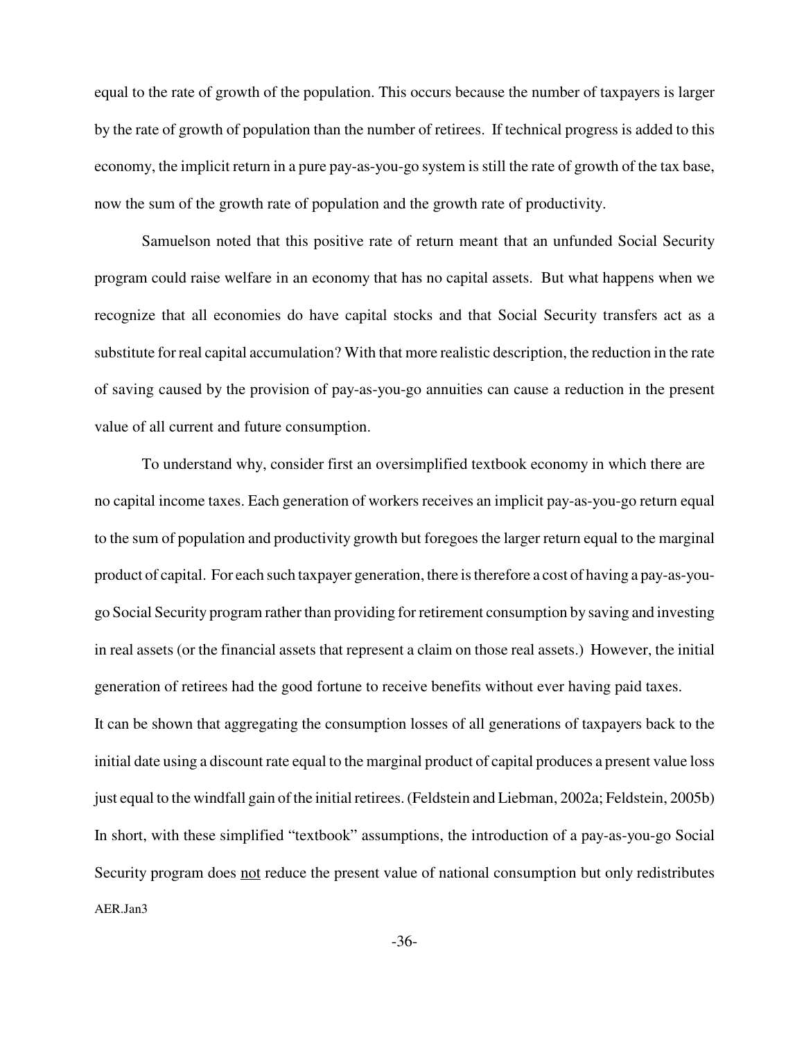equal to the rate of growth of the population. This occurs because the number of taxpayers is larger by the rate of growth of population than the number of retirees. If technical progress is added to this economy, the implicit return in a pure pay-as-you-go system is still the rate of growth of the tax base, now the sum of the growth rate of population and the growth rate of productivity.

Samuelson noted that this positive rate of return meant that an unfunded Social Security program could raise welfare in an economy that has no capital assets. But what happens when we recognize that all economies do have capital stocks and that Social Security transfers act as a substitute for real capital accumulation? With that more realistic description, the reduction in the rate of saving caused by the provision of pay-as-you-go annuities can cause a reduction in the present value of all current and future consumption.

AER.Jan3 To understand why, consider first an oversimplified textbook economy in which there are no capital income taxes. Each generation of workers receives an implicit pay-as-you-go return equal to the sum of population and productivity growth but foregoes the larger return equal to the marginal product of capital. For each such taxpayer generation, there istherefore a cost of having a pay-as-yougo Social Security program rather than providing for retirement consumption by saving and investing in real assets (or the financial assets that represent a claim on those real assets.) However, the initial generation of retirees had the good fortune to receive benefits without ever having paid taxes. It can be shown that aggregating the consumption losses of all generations of taxpayers back to the initial date using a discount rate equal to the marginal product of capital produces a present value loss just equal to the windfall gain of the initial retirees. (Feldstein and Liebman, 2002a; Feldstein, 2005b) In short, with these simplified "textbook" assumptions, the introduction of a pay-as-you-go Social Security program does not reduce the present value of national consumption but only redistributes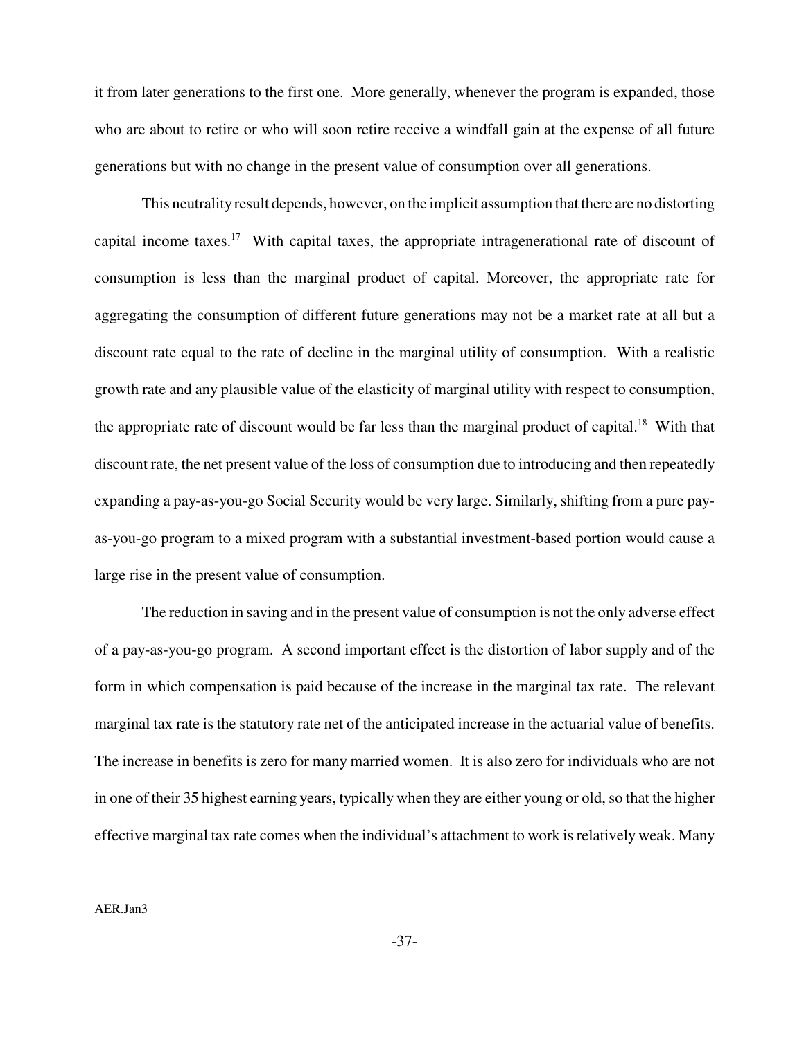it from later generations to the first one. More generally, whenever the program is expanded, those who are about to retire or who will soon retire receive a windfall gain at the expense of all future generations but with no change in the present value of consumption over all generations.

This neutralityresult depends, however, on the implicit assumption that there are no distorting capital income taxes.<sup>17</sup> With capital taxes, the appropriate intragenerational rate of discount of consumption is less than the marginal product of capital. Moreover, the appropriate rate for aggregating the consumption of different future generations may not be a market rate at all but a discount rate equal to the rate of decline in the marginal utility of consumption. With a realistic growth rate and any plausible value of the elasticity of marginal utility with respect to consumption, the appropriate rate of discount would be far less than the marginal product of capital.<sup>18</sup> With that discount rate, the net present value of the loss of consumption due to introducing and then repeatedly expanding a pay-as-you-go Social Security would be very large. Similarly, shifting from a pure payas-you-go program to a mixed program with a substantial investment-based portion would cause a large rise in the present value of consumption.

The reduction in saving and in the present value of consumption is not the only adverse effect of a pay-as-you-go program. A second important effect is the distortion of labor supply and of the form in which compensation is paid because of the increase in the marginal tax rate. The relevant marginal tax rate is the statutory rate net of the anticipated increase in the actuarial value of benefits. The increase in benefits is zero for many married women. It is also zero for individuals who are not in one of their 35 highest earning years, typically when they are either young or old, so that the higher effective marginal tax rate comes when the individual's attachment to work isrelatively weak. Many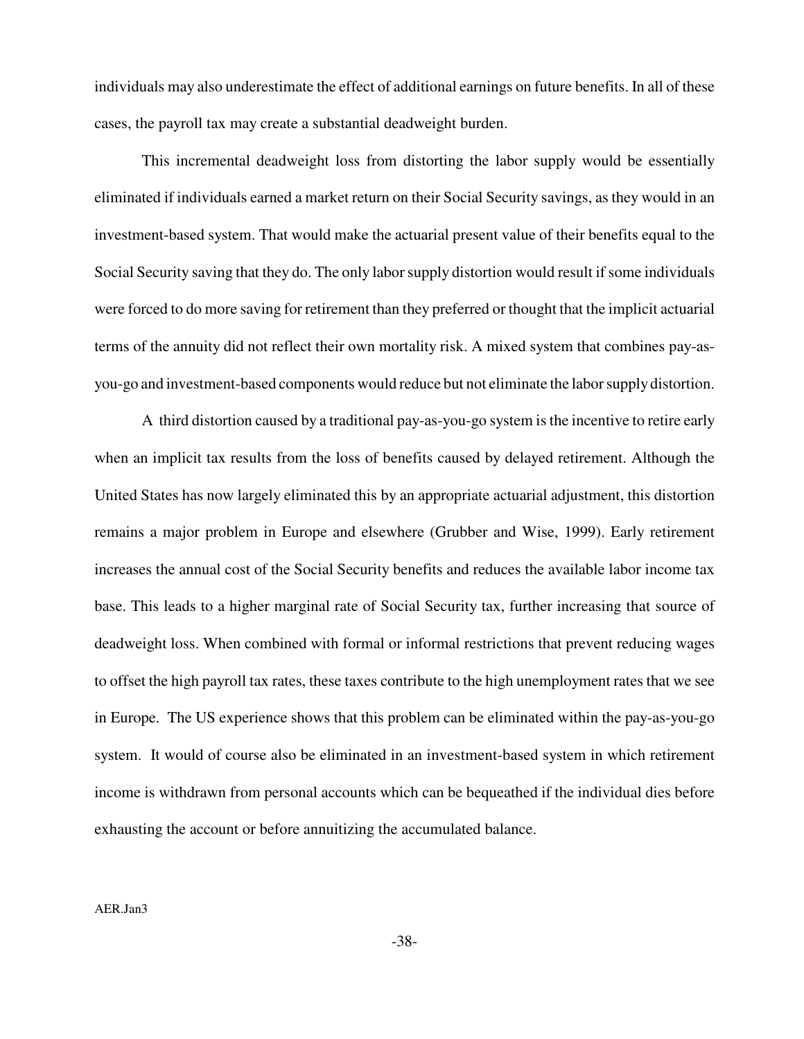individuals may also underestimate the effect of additional earnings on future benefits. In all of these cases, the payroll tax may create a substantial deadweight burden.

This incremental deadweight loss from distorting the labor supply would be essentially eliminated if individuals earned a market return on their Social Security savings, as they would in an investment-based system. That would make the actuarial present value of their benefits equal to the Social Security saving that they do. The only labor supply distortion would result if some individuals were forced to do more saving for retirement than they preferred or thought that the implicit actuarial terms of the annuity did not reflect their own mortality risk. A mixed system that combines pay-asyou-go and investment-based components would reduce but not eliminate the laborsupplydistortion.

A third distortion caused by a traditional pay-as-you-go system isthe incentive to retire early when an implicit tax results from the loss of benefits caused by delayed retirement. Although the United States has now largely eliminated this by an appropriate actuarial adjustment, this distortion remains a major problem in Europe and elsewhere (Grubber and Wise, 1999). Early retirement increases the annual cost of the Social Security benefits and reduces the available labor income tax base. This leads to a higher marginal rate of Social Security tax, further increasing that source of deadweight loss. When combined with formal or informal restrictions that prevent reducing wages to offset the high payroll tax rates, these taxes contribute to the high unemployment rates that we see in Europe. The US experience shows that this problem can be eliminated within the pay-as-you-go system. It would of course also be eliminated in an investment-based system in which retirement income is withdrawn from personal accounts which can be bequeathed if the individual dies before exhausting the account or before annuitizing the accumulated balance.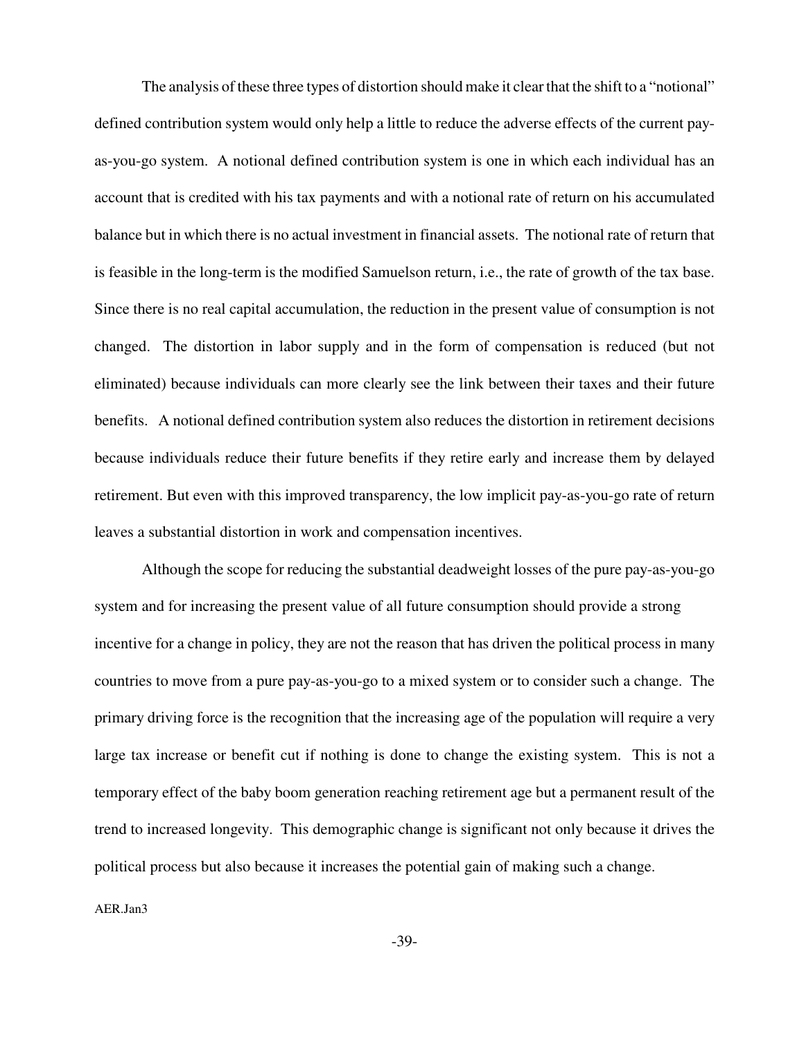The analysis of these three types of distortion should make it clear that the shift to a "notional" defined contribution system would only help a little to reduce the adverse effects of the current payas-you-go system. A notional defined contribution system is one in which each individual has an account that is credited with his tax payments and with a notional rate of return on his accumulated balance but in which there is no actual investment in financial assets. The notional rate of return that is feasible in the long-term is the modified Samuelson return, i.e., the rate of growth of the tax base. Since there is no real capital accumulation, the reduction in the present value of consumption is not changed. The distortion in labor supply and in the form of compensation is reduced (but not eliminated) because individuals can more clearly see the link between their taxes and their future benefits. A notional defined contribution system also reduces the distortion in retirement decisions because individuals reduce their future benefits if they retire early and increase them by delayed retirement. But even with this improved transparency, the low implicit pay-as-you-go rate of return leaves a substantial distortion in work and compensation incentives.

Although the scope for reducing the substantial deadweight losses of the pure pay-as-you-go system and for increasing the present value of all future consumption should provide a strong incentive for a change in policy, they are not the reason that has driven the political process in many countries to move from a pure pay-as-you-go to a mixed system or to consider such a change. The primary driving force is the recognition that the increasing age of the population will require a very large tax increase or benefit cut if nothing is done to change the existing system. This is not a temporary effect of the baby boom generation reaching retirement age but a permanent result of the trend to increased longevity. This demographic change is significant not only because it drives the political process but also because it increases the potential gain of making such a change.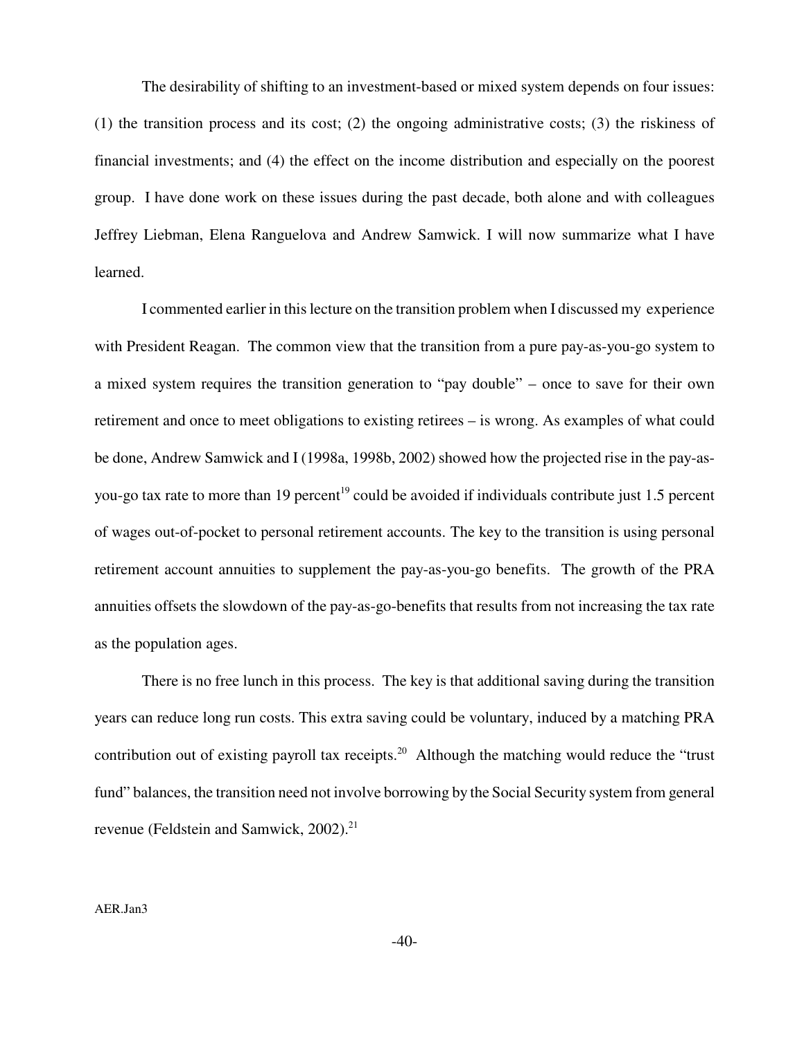The desirability of shifting to an investment-based or mixed system depends on four issues: (1) the transition process and its cost; (2) the ongoing administrative costs; (3) the riskiness of financial investments; and (4) the effect on the income distribution and especially on the poorest group. I have done work on these issues during the past decade, both alone and with colleagues Jeffrey Liebman, Elena Ranguelova and Andrew Samwick. I will now summarize what I have learned.

I commented earlier in thislecture on the transition problem when I discussed my experience with President Reagan. The common view that the transition from a pure pay-as-you-go system to a mixed system requires the transition generation to "pay double" – once to save for their own retirement and once to meet obligations to existing retirees – is wrong. As examples of what could be done, Andrew Samwick and I (1998a, 1998b, 2002) showed how the projected rise in the pay-asyou-go tax rate to more than 19 percent<sup>19</sup> could be avoided if individuals contribute just 1.5 percent of wages out-of-pocket to personal retirement accounts. The key to the transition is using personal retirement account annuities to supplement the pay-as-you-go benefits. The growth of the PRA annuities offsets the slowdown of the pay-as-go-benefits that results from not increasing the tax rate as the population ages.

There is no free lunch in this process. The key is that additional saving during the transition years can reduce long run costs. This extra saving could be voluntary, induced by a matching PRA contribution out of existing payroll tax receipts.<sup>20</sup> Although the matching would reduce the "trust fund" balances, the transition need not involve borrowing by the Social Security system from general revenue (Feldstein and Samwick, 2002). 21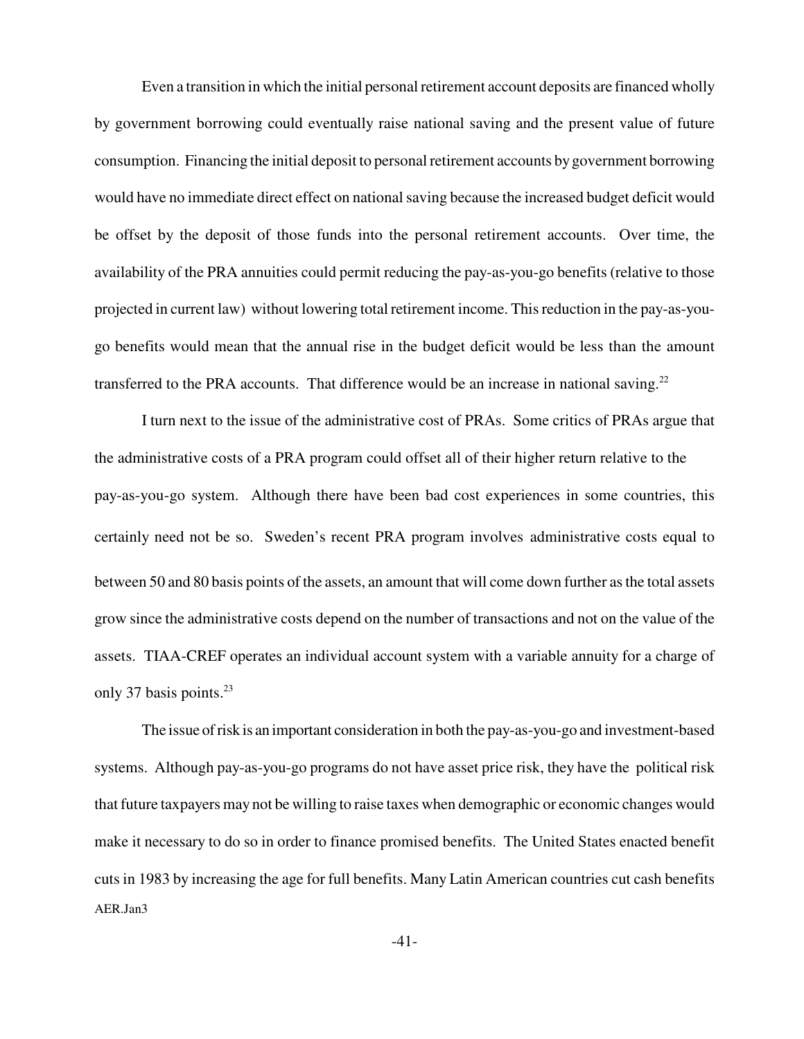Even a transition in which the initial personal retirement account deposits are financed wholly by government borrowing could eventually raise national saving and the present value of future consumption. Financing the initial deposit to personal retirement accounts by government borrowing would have no immediate direct effect on national saving because the increased budget deficit would be offset by the deposit of those funds into the personal retirement accounts. Over time, the availability of the PRA annuities could permit reducing the pay-as-you-go benefits (relative to those projected in current law) without lowering total retirement income. This reduction in the pay-as-yougo benefits would mean that the annual rise in the budget deficit would be less than the amount transferred to the PRA accounts. That difference would be an increase in national saving.<sup>22</sup>

I turn next to the issue of the administrative cost of PRAs. Some critics of PRAs argue that the administrative costs of a PRA program could offset all of their higher return relative to the pay-as-you-go system. Although there have been bad cost experiences in some countries, this certainly need not be so. Sweden's recent PRA program involves administrative costs equal to between 50 and 80 basis points of the assets, an amount that will come down further as the total assets grow since the administrative costs depend on the number of transactions and not on the value of the assets. TIAA-CREF operates an individual account system with a variable annuity for a charge of only 37 basis points.<sup>23</sup>

AER.Jan3 The issue ofrisk is an important consideration in both the pay-as-you-go and investment-based systems. Although pay-as-you-go programs do not have asset price risk, they have the political risk thatfuture taxpayers may not be willing to raise taxes when demographic or economic changes would make it necessary to do so in order to finance promised benefits. The United States enacted benefit cuts in 1983 by increasing the age for full benefits. Many Latin American countries cut cash benefits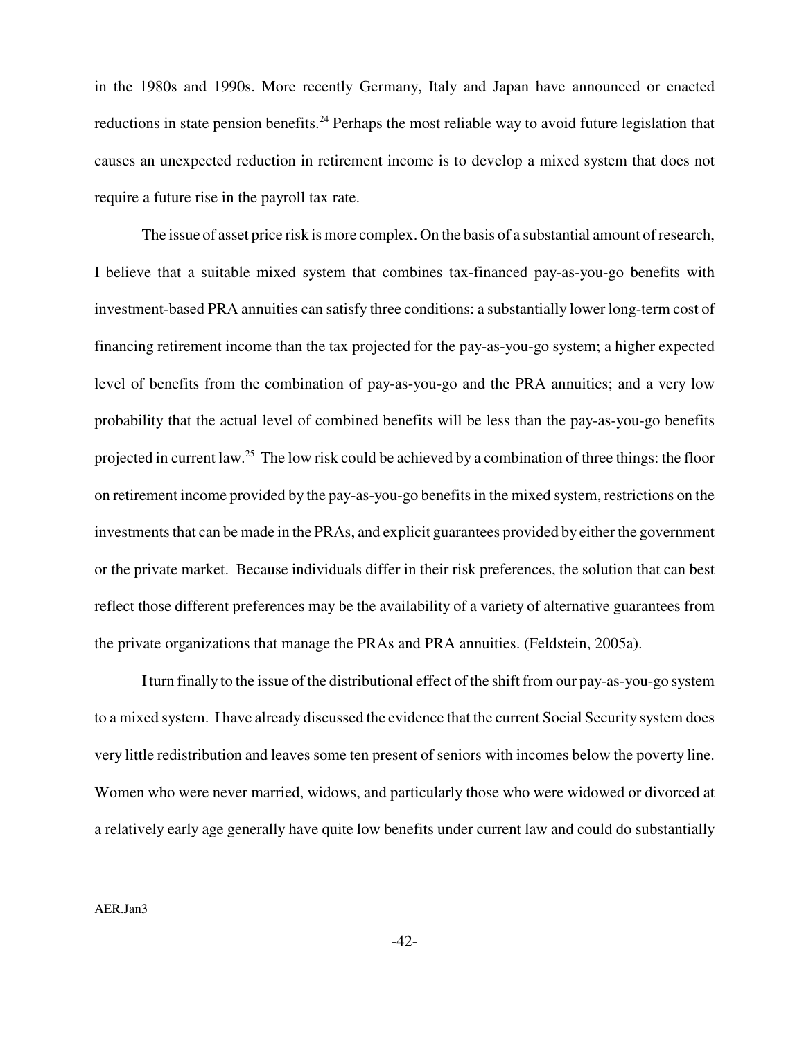in the 1980s and 1990s. More recently Germany, Italy and Japan have announced or enacted reductions in state pension benefits.<sup>24</sup> Perhaps the most reliable way to avoid future legislation that causes an unexpected reduction in retirement income is to develop a mixed system that does not require a future rise in the payroll tax rate.

The issue of asset price risk is more complex. On the basis of a substantial amount of research, I believe that a suitable mixed system that combines tax-financed pay-as-you-go benefits with investment-based PRA annuities can satisfy three conditions: a substantially lower long-term cost of financing retirement income than the tax projected for the pay-as-you-go system; a higher expected level of benefits from the combination of pay-as-you-go and the PRA annuities; and a very low probability that the actual level of combined benefits will be less than the pay-as-you-go benefits projected in current law.<sup>25</sup> The low risk could be achieved by a combination of three things: the floor on retirement income provided by the pay-as-you-go benefits in the mixed system, restrictions on the investments that can be made in the PRAs, and explicit guarantees provided by either the government or the private market. Because individuals differ in their risk preferences, the solution that can best reflect those different preferences may be the availability of a variety of alternative guarantees from the private organizations that manage the PRAs and PRA annuities. (Feldstein, 2005a).

Iturn finally to the issue of the distributional effect of the shift from our pay-as-you-go system to a mixed system. I have already discussed the evidence that the current Social Security system does very little redistribution and leaves some ten present of seniors with incomes below the poverty line. Women who were never married, widows, and particularly those who were widowed or divorced at a relatively early age generally have quite low benefits under current law and could do substantially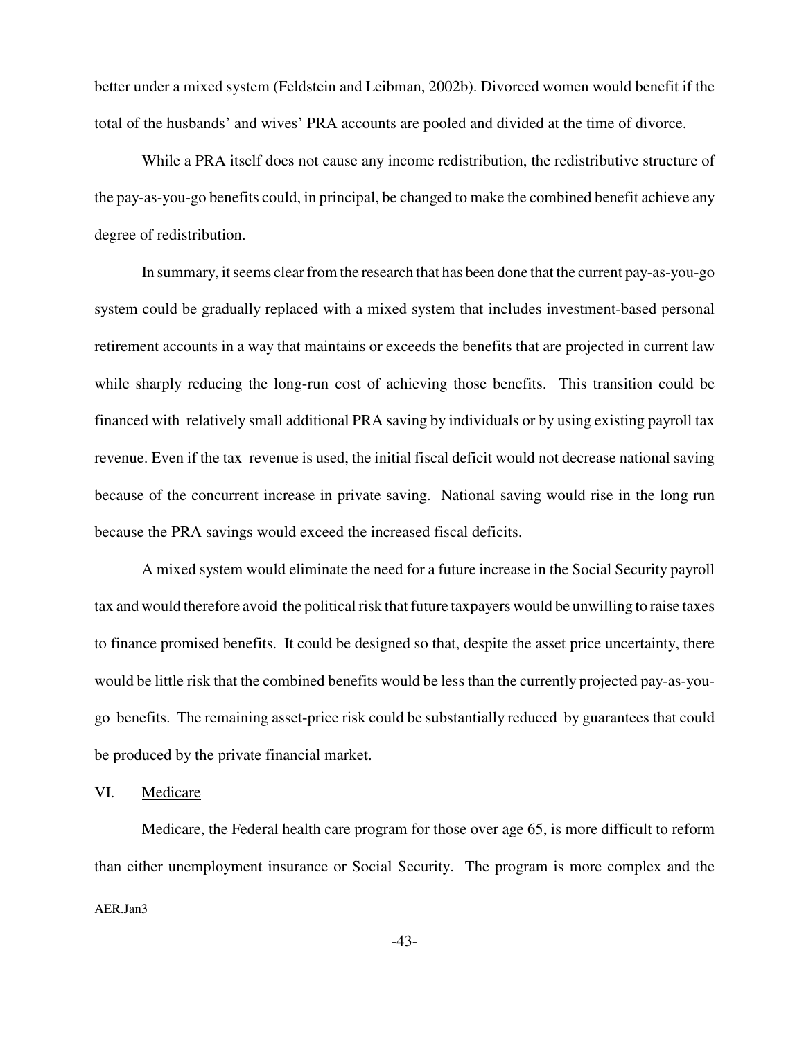better under a mixed system (Feldstein and Leibman, 2002b). Divorced women would benefit if the total of the husbands' and wives' PRA accounts are pooled and divided at the time of divorce.

While a PRA itself does not cause any income redistribution, the redistributive structure of the pay-as-you-go benefits could, in principal, be changed to make the combined benefit achieve any degree of redistribution.

In summary, it seems clear from the research that has been done that the current pay-as-you-go system could be gradually replaced with a mixed system that includes investment-based personal retirement accounts in a way that maintains or exceeds the benefits that are projected in current law while sharply reducing the long-run cost of achieving those benefits. This transition could be financed with relatively small additional PRA saving by individuals or by using existing payroll tax revenue. Even if the tax revenue is used, the initial fiscal deficit would not decrease national saving because of the concurrent increase in private saving. National saving would rise in the long run because the PRA savings would exceed the increased fiscal deficits.

A mixed system would eliminate the need for a future increase in the Social Security payroll tax and would therefore avoid the political risk that future taxpayers would be unwilling to raise taxes to finance promised benefits. It could be designed so that, despite the asset price uncertainty, there would be little risk that the combined benefits would be less than the currently projected pay-as-yougo benefits. The remaining asset-price risk could be substantially reduced by guarantees that could be produced by the private financial market.

VI. Medicare

AER.Jan3 Medicare, the Federal health care program for those over age 65, is more difficult to reform than either unemployment insurance or Social Security. The program is more complex and the

-43-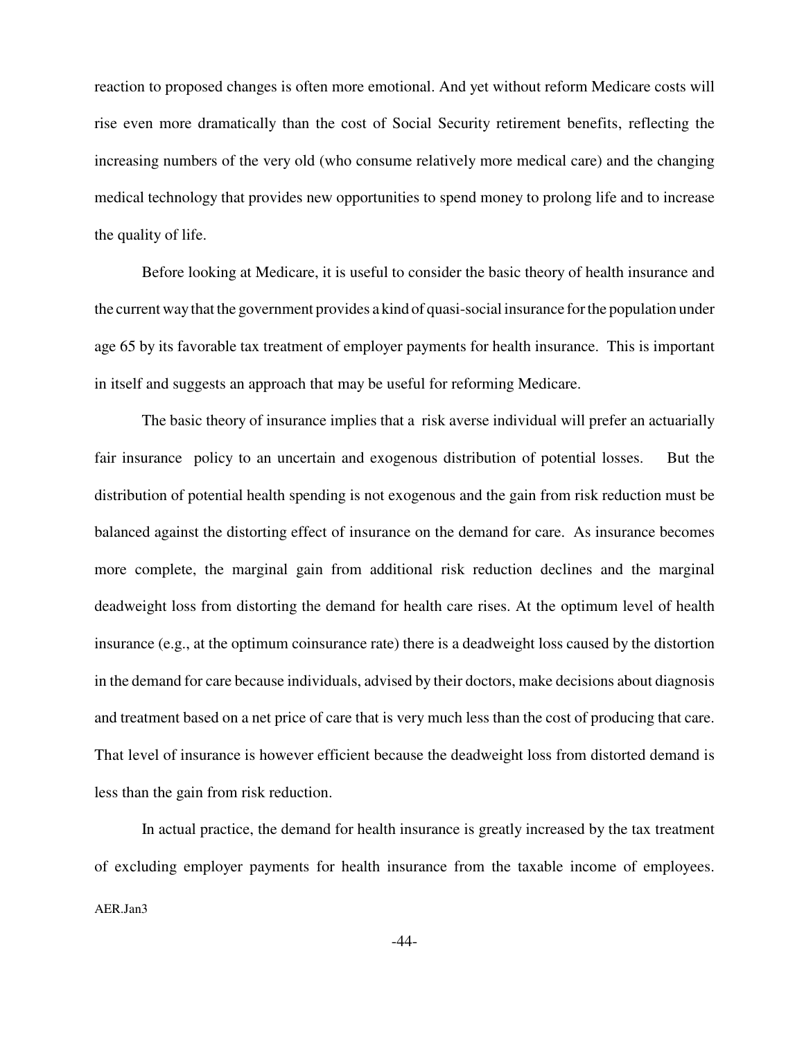reaction to proposed changes is often more emotional. And yet without reform Medicare costs will rise even more dramatically than the cost of Social Security retirement benefits, reflecting the increasing numbers of the very old (who consume relatively more medical care) and the changing medical technology that provides new opportunities to spend money to prolong life and to increase the quality of life.

Before looking at Medicare, it is useful to consider the basic theory of health insurance and the current waythat the government provides a kind of quasi-social insurance forthe population under age 65 by its favorable tax treatment of employer payments for health insurance. This is important in itself and suggests an approach that may be useful for reforming Medicare.

The basic theory of insurance implies that a risk averse individual will prefer an actuarially fair insurance policy to an uncertain and exogenous distribution of potential losses. But the distribution of potential health spending is not exogenous and the gain from risk reduction must be balanced against the distorting effect of insurance on the demand for care. As insurance becomes more complete, the marginal gain from additional risk reduction declines and the marginal deadweight loss from distorting the demand for health care rises. At the optimum level of health insurance (e.g., at the optimum coinsurance rate) there is a deadweight loss caused by the distortion in the demand for care because individuals, advised by their doctors, make decisions about diagnosis and treatment based on a net price of care that is very much less than the cost of producing that care. That level of insurance is however efficient because the deadweight loss from distorted demand is less than the gain from risk reduction.

AER.Jan3 In actual practice, the demand for health insurance is greatly increased by the tax treatment of excluding employer payments for health insurance from the taxable income of employees.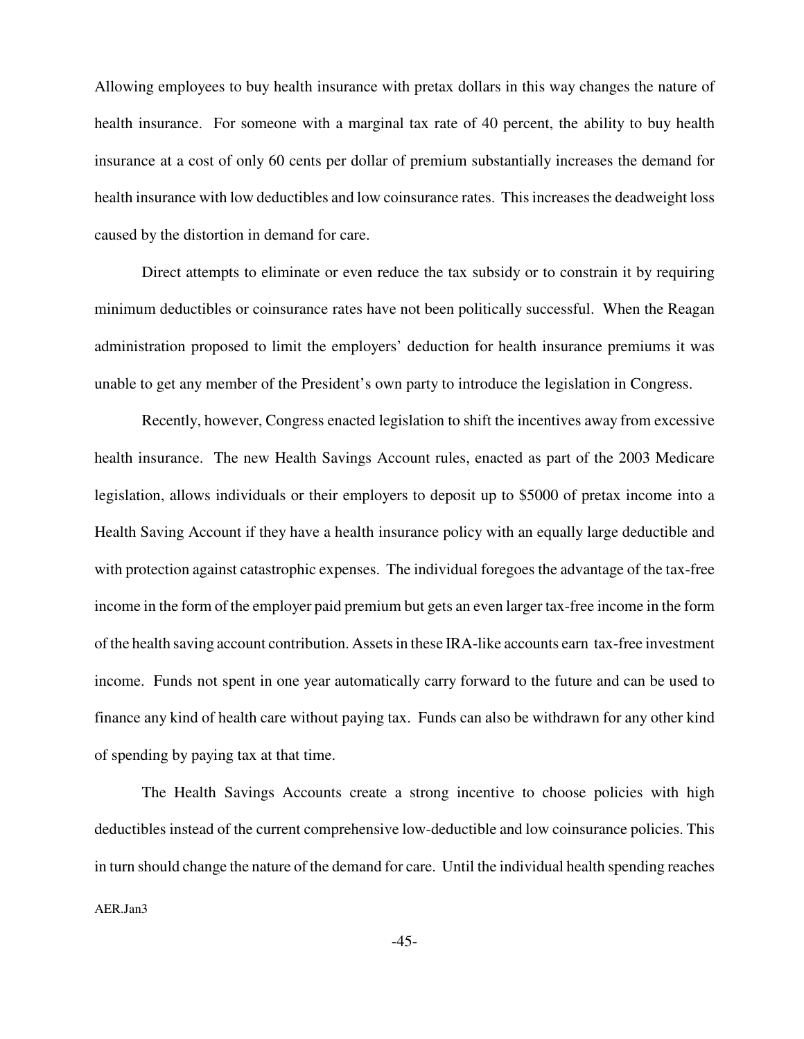Allowing employees to buy health insurance with pretax dollars in this way changes the nature of health insurance. For someone with a marginal tax rate of 40 percent, the ability to buy health insurance at a cost of only 60 cents per dollar of premium substantially increases the demand for health insurance with low deductibles and low coinsurance rates. This increases the deadweight loss caused by the distortion in demand for care.

Direct attempts to eliminate or even reduce the tax subsidy or to constrain it by requiring minimum deductibles or coinsurance rates have not been politically successful. When the Reagan administration proposed to limit the employers' deduction for health insurance premiums it was unable to get any member of the President's own party to introduce the legislation in Congress.

Recently, however, Congress enacted legislation to shift the incentives away from excessive health insurance. The new Health Savings Account rules, enacted as part of the 2003 Medicare legislation, allows individuals or their employers to deposit up to \$5000 of pretax income into a Health Saving Account if they have a health insurance policy with an equally large deductible and with protection against catastrophic expenses. The individual foregoes the advantage of the tax-free income in the form of the employer paid premium but gets an even larger tax-free income in the form of the health saving account contribution. Assetsin these IRA-like accounts earn tax-free investment income. Funds not spent in one year automatically carry forward to the future and can be used to finance any kind of health care without paying tax. Funds can also be withdrawn for any other kind of spending by paying tax at that time.

AER.Jan3 The Health Savings Accounts create a strong incentive to choose policies with high deductibles instead of the current comprehensive low-deductible and low coinsurance policies. This in turn should change the nature of the demand for care. Until the individual health spending reaches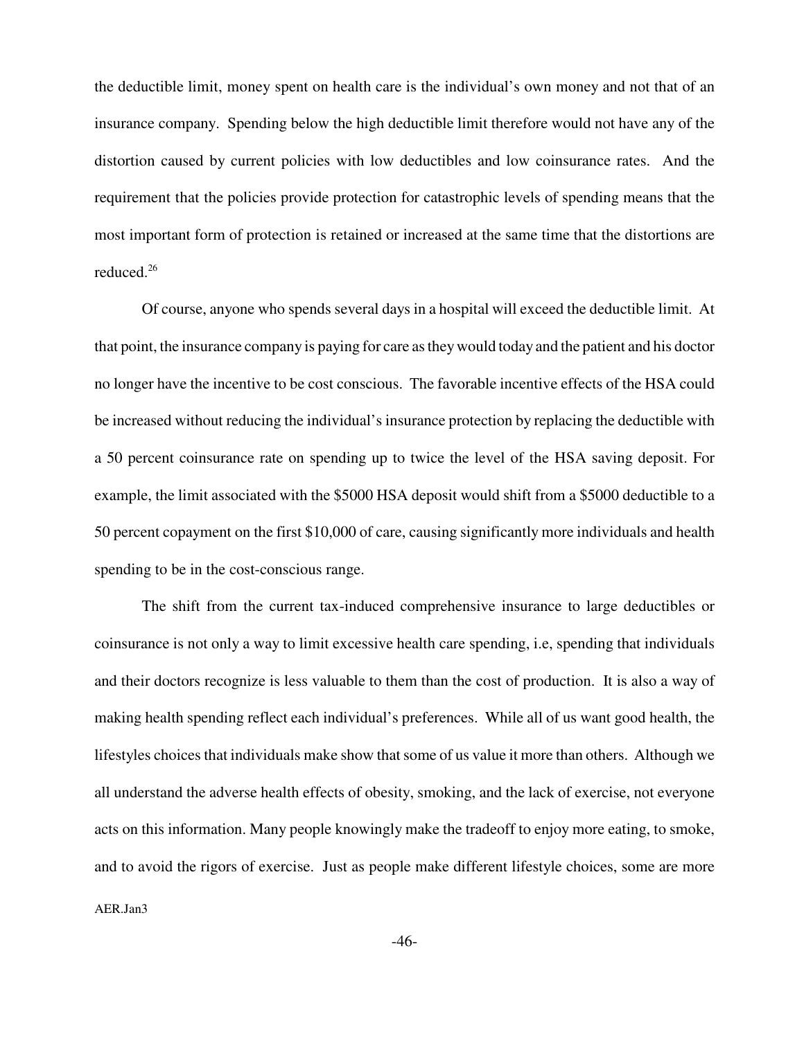the deductible limit, money spent on health care is the individual's own money and not that of an insurance company. Spending below the high deductible limit therefore would not have any of the distortion caused by current policies with low deductibles and low coinsurance rates. And the requirement that the policies provide protection for catastrophic levels of spending means that the most important form of protection is retained or increased at the same time that the distortions are reduced. 26

Of course, anyone who spends several days in a hospital will exceed the deductible limit. At that point, the insurance company is paying for care astheywould today and the patient and his doctor no longer have the incentive to be cost conscious. The favorable incentive effects of the HSA could be increased without reducing the individual's insurance protection by replacing the deductible with a 50 percent coinsurance rate on spending up to twice the level of the HSA saving deposit. For example, the limit associated with the \$5000 HSA deposit would shift from a \$5000 deductible to a 50 percent copayment on the first \$10,000 of care, causing significantly more individuals and health spending to be in the cost-conscious range.

AER.Jan3 The shift from the current tax-induced comprehensive insurance to large deductibles or coinsurance is not only a way to limit excessive health care spending, i.e, spending that individuals and their doctors recognize is less valuable to them than the cost of production. It is also a way of making health spending reflect each individual's preferences. While all of us want good health, the lifestyles choices that individuals make show that some of us value it more than others. Although we all understand the adverse health effects of obesity, smoking, and the lack of exercise, not everyone acts on this information. Many people knowingly make the tradeoff to enjoy more eating, to smoke, and to avoid the rigors of exercise. Just as people make different lifestyle choices, some are more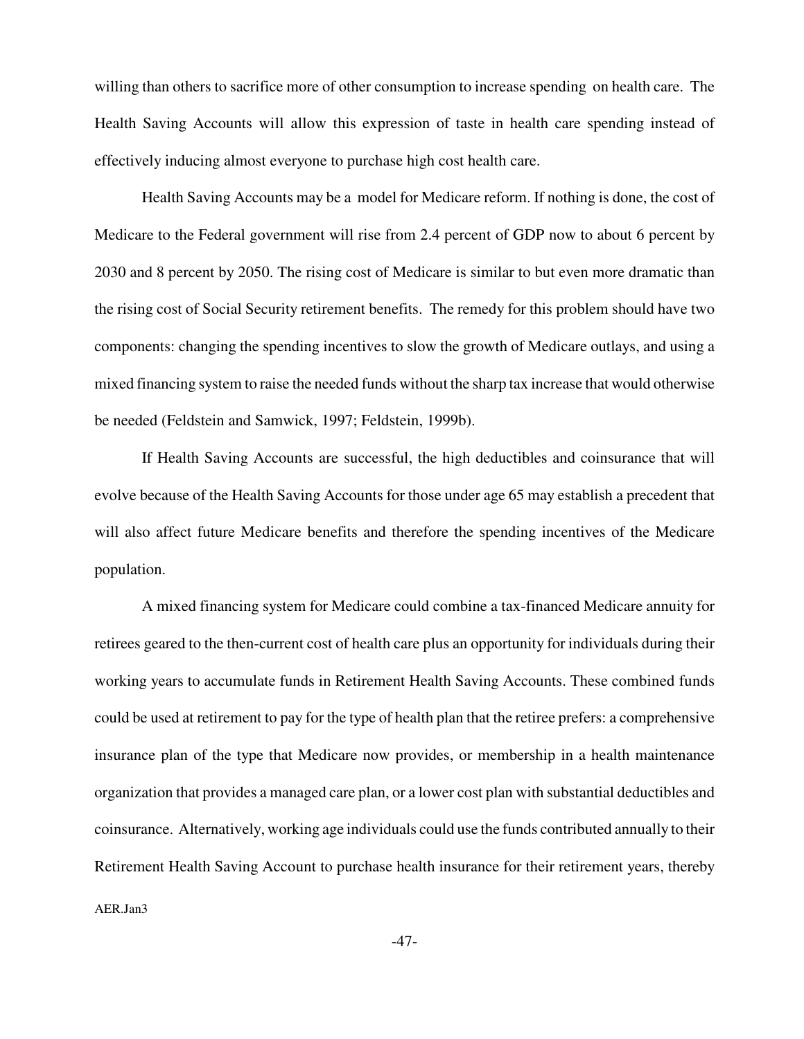willing than others to sacrifice more of other consumption to increase spending on health care. The Health Saving Accounts will allow this expression of taste in health care spending instead of effectively inducing almost everyone to purchase high cost health care.

Health Saving Accounts may be a model for Medicare reform. If nothing is done, the cost of Medicare to the Federal government will rise from 2.4 percent of GDP now to about 6 percent by 2030 and 8 percent by 2050. The rising cost of Medicare is similar to but even more dramatic than the rising cost of Social Security retirement benefits. The remedy for this problem should have two components: changing the spending incentives to slow the growth of Medicare outlays, and using a mixed financing system to raise the needed funds without the sharp tax increase that would otherwise be needed (Feldstein and Samwick, 1997; Feldstein, 1999b).

If Health Saving Accounts are successful, the high deductibles and coinsurance that will evolve because of the Health Saving Accounts for those under age 65 may establish a precedent that will also affect future Medicare benefits and therefore the spending incentives of the Medicare population.

AER.Jan3 A mixed financing system for Medicare could combine a tax-financed Medicare annuity for retirees geared to the then-current cost of health care plus an opportunity for individuals during their working years to accumulate funds in Retirement Health Saving Accounts. These combined funds could be used at retirement to pay for the type of health plan that the retiree prefers: a comprehensive insurance plan of the type that Medicare now provides, or membership in a health maintenance organization that provides a managed care plan, or a lower cost plan with substantial deductibles and coinsurance. Alternatively, working age individuals could use the funds contributed annually to their Retirement Health Saving Account to purchase health insurance for their retirement years, thereby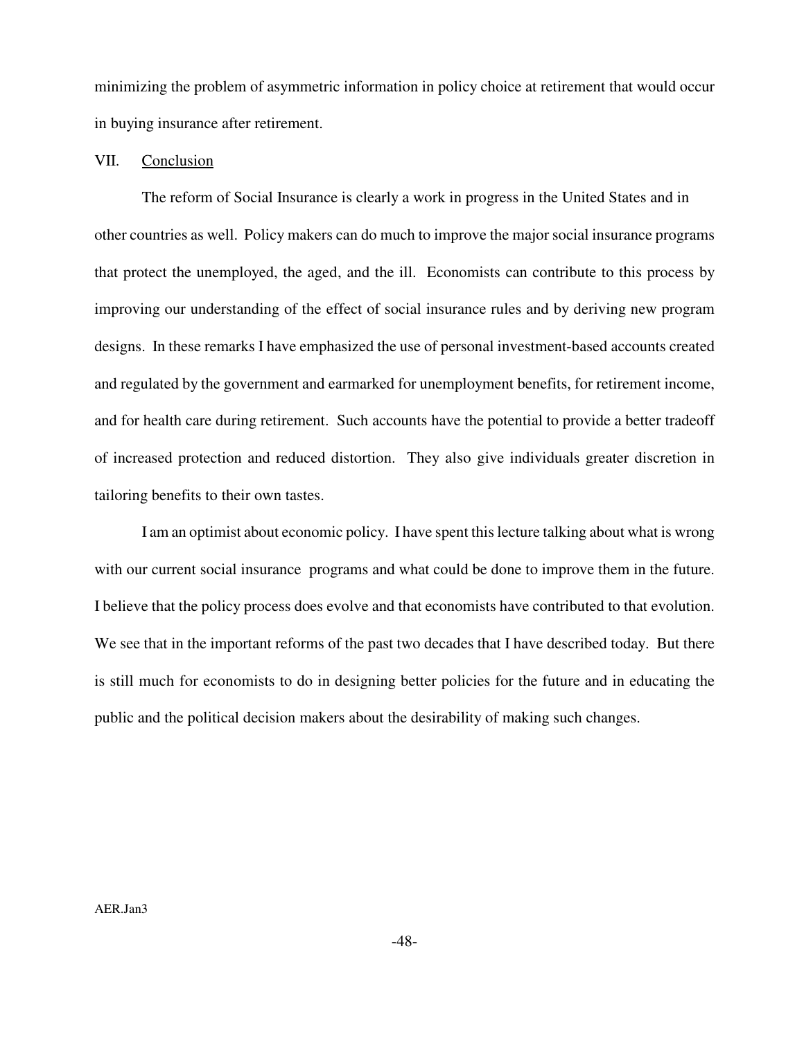minimizing the problem of asymmetric information in policy choice at retirement that would occur in buying insurance after retirement.

#### VII. Conclusion

The reform of Social Insurance is clearly a work in progress in the United States and in other countries as well. Policy makers can do much to improve the major social insurance programs that protect the unemployed, the aged, and the ill. Economists can contribute to this process by improving our understanding of the effect of social insurance rules and by deriving new program designs. In these remarks I have emphasized the use of personal investment-based accounts created and regulated by the government and earmarked for unemployment benefits, for retirement income, and for health care during retirement. Such accounts have the potential to provide a better tradeoff of increased protection and reduced distortion. They also give individuals greater discretion in tailoring benefits to their own tastes.

I am an optimist about economic policy. I have spent thislecture talking about what is wrong with our current social insurance programs and what could be done to improve them in the future. I believe that the policy process does evolve and that economists have contributed to that evolution. We see that in the important reforms of the past two decades that I have described today. But there is still much for economists to do in designing better policies for the future and in educating the public and the political decision makers about the desirability of making such changes.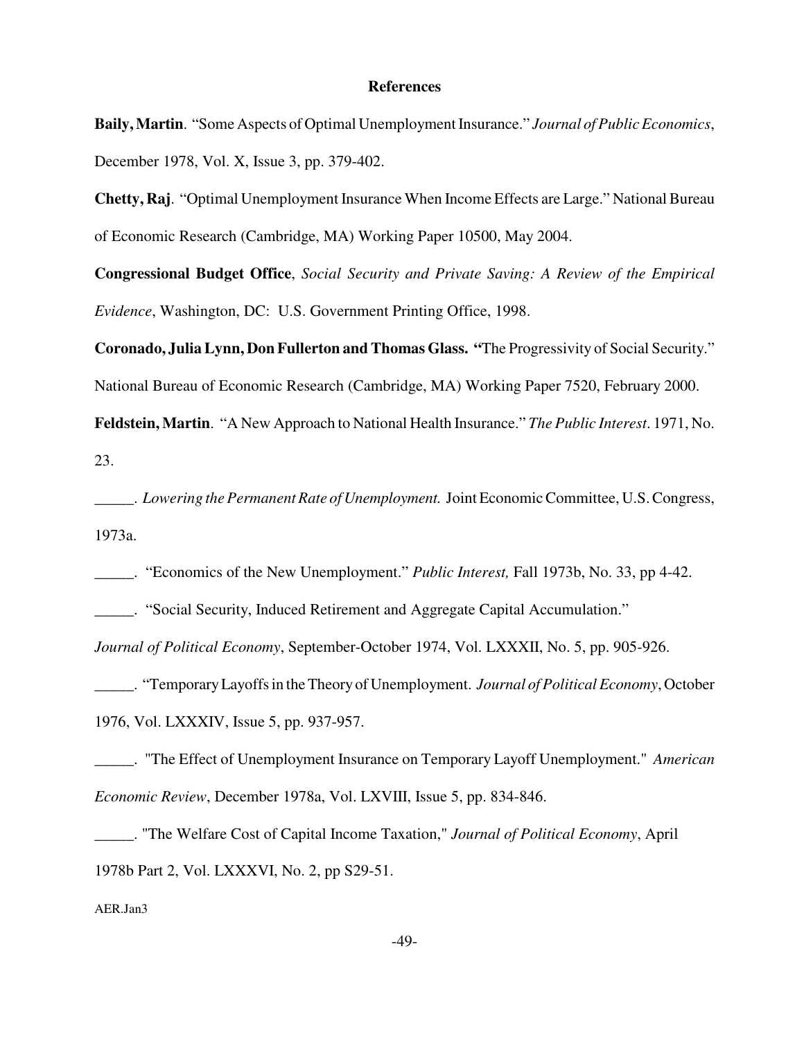## **References**

Baily, Martin. "Some Aspects of Optimal Unemployment Insurance." *Journal of Public Economics*, December 1978, Vol. X, Issue 3, pp. 379-402.

**Chetty, Raj.** "Optimal Unemployment Insurance When Income Effects are Large." National Bureau of Economic Research (Cambridge, MA) Working Paper 10500, May 2004.

**Congressional Budget Office**, *Social Security and Private Saving: A Review of the Empirical Evidence*, Washington, DC: U.S. Government Printing Office, 1998.

**Coronado, JuliaLynn, Don Fullerton and Thomas Glass. "**The Progressivity of Social Security."

National Bureau of Economic Research (Cambridge, MA) Working Paper 7520, February 2000.

**Feldstein, Martin**. "A New Approach to National Health Insurance." *The Public Interest*. 1971, No. 23.

\_\_\_\_\_. *Lowering thePermanent Rate ofUnemployment.* Joint EconomicCommittee, U.S.Congress, 1973a.

\_\_\_\_\_. "Economics of the New Unemployment." *Public Interest,* Fall 1973b, No. 33, pp 4-42.

\_\_\_\_\_. "Social Security, Induced Retirement and Aggregate Capital Accumulation."

*Journal of Political Economy*, September-October 1974, Vol. LXXXII, No. 5, pp. 905-926.

**\_\_\_\_\_**. "TemporaryLayoffsin theTheoryof Unemployment. *Journal of Political Economy*, October 1976, Vol. LXXXIV, Issue 5, pp. 937-957.

**\_\_\_\_\_**. "The Effect of Unemployment Insurance on Temporary Layoff Unemployment." *American Economic Review*, December 1978a, Vol. LXVIII, Issue 5, pp. 834-846.

\_\_\_\_\_. "The Welfare Cost of Capital Income Taxation," *Journal of Political Economy*, April 1978b Part 2, Vol. LXXXVI, No. 2, pp S29-51.

AER.Jan3

-49-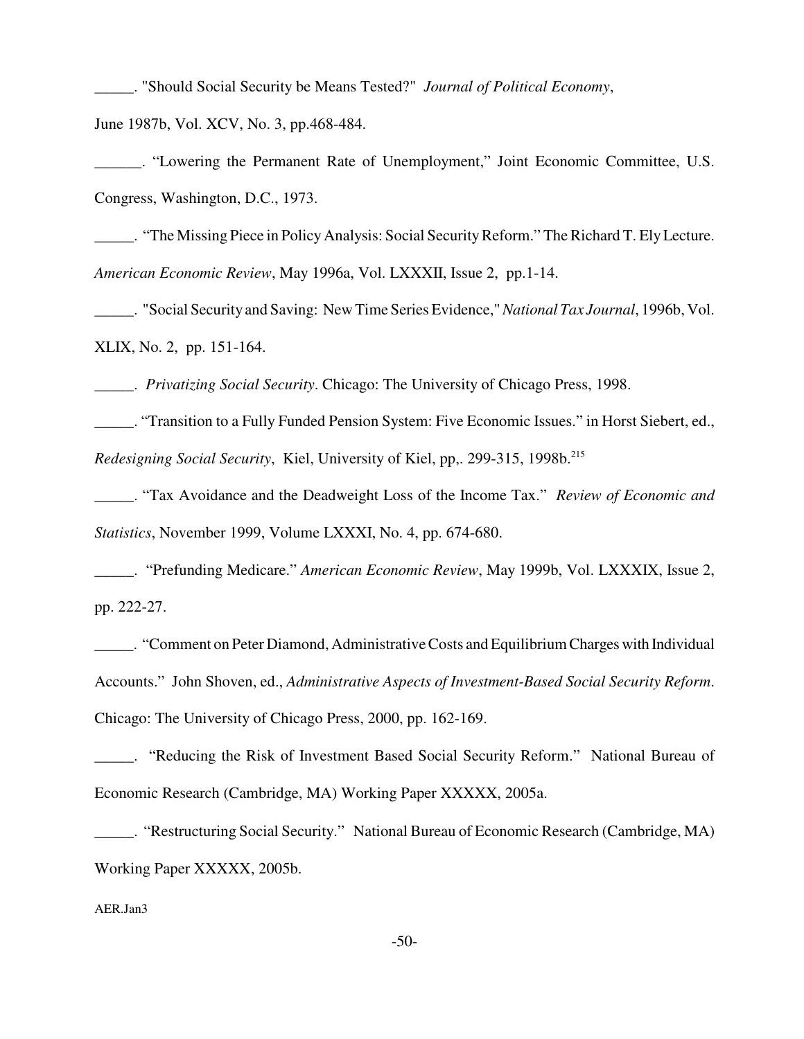**\_\_\_\_\_**. "Should Social Security be Means Tested?" *Journal of Political Economy*,

June 1987b, Vol. XCV, No. 3, pp.468-484.

\_\_\_\_\_\_. "Lowering the Permanent Rate of Unemployment," Joint Economic Committee, U.S. Congress, Washington, D.C., 1973.

\_\_\_\_\_. "The Missing Piece in PolicyAnalysis: Social SecurityReform." The Richard T. ElyLecture. *American Economic Review*, May 1996a, Vol. LXXXII, Issue 2, pp.1-14.

\_\_\_\_\_. "Social Securityand Saving: New Time SeriesEvidence,"*National Tax Journal*, 1996b, Vol. XLIX, No. 2, pp. 151-164.

\_\_\_\_\_. *Privatizing Social Security*. Chicago: The University of Chicago Press, 1998.

\_\_\_\_\_. "Transition to a Fully Funded Pension System: Five Economic Issues." in Horst Siebert, ed., *Redesigning Social Security*, Kiel, University of Kiel, pp,. 299-315, 1998b. 215

\_\_\_\_\_. "Tax Avoidance and the Deadweight Loss of the Income Tax." *Review of Economic and Statistics*, November 1999, Volume LXXXI, No. 4, pp. 674-680.

\_\_\_\_\_. "Prefunding Medicare." *American Economic Review*, May 1999b, Vol. LXXXIX, Issue 2, pp. 222-27.

\_\_\_\_\_. "Comment on Peter Diamond, AdministrativeCosts andEquilibriumChargeswith Individual Accounts." John Shoven, ed., *Administrative Aspects of Investment-Based Social Security Reform*. Chicago: The University of Chicago Press, 2000, pp. 162-169.

**\_\_\_\_\_**. "Reducing the Risk of Investment Based Social Security Reform." National Bureau of Economic Research (Cambridge, MA) Working Paper XXXXX, 2005a.

**\_\_\_\_\_**. "Restructuring Social Security." National Bureau of Economic Research (Cambridge, MA) Working Paper XXXXX, 2005b.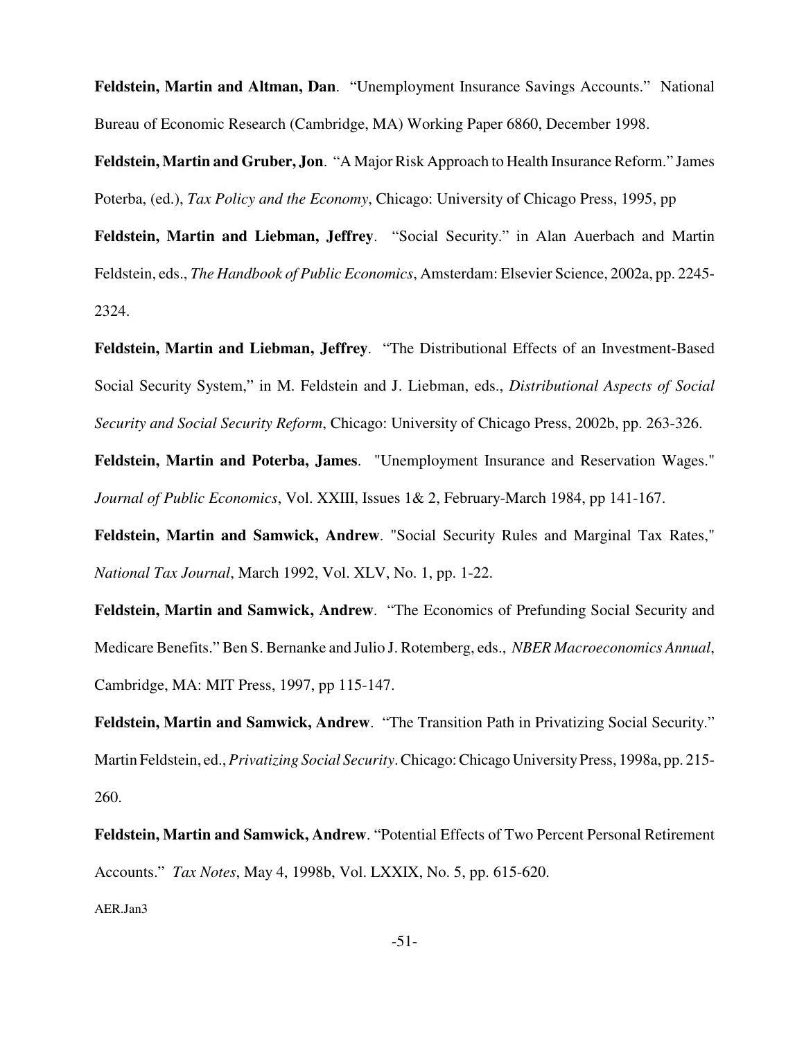**Feldstein, Martin and Altman, Dan**. "Unemployment Insurance Savings Accounts." National Bureau of Economic Research (Cambridge, MA) Working Paper 6860, December 1998.

**Feldstein, Martin and Gruber, Jon**. "A Major Risk Approach to Health Insurance Reform." James Poterba, (ed.), *Tax Policy and the Economy*, Chicago: University of Chicago Press, 1995, pp

**Feldstein, Martin and Liebman, Jeffrey**. "Social Security." in Alan Auerbach and Martin Feldstein, eds., *The Handbook of Public Economics*, Amsterdam: Elsevier Science, 2002a, pp. 2245- 2324.

**Feldstein, Martin and Liebman, Jeffrey**. "The Distributional Effects of an Investment-Based Social Security System," in M. Feldstein and J. Liebman, eds., *Distributional Aspects of Social Security and Social Security Reform*, Chicago: University of Chicago Press, 2002b, pp. 263-326.

**Feldstein, Martin and Poterba, James**. "Unemployment Insurance and Reservation Wages." *Journal of Public Economics*, Vol. XXIII, Issues 1& 2, February-March 1984, pp 141-167.

**Feldstein, Martin and Samwick, Andrew**. "Social Security Rules and Marginal Tax Rates," *National Tax Journal*, March 1992, Vol. XLV, No. 1, pp. 1-22.

**Feldstein, Martin and Samwick, Andrew**. "The Economics of Prefunding Social Security and Medicare Benefits." Ben S. Bernanke and Julio J. Rotemberg, eds., *NBER Macroeconomics Annual*, Cambridge, MA: MIT Press, 1997, pp 115-147.

**Feldstein, Martin and Samwick, Andrew**. "The Transition Path in Privatizing Social Security." Martin Feldstein, ed., *Privatizing Social Security*. Chicago: Chicago University Press, 1998a, pp. 215-260.

AER.Jan3 **Feldstein, Martin and Samwick, Andrew**. "Potential Effects of Two Percent Personal Retirement Accounts." *Tax Notes*, May 4, 1998b, Vol. LXXIX, No. 5, pp. 615-620.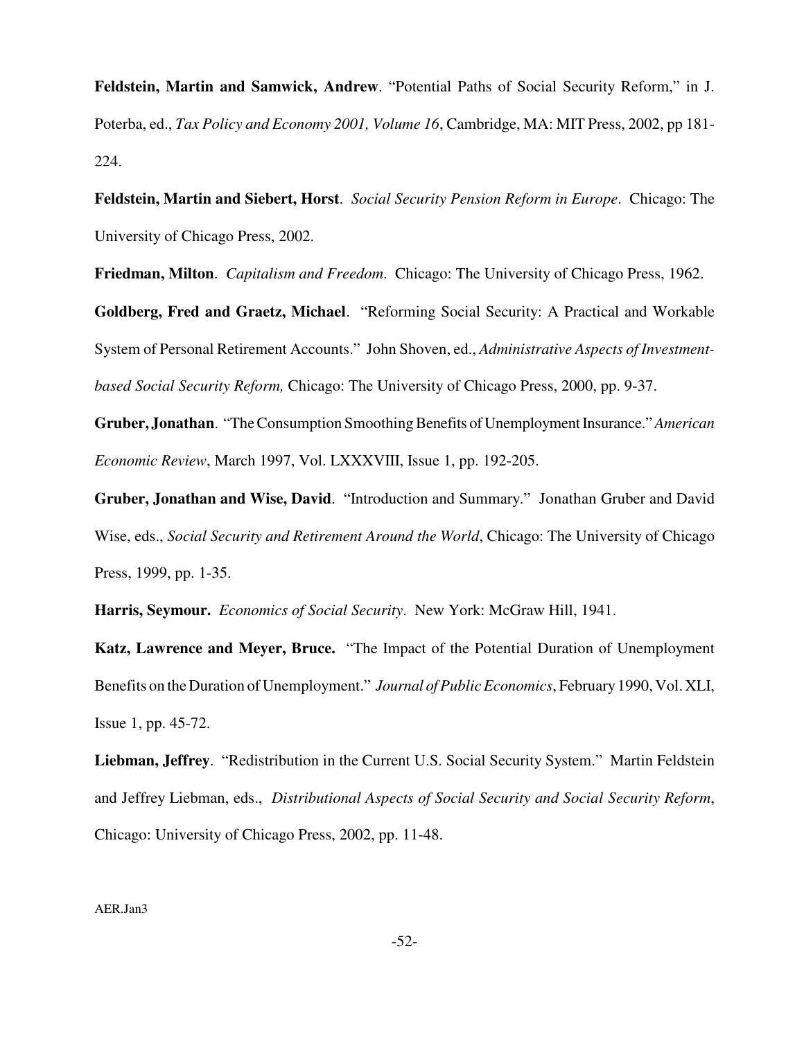**Feldstein, Martin and Samwick, Andrew**. "Potential Paths of Social Security Reform," in J. Poterba, ed., *Tax Policy and Economy 2001, Volume 16*, Cambridge, MA: MIT Press, 2002, pp 181- 224.

**Feldstein, Martin and Siebert, Horst**. *Social Security Pension Reform in Europe*. Chicago: The University of Chicago Press, 2002.

**Friedman, Milton**. *Capitalism and Freedom*. Chicago: The University of Chicago Press, 1962.

**Goldberg, Fred and Graetz, Michael**. "Reforming Social Security: A Practical and Workable System of Personal Retirement Accounts." John Shoven, ed., *Administrative Aspects of Investmentbased Social Security Reform,* Chicago: The University of Chicago Press, 2000, pp. 9-37.

**Gruber, Jonathan**. "The Consumption Smoothing Benefits of Unemployment Insurance." American *Economic Review*, March 1997, Vol. LXXXVIII, Issue 1, pp. 192-205.

**Gruber, Jonathan and Wise, David**. "Introduction and Summary." Jonathan Gruber and David Wise, eds., *Social Security and Retirement Around the World*, Chicago: The University of Chicago Press, 1999, pp. 1-35.

**Harris, Seymour.** *Economics of Social Security*. New York: McGraw Hill, 1941.

**Katz, Lawrence and Meyer, Bruce.** "The Impact of the Potential Duration of Unemployment Benefits on the Duration of Unemployment." *Journal of Public Economics*, February 1990, Vol. XLI, Issue 1, pp. 45-72.

**Liebman, Jeffrey**. "Redistribution in the Current U.S. Social Security System." Martin Feldstein and Jeffrey Liebman, eds., *Distributional Aspects of Social Security and Social Security Reform*, Chicago: University of Chicago Press, 2002, pp. 11-48.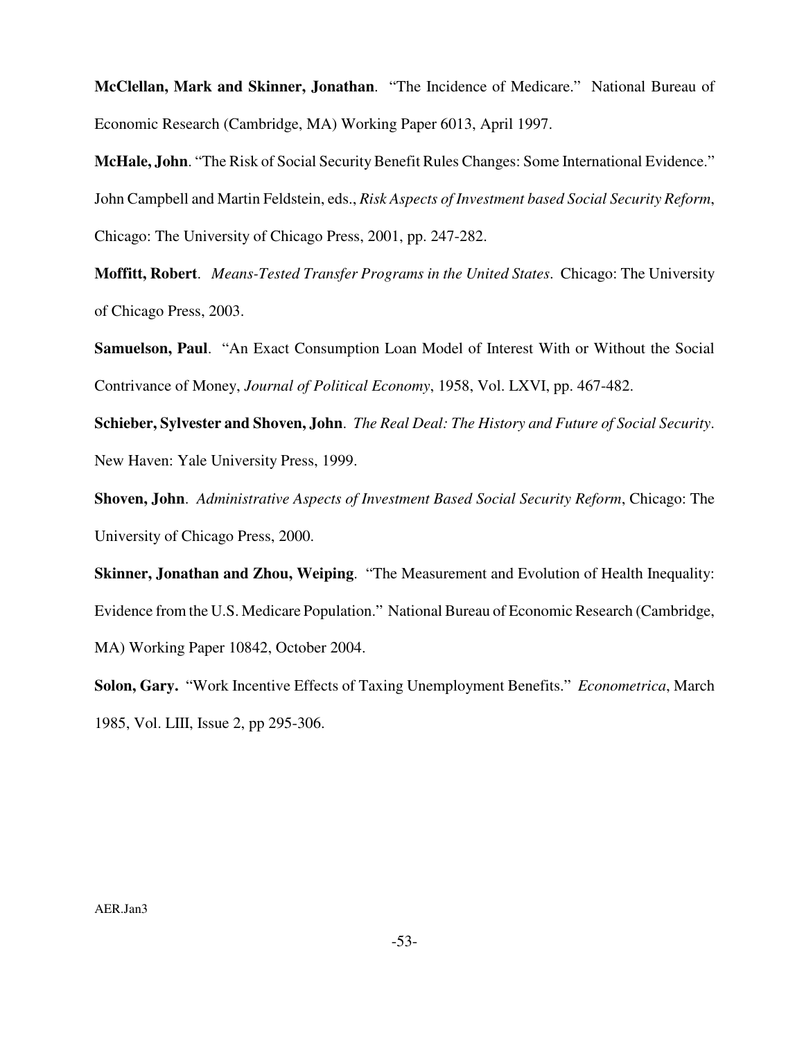**McClellan, Mark and Skinner, Jonathan**. "The Incidence of Medicare." National Bureau of Economic Research (Cambridge, MA) Working Paper 6013, April 1997.

McHale, John. "The Risk of Social Security Benefit Rules Changes: Some International Evidence." John Campbell and Martin Feldstein, eds., *Risk Aspects of Investment based Social Security Reform*, Chicago: The University of Chicago Press, 2001, pp. 247-282.

**Moffitt, Robert**. *Means-Tested Transfer Programs in the United States*. Chicago: The University of Chicago Press, 2003.

**Samuelson, Paul**. "An Exact Consumption Loan Model of Interest With or Without the Social Contrivance of Money, *Journal of Political Economy*, 1958, Vol. LXVI, pp. 467-482.

**Schieber, Sylvester and Shoven, John**. *The Real Deal: The History and Future of Social Security*. New Haven: Yale University Press, 1999.

**Shoven, John**. *Administrative Aspects of Investment Based Social Security Reform*, Chicago: The University of Chicago Press, 2000.

**Skinner, Jonathan and Zhou, Weiping**. "The Measurement and Evolution of Health Inequality: Evidence from the U.S. Medicare Population." National Bureau of Economic Research (Cambridge, MA) Working Paper 10842, October 2004.

**Solon, Gary.** "Work Incentive Effects of Taxing Unemployment Benefits." *Econometrica*, March 1985, Vol. LIII, Issue 2, pp 295-306.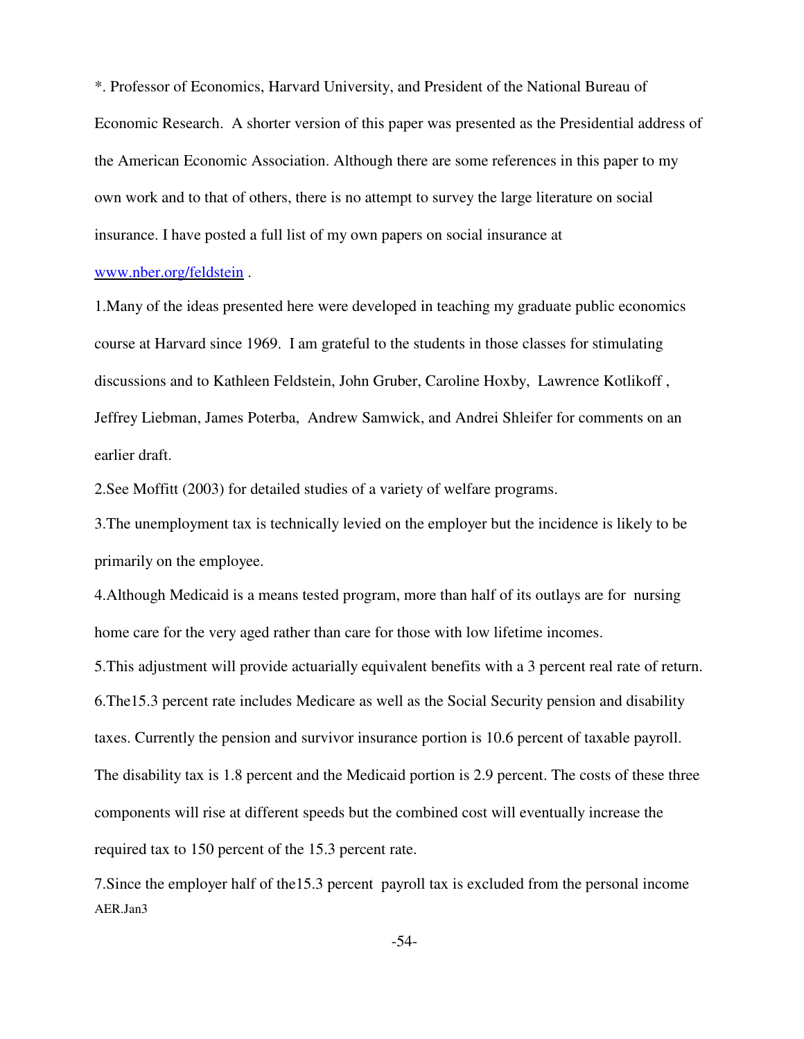\*. Professor of Economics, Harvard University, and President of the National Bureau of Economic Research. A shorter version of this paper was presented as the Presidential address of the American Economic Association. Although there are some references in this paper to my own work and to that of others, there is no attempt to survey the large literature on social insurance. I have posted a full list of my own papers on social insurance at

## www.nber.org/feldstein .

1.Many of the ideas presented here were developed in teaching my graduate public economics course at Harvard since 1969. I am grateful to the students in those classes for stimulating discussions and to Kathleen Feldstein, John Gruber, Caroline Hoxby, Lawrence Kotlikoff , Jeffrey Liebman, James Poterba, Andrew Samwick, and Andrei Shleifer for comments on an earlier draft.

2.See Moffitt (2003) for detailed studies of a variety of welfare programs.

3.The unemployment tax is technically levied on the employer but the incidence is likely to be primarily on the employee.

4.Although Medicaid is a means tested program, more than half of its outlays are for nursing home care for the very aged rather than care for those with low lifetime incomes.

5.This adjustment will provide actuarially equivalent benefits with a 3 percent real rate of return. 6.The15.3 percent rate includes Medicare as well as the Social Security pension and disability taxes. Currently the pension and survivor insurance portion is 10.6 percent of taxable payroll. The disability tax is 1.8 percent and the Medicaid portion is 2.9 percent. The costs of these three components will rise at different speeds but the combined cost will eventually increase the required tax to 150 percent of the 15.3 percent rate.

AER.Jan3 7.Since the employer half of the15.3 percent payroll tax is excluded from the personal income

-54-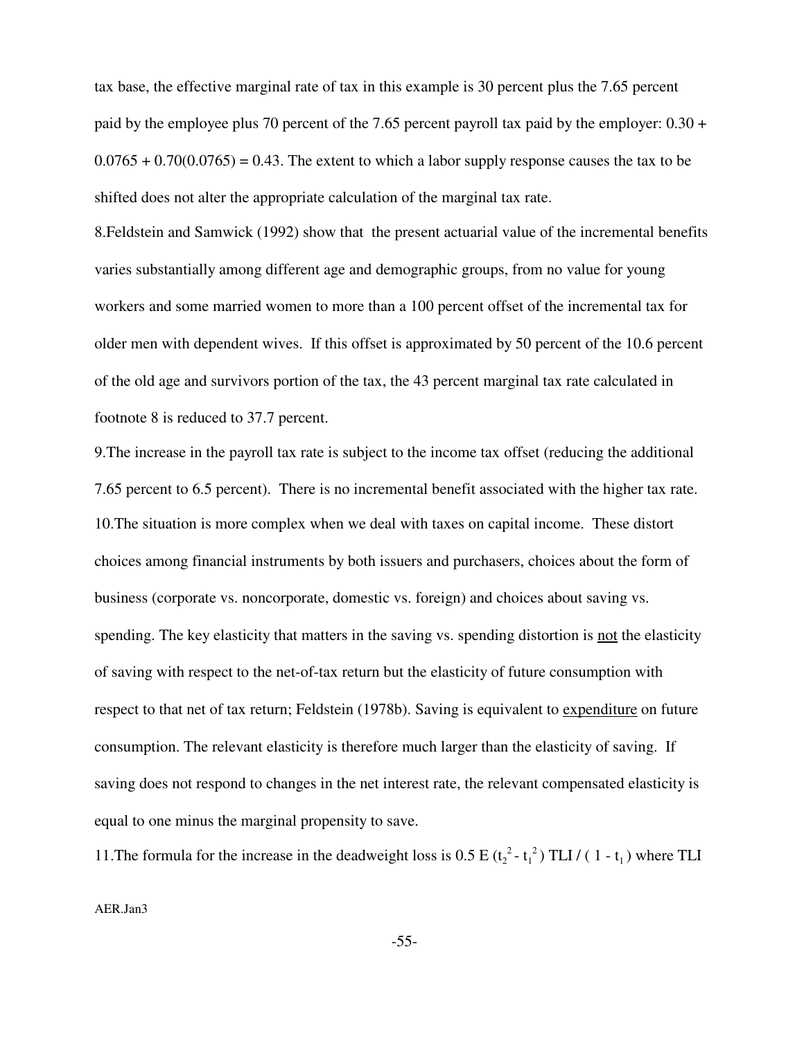tax base, the effective marginal rate of tax in this example is 30 percent plus the 7.65 percent paid by the employee plus 70 percent of the 7.65 percent payroll tax paid by the employer: 0.30 +  $0.0765 + 0.70(0.0765) = 0.43$ . The extent to which a labor supply response causes the tax to be shifted does not alter the appropriate calculation of the marginal tax rate.

8.Feldstein and Samwick (1992) show that the present actuarial value of the incremental benefits varies substantially among different age and demographic groups, from no value for young workers and some married women to more than a 100 percent offset of the incremental tax for older men with dependent wives. If this offset is approximated by 50 percent of the 10.6 percent of the old age and survivors portion of the tax, the 43 percent marginal tax rate calculated in footnote 8 is reduced to 37.7 percent.

9.The increase in the payroll tax rate is subject to the income tax offset (reducing the additional 7.65 percent to 6.5 percent). There is no incremental benefit associated with the higher tax rate. 10.The situation is more complex when we deal with taxes on capital income. These distort choices among financial instruments by both issuers and purchasers, choices about the form of business (corporate vs. noncorporate, domestic vs. foreign) and choices about saving vs. spending. The key elasticity that matters in the saving vs. spending distortion is not the elasticity of saving with respect to the net-of-tax return but the elasticity of future consumption with respect to that net of tax return; Feldstein (1978b). Saving is equivalent to expenditure on future consumption. The relevant elasticity is therefore much larger than the elasticity of saving. If saving does not respond to changes in the net interest rate, the relevant compensated elasticity is equal to one minus the marginal propensity to save.

11. The formula for the increase in the deadweight loss is 0.5 E  $(t_2^2 - t_1^2)$  TLI / (1 - t<sub>1</sub>) where TLI

AER.Jan3

-55-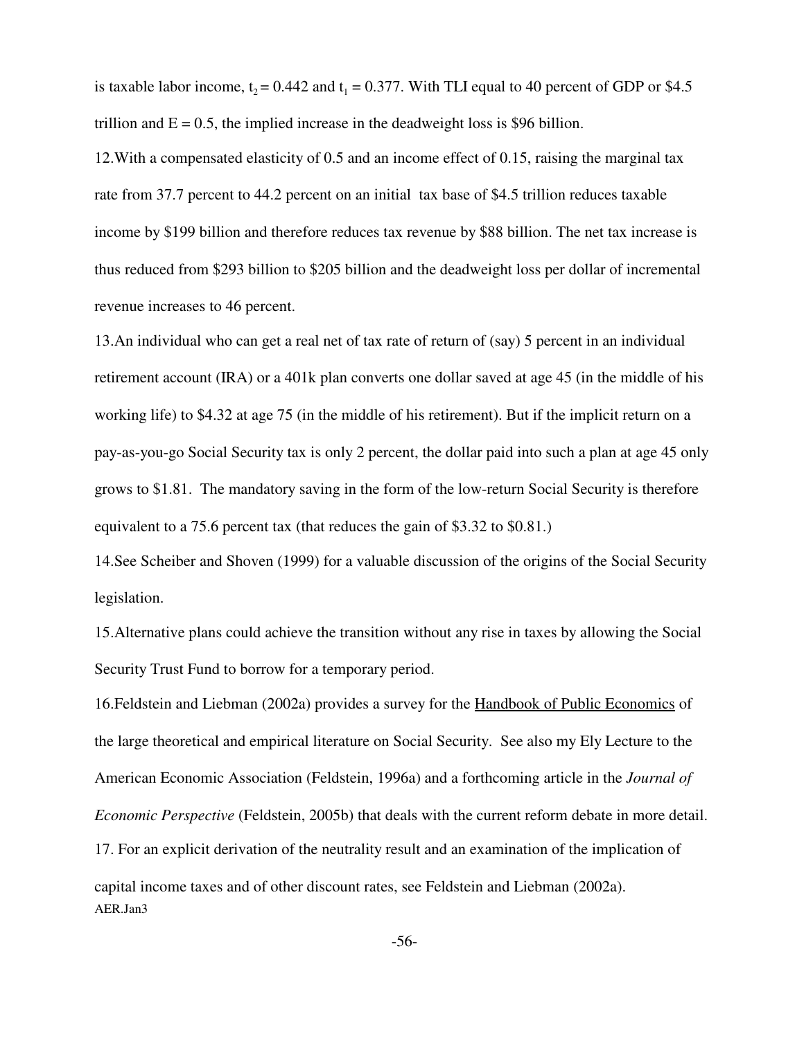is taxable labor income,  $t_2 = 0.442$  and  $t_1 = 0.377$ . With TLI equal to 40 percent of GDP or \$4.5 trillion and  $E = 0.5$ , the implied increase in the deadweight loss is \$96 billion.

12.With a compensated elasticity of 0.5 and an income effect of 0.15, raising the marginal tax rate from 37.7 percent to 44.2 percent on an initial tax base of \$4.5 trillion reduces taxable income by \$199 billion and therefore reduces tax revenue by \$88 billion. The net tax increase is thus reduced from \$293 billion to \$205 billion and the deadweight loss per dollar of incremental revenue increases to 46 percent.

13.An individual who can get a real net of tax rate of return of (say) 5 percent in an individual retirement account (IRA) or a 401k plan converts one dollar saved at age 45 (in the middle of his working life) to \$4.32 at age 75 (in the middle of his retirement). But if the implicit return on a pay-as-you-go Social Security tax is only 2 percent, the dollar paid into such a plan at age 45 only grows to \$1.81. The mandatory saving in the form of the low-return Social Security is therefore equivalent to a 75.6 percent tax (that reduces the gain of \$3.32 to \$0.81.)

14.See Scheiber and Shoven (1999) for a valuable discussion of the origins of the Social Security legislation.

15.Alternative plans could achieve the transition without any rise in taxes by allowing the Social Security Trust Fund to borrow for a temporary period.

AER.Jan3 16.Feldstein and Liebman (2002a) provides a survey for the Handbook of Public Economics of the large theoretical and empirical literature on Social Security. See also my Ely Lecture to the American Economic Association (Feldstein, 1996a) and a forthcoming article in the *Journal of Economic Perspective* (Feldstein, 2005b) that deals with the current reform debate in more detail. 17. For an explicit derivation of the neutrality result and an examination of the implication of capital income taxes and of other discount rates, see Feldstein and Liebman (2002a).

-56-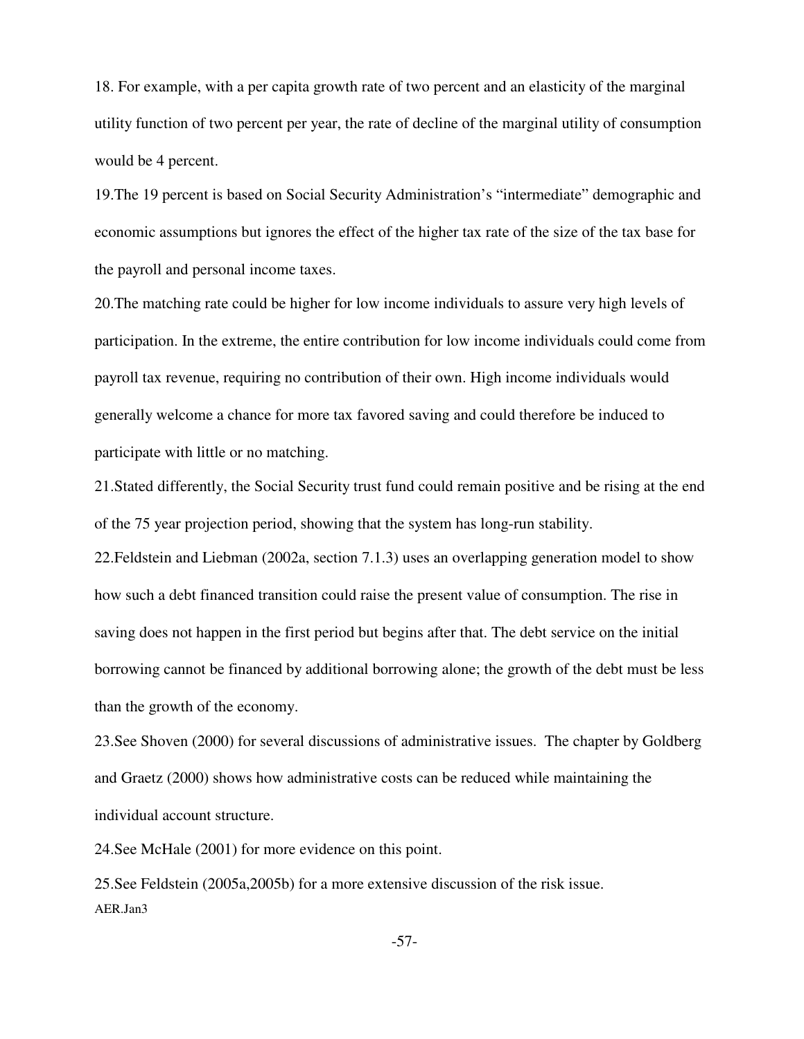18. For example, with a per capita growth rate of two percent and an elasticity of the marginal utility function of two percent per year, the rate of decline of the marginal utility of consumption would be 4 percent.

19.The 19 percent is based on Social Security Administration's "intermediate" demographic and economic assumptions but ignores the effect of the higher tax rate of the size of the tax base for the payroll and personal income taxes.

20.The matching rate could be higher for low income individuals to assure very high levels of participation. In the extreme, the entire contribution for low income individuals could come from payroll tax revenue, requiring no contribution of their own. High income individuals would generally welcome a chance for more tax favored saving and could therefore be induced to participate with little or no matching.

21.Stated differently, the Social Security trust fund could remain positive and be rising at the end of the 75 year projection period, showing that the system has long-run stability.

22.Feldstein and Liebman (2002a, section 7.1.3) uses an overlapping generation model to show how such a debt financed transition could raise the present value of consumption. The rise in saving does not happen in the first period but begins after that. The debt service on the initial borrowing cannot be financed by additional borrowing alone; the growth of the debt must be less than the growth of the economy.

23.See Shoven (2000) for several discussions of administrative issues. The chapter by Goldberg and Graetz (2000) shows how administrative costs can be reduced while maintaining the individual account structure.

24.See McHale (2001) for more evidence on this point.

AER.Jan3 25.See Feldstein (2005a,2005b) for a more extensive discussion of the risk issue.

-57-